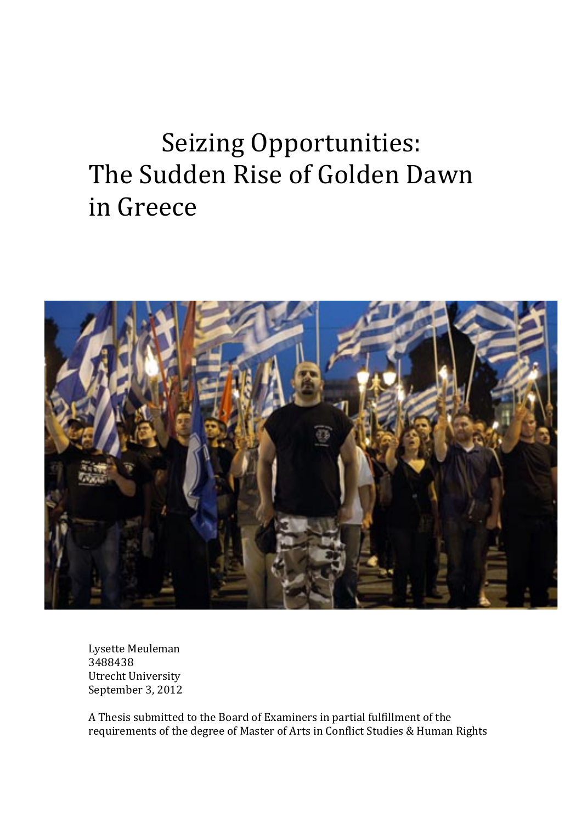# Seizing Opportunities: The Sudden Rise of Golden Dawn in Greece



Lysette Meuleman 3488438 Utrecht University September 3, 2012

A Thesis submitted to the Board of Examiners in partial fulfillment of the requirements of the degree of Master of Arts in Conflict Studies & Human Rights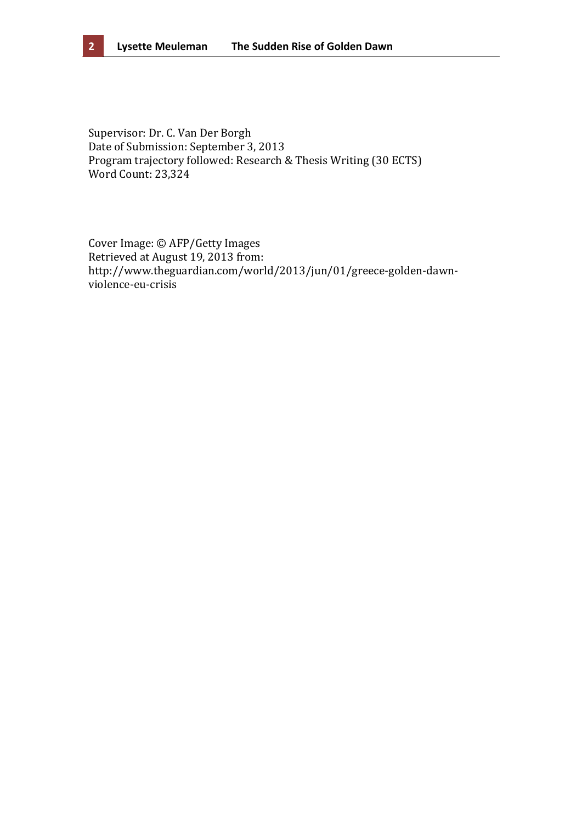Supervisor: Dr. C. Van Der Borgh Date of Submission: September 3, 2013 Program trajectory followed: Research & Thesis Writing (30 ECTS) Word Count: 23,324

Cover Image: © AFP/Getty Images Retrieved at August 19, 2013 from: http://www.theguardian.com/world/2013/jun/01/greece-golden-dawnviolence-eu-crisis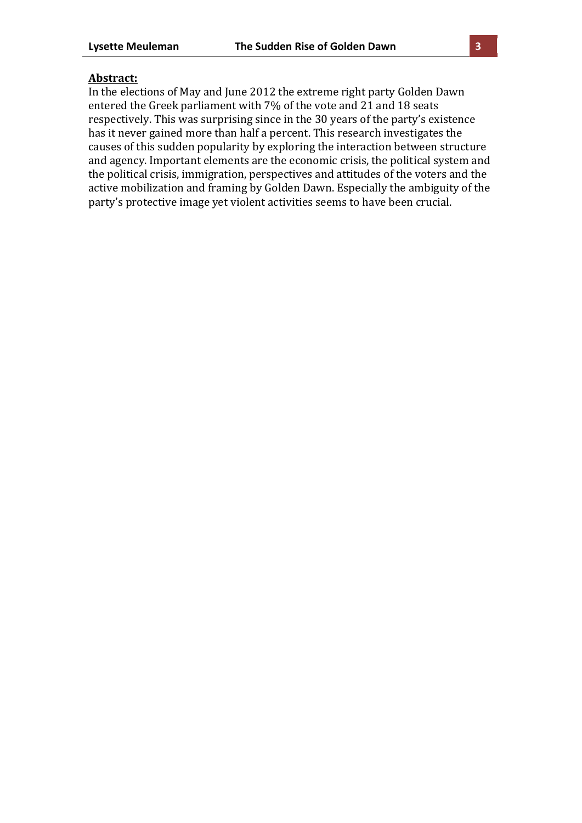#### **Abstract:**

In the elections of May and June 2012 the extreme right party Golden Dawn entered the Greek parliament with 7% of the vote and 21 and 18 seats respectively. This was surprising since in the 30 years of the party's existence has it never gained more than half a percent. This research investigates the causes of this sudden popularity by exploring the interaction between structure and agency. Important elements are the economic crisis, the political system and the political crisis, immigration, perspectives and attitudes of the voters and the active mobilization and framing by Golden Dawn. Especially the ambiguity of the party's protective image yet violent activities seems to have been crucial.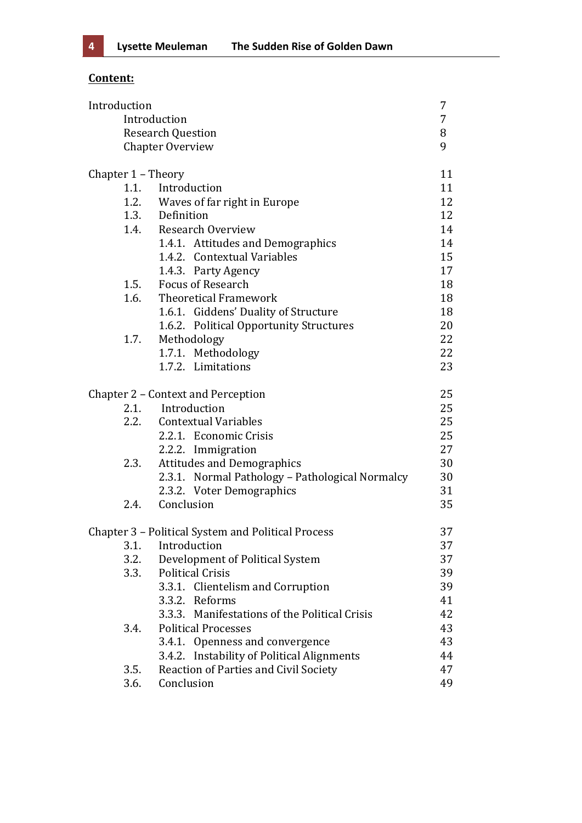# **Content:**

| Introduction             |                                                    | 7  |
|--------------------------|----------------------------------------------------|----|
|                          | Introduction                                       |    |
| <b>Research Question</b> |                                                    | 8  |
|                          | <b>Chapter Overview</b>                            | 9  |
| Chapter 1 - Theory       |                                                    | 11 |
| 1.1.                     | Introduction                                       | 11 |
| 1.2.                     | Waves of far right in Europe                       | 12 |
|                          | 1.3. Definition                                    | 12 |
| 1.4.                     | <b>Research Overview</b>                           | 14 |
|                          | 1.4.1. Attitudes and Demographics                  | 14 |
|                          | 1.4.2. Contextual Variables                        | 15 |
|                          | 1.4.3. Party Agency                                | 17 |
| 1.5.                     | <b>Focus of Research</b>                           | 18 |
| 1.6.                     | Theoretical Framework                              | 18 |
|                          | 1.6.1. Giddens' Duality of Structure               | 18 |
|                          | 1.6.2. Political Opportunity Structures            | 20 |
| 1.7.                     | Methodology                                        | 22 |
|                          | 1.7.1. Methodology                                 | 22 |
|                          | 1.7.2. Limitations                                 | 23 |
|                          | Chapter 2 – Context and Perception                 | 25 |
|                          | 2.1. Introduction                                  | 25 |
| 2.2.                     | <b>Contextual Variables</b>                        | 25 |
|                          | 2.2.1. Economic Crisis                             | 25 |
|                          | 2.2.2. Immigration                                 | 27 |
| 2.3.                     | <b>Attitudes and Demographics</b>                  | 30 |
|                          | 2.3.1. Normal Pathology - Pathological Normalcy    | 30 |
|                          | 2.3.2. Voter Demographics                          | 31 |
| 2.4.                     | Conclusion                                         | 35 |
|                          | Chapter 3 - Political System and Political Process | 37 |
| 3.1.                     | Introduction                                       | 37 |
| 3.2.                     | Development of Political System                    | 37 |
| 3.3.                     | <b>Political Crisis</b>                            | 39 |
|                          | 3.3.1. Clientelism and Corruption                  | 39 |
|                          | 3.3.2. Reforms                                     | 41 |
|                          | 3.3.3. Manifestations of the Political Crisis      | 42 |
| 3.4.                     | <b>Political Processes</b>                         | 43 |
|                          | 3.4.1. Openness and convergence                    | 43 |
|                          | 3.4.2. Instability of Political Alignments         | 44 |
| 3.5.                     | <b>Reaction of Parties and Civil Society</b>       | 47 |
| 3.6.                     | Conclusion                                         | 49 |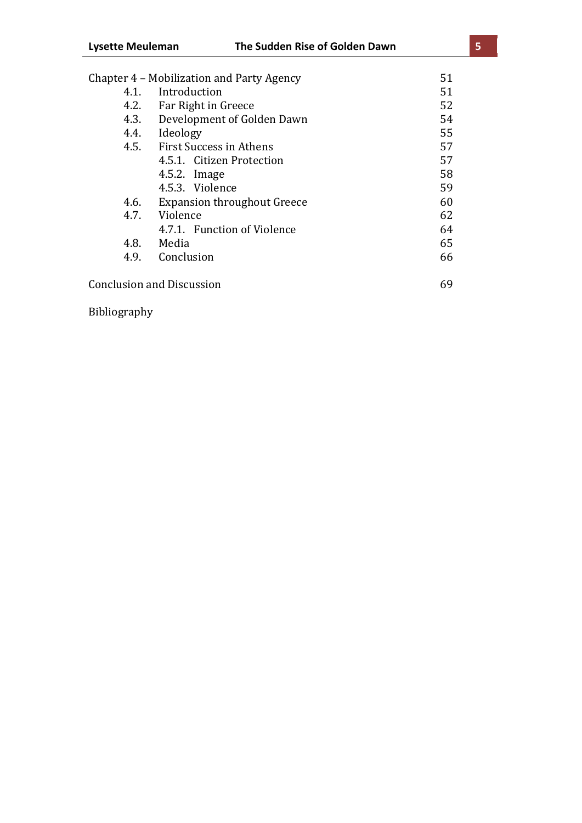| Chapter 4 - Mobilization and Party Agency |                                    | 51 |
|-------------------------------------------|------------------------------------|----|
| 4.1.                                      | Introduction                       | 51 |
| 4.2.                                      | Far Right in Greece                | 52 |
| 4.3.                                      | Development of Golden Dawn         | 54 |
| 4.4.                                      | Ideology                           | 55 |
|                                           | 4.5. First Success in Athens       | 57 |
|                                           | 4.5.1. Citizen Protection          | 57 |
|                                           | 4.5.2. Image                       | 58 |
|                                           | 4.5.3. Violence                    | 59 |
| 4.6.                                      | <b>Expansion throughout Greece</b> | 60 |
| 4.7.                                      | Violence                           | 62 |
|                                           | 4.7.1. Function of Violence        | 64 |
| 4.8.                                      | Media                              | 65 |
| 4.9.                                      | Conclusion                         | 66 |
| <b>Conclusion and Discussion</b>          |                                    | 69 |

Bibliography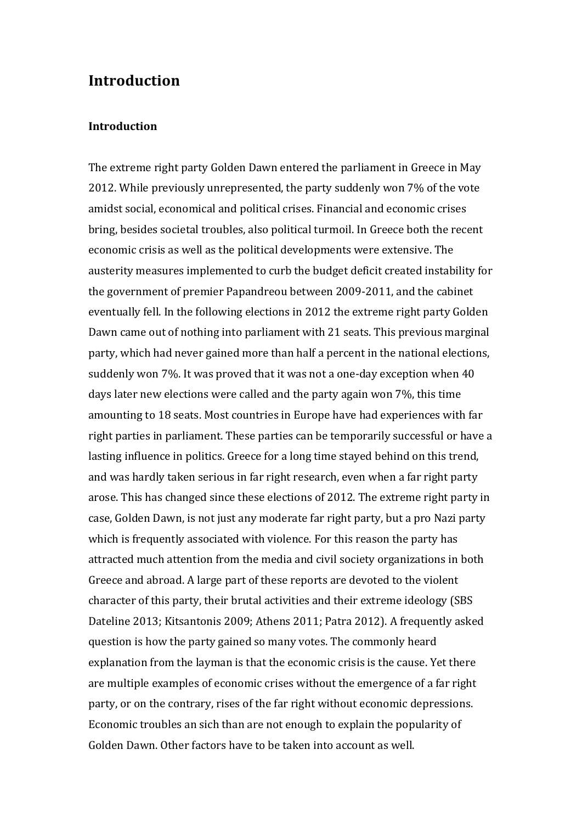# **Introduction)**

# **Introduction**

The extreme right party Golden Dawn entered the parliament in Greece in May 2012. While previously unrepresented, the party suddenly won 7% of the vote amidst social, economical and political crises. Financial and economic crises bring, besides societal troubles, also political turmoil. In Greece both the recent economic crisis as well as the political developments were extensive. The austerity measures implemented to curb the budget deficit created instability for the government of premier Papandreou between 2009-2011, and the cabinet eventually fell. In the following elections in 2012 the extreme right party Golden Dawn came out of nothing into parliament with 21 seats. This previous marginal party, which had never gained more than half a percent in the national elections, suddenly won 7%. It was proved that it was not a one-day exception when 40 days later new elections were called and the party again won 7%, this time amounting to 18 seats. Most countries in Europe have had experiences with far right parties in parliament. These parties can be temporarily successful or have a lasting influence in politics. Greece for a long time stayed behind on this trend, and was hardly taken serious in far right research, even when a far right party arose. This has changed since these elections of 2012. The extreme right party in case, Golden Dawn, is not just any moderate far right party, but a pro Nazi party which is frequently associated with violence. For this reason the party has attracted much attention from the media and civil society organizations in both Greece and abroad. A large part of these reports are devoted to the violent character of this party, their brutal activities and their extreme ideology (SBS Dateline 2013; Kitsantonis 2009; Athens 2011; Patra 2012). A frequently asked question is how the party gained so many votes. The commonly heard explanation from the layman is that the economic crisis is the cause. Yet there are multiple examples of economic crises without the emergence of a far right party, or on the contrary, rises of the far right without economic depressions. Economic troubles an sich than are not enough to explain the popularity of Golden Dawn. Other factors have to be taken into account as well.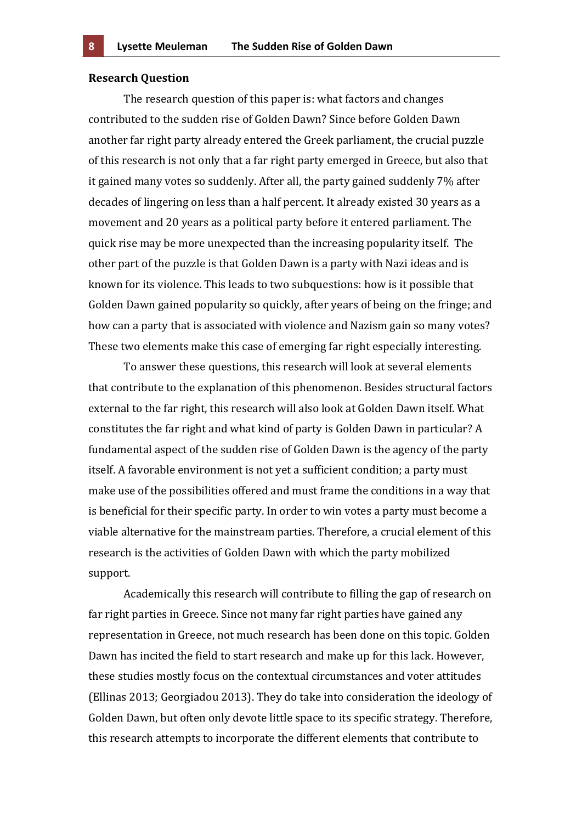#### **Research)Question**

The research question of this paper is: what factors and changes contributed to the sudden rise of Golden Dawn? Since before Golden Dawn another far right party already entered the Greek parliament, the crucial puzzle of this research is not only that a far right party emerged in Greece, but also that it gained many votes so suddenly. After all, the party gained suddenly 7% after decades of lingering on less than a half percent. It already existed 30 years as a movement and 20 years as a political party before it entered parliament. The quick rise may be more unexpected than the increasing popularity itself. The other part of the puzzle is that Golden Dawn is a party with Nazi ideas and is known for its violence. This leads to two subquestions: how is it possible that Golden Dawn gained popularity so quickly, after years of being on the fringe; and how can a party that is associated with violence and Nazism gain so many votes? These two elements make this case of emerging far right especially interesting.

To answer these questions, this research will look at several elements that contribute to the explanation of this phenomenon. Besides structural factors external to the far right, this research will also look at Golden Dawn itself. What constitutes the far right and what kind of party is Golden Dawn in particular? A fundamental aspect of the sudden rise of Golden Dawn is the agency of the party itself. A favorable environment is not yet a sufficient condition; a party must make use of the possibilities offered and must frame the conditions in a way that is beneficial for their specific party. In order to win votes a party must become a viable alternative for the mainstream parties. Therefore, a crucial element of this research is the activities of Golden Dawn with which the party mobilized support.

Academically this research will contribute to filling the gap of research on far right parties in Greece. Since not many far right parties have gained any representation in Greece, not much research has been done on this topic. Golden Dawn has incited the field to start research and make up for this lack. However, these studies mostly focus on the contextual circumstances and voter attitudes (Ellinas 2013; Georgiadou 2013). They do take into consideration the ideology of Golden Dawn, but often only devote little space to its specific strategy. Therefore, this research attempts to incorporate the different elements that contribute to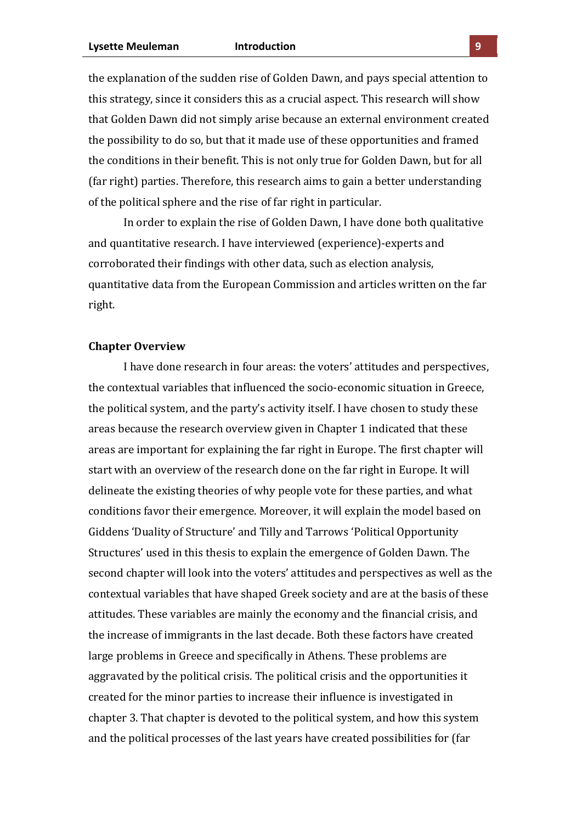the explanation of the sudden rise of Golden Dawn, and pays special attention to this strategy, since it considers this as a crucial aspect. This research will show that Golden Dawn did not simply arise because an external environment created the possibility to do so, but that it made use of these opportunities and framed the conditions in their benefit. This is not only true for Golden Dawn, but for all (far right) parties. Therefore, this research aims to gain a better understanding of the political sphere and the rise of far right in particular.

In order to explain the rise of Golden Dawn, I have done both qualitative and quantitative research. I have interviewed (experience)-experts and corroborated their findings with other data, such as election analysis, quantitative data from the European Commission and articles written on the far right.!

#### **Chapter Overview**

I have done research in four areas: the voters' attitudes and perspectives, the contextual variables that influenced the socio-economic situation in Greece, the political system, and the party's activity itself. I have chosen to study these areas because the research overview given in Chapter 1 indicated that these areas are important for explaining the far right in Europe. The first chapter will start with an overview of the research done on the far right in Europe. It will delineate the existing theories of why people vote for these parties, and what conditions favor their emergence. Moreover, it will explain the model based on Giddens 'Duality of Structure' and Tilly and Tarrows 'Political Opportunity Structures' used in this thesis to explain the emergence of Golden Dawn. The second chapter will look into the voters' attitudes and perspectives as well as the contextual variables that have shaped Greek society and are at the basis of these attitudes. These variables are mainly the economy and the financial crisis, and the increase of immigrants in the last decade. Both these factors have created large problems in Greece and specifically in Athens. These problems are aggravated by the political crisis. The political crisis and the opportunities it created for the minor parties to increase their influence is investigated in chapter 3. That chapter is devoted to the political system, and how this system and the political processes of the last years have created possibilities for (far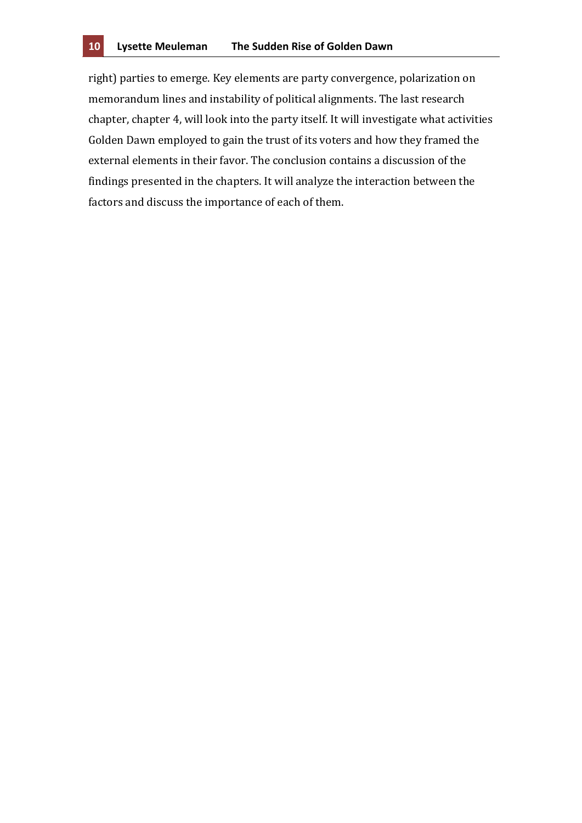right) parties to emerge. Key elements are party convergence, polarization on memorandum lines and instability of political alignments. The last research chapter, chapter 4, will look into the party itself. It will investigate what activities Golden Dawn employed to gain the trust of its voters and how they framed the external elements in their favor. The conclusion contains a discussion of the findings presented in the chapters. It will analyze the interaction between the factors and discuss the importance of each of them.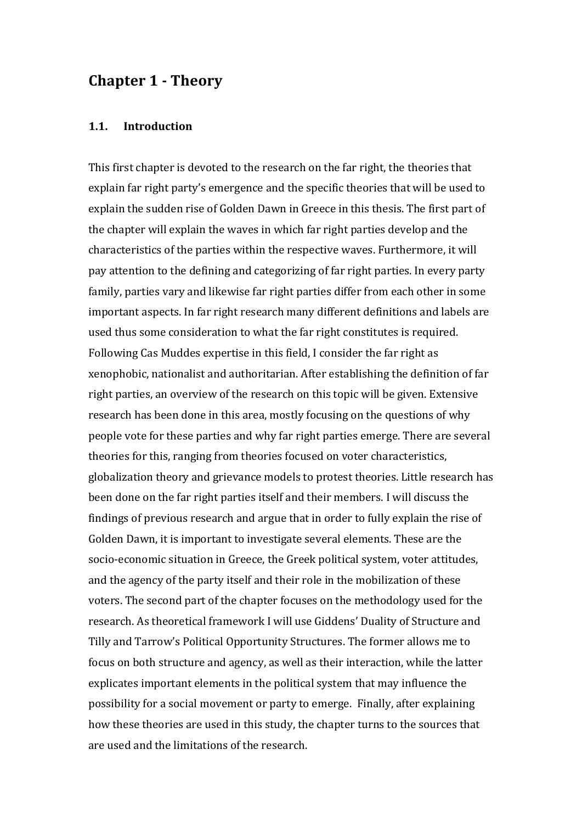# **Chapter)1): Theory**

# **1.1. Introduction**

This first chapter is devoted to the research on the far right, the theories that explain far right party's emergence and the specific theories that will be used to explain the sudden rise of Golden Dawn in Greece in this thesis. The first part of the chapter will explain the waves in which far right parties develop and the characteristics of the parties within the respective waves. Furthermore, it will pay attention to the defining and categorizing of far right parties. In every party family, parties vary and likewise far right parties differ from each other in some important aspects. In far right research many different definitions and labels are used thus some consideration to what the far right constitutes is required. Following Cas Muddes expertise in this field, I consider the far right as xenophobic, nationalist and authoritarian. After establishing the definition of far right parties, an overview of the research on this topic will be given. Extensive research has been done in this area, mostly focusing on the questions of why people vote for these parties and why far right parties emerge. There are several theories for this, ranging from theories focused on voter characteristics, globalization theory and grievance models to protest theories. Little research has been done on the far right parties itself and their members. I will discuss the findings of previous research and argue that in order to fully explain the rise of Golden Dawn, it is important to investigate several elements. These are the socio-economic situation in Greece, the Greek political system, voter attitudes, and the agency of the party itself and their role in the mobilization of these voters. The second part of the chapter focuses on the methodology used for the research. As theoretical framework I will use Giddens' Duality of Structure and Tilly and Tarrow's Political Opportunity Structures. The former allows me to focus on both structure and agency, as well as their interaction, while the latter explicates important elements in the political system that may influence the possibility for a social movement or party to emerge. Finally, after explaining how these theories are used in this study, the chapter turns to the sources that are used and the limitations of the research.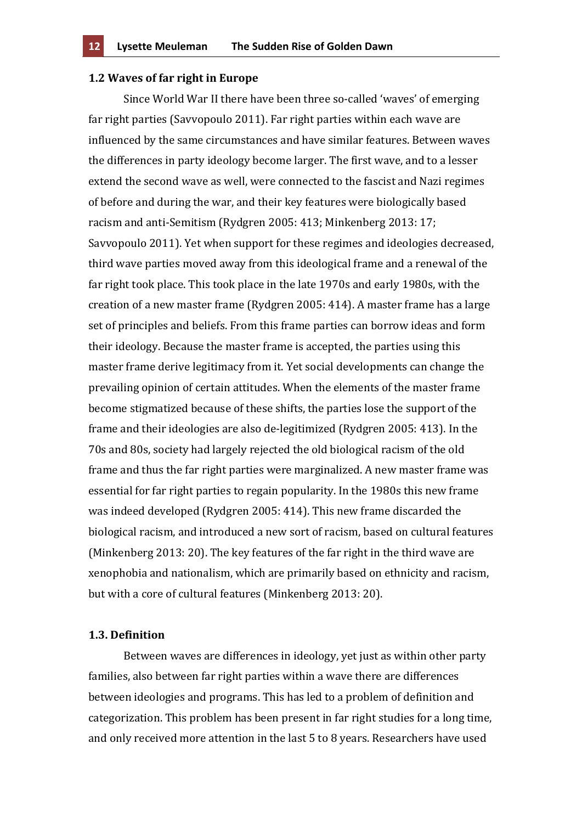#### **1.2 Waves of far right in Europe**

Since World War II there have been three so-called 'waves' of emerging far right parties (Savvopoulo 2011). Far right parties within each wave are influenced by the same circumstances and have similar features. Between waves the differences in party ideology become larger. The first wave, and to a lesser extend the second wave as well, were connected to the fascist and Nazi regimes of before and during the war, and their key features were biologically based racism and anti-Semitism (Rydgren 2005: 413; Minkenberg 2013: 17; Savvopoulo 2011). Yet when support for these regimes and ideologies decreased, third wave parties moved away from this ideological frame and a renewal of the far right took place. This took place in the late 1970s and early 1980s, with the creation of a new master frame (Rydgren 2005: 414). A master frame has a large set of principles and beliefs. From this frame parties can borrow ideas and form their ideology. Because the master frame is accepted, the parties using this master frame derive legitimacy from it. Yet social developments can change the prevailing opinion of certain attitudes. When the elements of the master frame become stigmatized because of these shifts, the parties lose the support of the frame and their ideologies are also de-legitimized (Rydgren 2005: 413). In the 70s and 80s, society had largely rejected the old biological racism of the old frame and thus the far right parties were marginalized. A new master frame was essential for far right parties to regain popularity. In the 1980s this new frame was indeed developed (Rydgren 2005: 414). This new frame discarded the biological racism, and introduced a new sort of racism, based on cultural features (Minkenberg 2013: 20). The key features of the far right in the third wave are xenophobia and nationalism, which are primarily based on ethnicity and racism, but with a core of cultural features (Minkenberg 2013: 20).

#### **1.3.)Definition**

Between waves are differences in ideology, yet just as within other party families, also between far right parties within a wave there are differences between ideologies and programs. This has led to a problem of definition and categorization. This problem has been present in far right studies for a long time, and only received more attention in the last 5 to 8 years. Researchers have used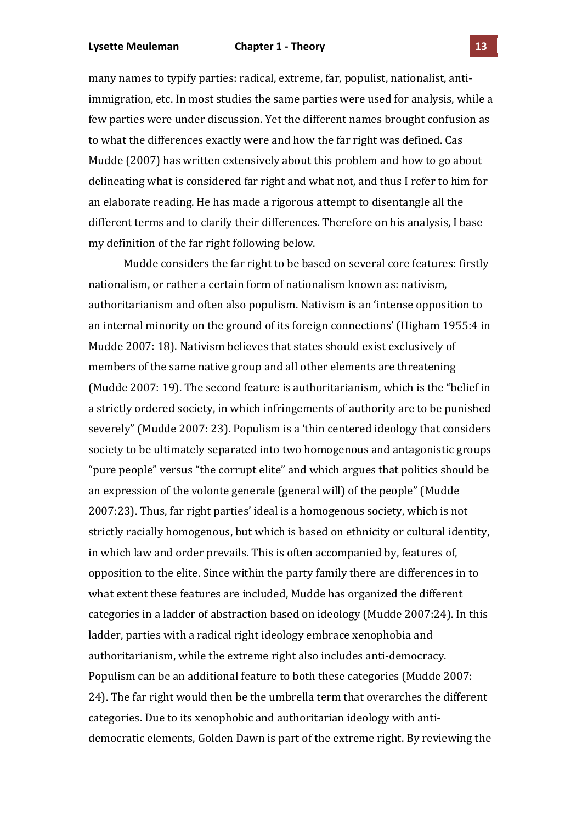many names to typify parties: radical, extreme, far, populist, nationalist, antiimmigration, etc. In most studies the same parties were used for analysis, while a few parties were under discussion. Yet the different names brought confusion as to what the differences exactly were and how the far right was defined. Cas Mudde (2007) has written extensively about this problem and how to go about delineating what is considered far right and what not, and thus I refer to him for an elaborate reading. He has made a rigorous attempt to disentangle all the different terms and to clarify their differences. Therefore on his analysis, I base my definition of the far right following below.

Mudde considers the far right to be based on several core features: firstly nationalism, or rather a certain form of nationalism known as: nativism, authoritarianism and often also populism. Nativism is an 'intense opposition to an internal minority on the ground of its foreign connections' (Higham 1955:4 in Mudde 2007: 18). Nativism believes that states should exist exclusively of members of the same native group and all other elements are threatening (Mudde 2007: 19). The second feature is authoritarianism, which is the "belief in a strictly ordered society, in which infringements of authority are to be punished severely" (Mudde 2007: 23). Populism is a 'thin centered ideology that considers society to be ultimately separated into two homogenous and antagonistic groups "pure people" versus "the corrupt elite" and which argues that politics should be an expression of the volonte generale (general will) of the people" (Mudde 2007:23). Thus, far right parties' ideal is a homogenous society, which is not strictly racially homogenous, but which is based on ethnicity or cultural identity, in which law and order prevails. This is often accompanied by, features of, opposition to the elite. Since within the party family there are differences in to what extent these features are included, Mudde has organized the different categories in a ladder of abstraction based on ideology (Mudde 2007:24). In this ladder, parties with a radical right ideology embrace xenophobia and authoritarianism, while the extreme right also includes anti-democracy. Populism can be an additional feature to both these categories (Mudde 2007: 24). The far right would then be the umbrella term that overarches the different categories. Due to its xenophobic and authoritarian ideology with antidemocratic elements, Golden Dawn is part of the extreme right. By reviewing the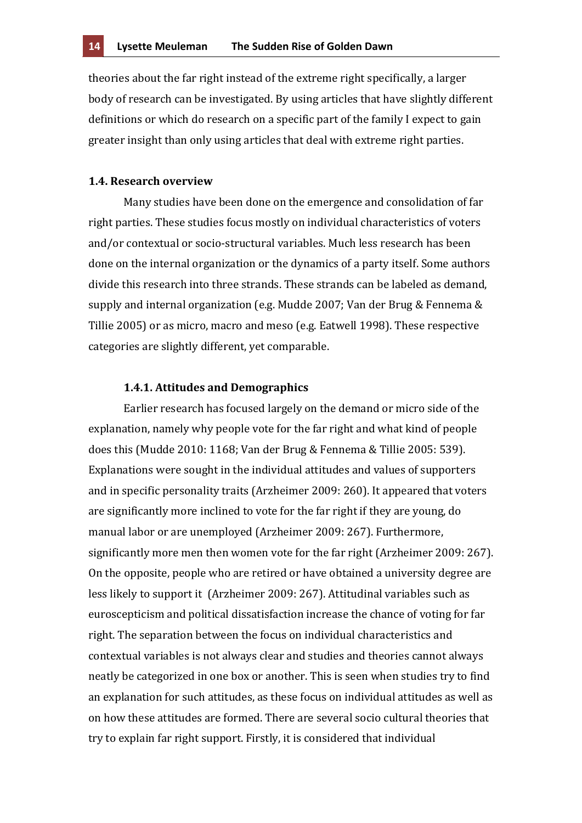theories about the far right instead of the extreme right specifically, a larger body of research can be investigated. By using articles that have slightly different definitions or which do research on a specific part of the family I expect to gain greater insight than only using articles that deal with extreme right parties.

#### **1.4.)Research)overview**

Many studies have been done on the emergence and consolidation of far right parties. These studies focus mostly on individual characteristics of voters and/or contextual or socio-structural variables. Much less research has been done on the internal organization or the dynamics of a party itself. Some authors divide this research into three strands. These strands can be labeled as demand, supply and internal organization (e.g. Mudde 2007; Van der Brug & Fennema & Tillie 2005) or as micro, macro and meso (e.g. Eatwell 1998). These respective categories are slightly different, yet comparable.

#### 1.4.1. Attitudes and Demographics

Earlier research has focused largely on the demand or micro side of the explanation, namely why people vote for the far right and what kind of people does this (Mudde 2010: 1168; Van der Brug & Fennema & Tillie 2005: 539). Explanations were sought in the individual attitudes and values of supporters and in specific personality traits (Arzheimer 2009: 260). It appeared that voters are significantly more inclined to vote for the far right if they are young, do manual labor or are unemployed (Arzheimer 2009: 267). Furthermore, significantly more men then women vote for the far right (Arzheimer 2009: 267). On the opposite, people who are retired or have obtained a university degree are less likely to support it (Arzheimer 2009: 267). Attitudinal variables such as euroscepticism and political dissatisfaction increase the chance of voting for far right. The separation between the focus on individual characteristics and contextual variables is not always clear and studies and theories cannot always neatly be categorized in one box or another. This is seen when studies try to find an explanation for such attitudes, as these focus on individual attitudes as well as on how these attitudes are formed. There are several socio cultural theories that try to explain far right support. Firstly, it is considered that individual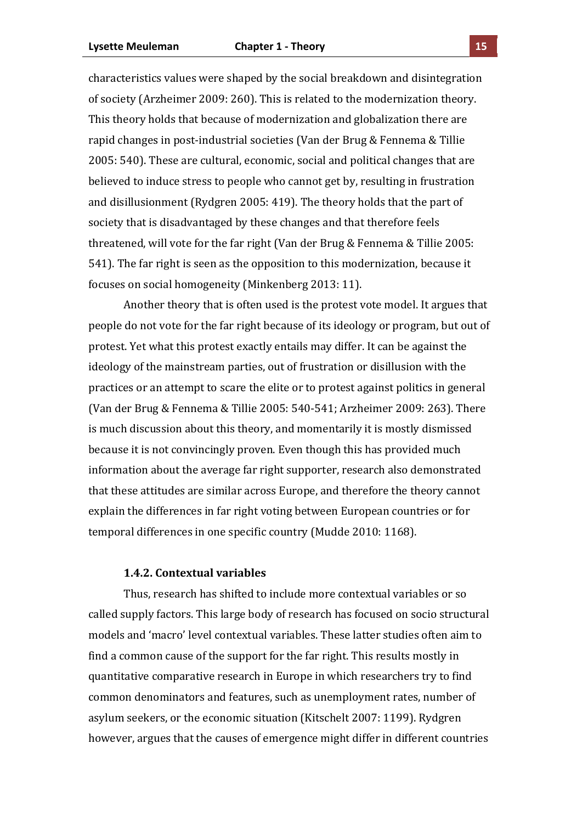characteristics values were shaped by the social breakdown and disintegration of society (Arzheimer 2009: 260). This is related to the modernization theory. This theory holds that because of modernization and globalization there are rapid changes in post-industrial societies (Van der Brug & Fennema & Tillie) 2005: 540). These are cultural, economic, social and political changes that are believed to induce stress to people who cannot get by, resulting in frustration and disillusionment (Rydgren 2005: 419). The theory holds that the part of society that is disadvantaged by these changes and that therefore feels threatened, will vote for the far right (Van der Brug & Fennema & Tillie 2005: 541). The far right is seen as the opposition to this modernization, because it focuses on social homogeneity (Minkenberg 2013: 11).

Another theory that is often used is the protest vote model. It argues that people do not vote for the far right because of its ideology or program, but out of protest. Yet what this protest exactly entails may differ. It can be against the ideology of the mainstream parties, out of frustration or disillusion with the practices or an attempt to scare the elite or to protest against politics in general (Van der Brug & Fennema & Tillie 2005: 540-541; Arzheimer 2009: 263). There is much discussion about this theory, and momentarily it is mostly dismissed because it is not convincingly proven. Even though this has provided much information about the average far right supporter, research also demonstrated that these attitudes are similar across Europe, and therefore the theory cannot explain the differences in far right voting between European countries or for temporal differences in one specific country (Mudde 2010: 1168).

# **1.4.2.)Contextual)variables**

Thus, research has shifted to include more contextual variables or so called supply factors. This large body of research has focused on socio structural models and 'macro' level contextual variables. These latter studies often aim to find a common cause of the support for the far right. This results mostly in quantitative comparative research in Europe in which researchers try to find common denominators and features, such as unemployment rates, number of asylum seekers, or the economic situation (Kitschelt 2007: 1199). Rydgren however, argues that the causes of emergence might differ in different countries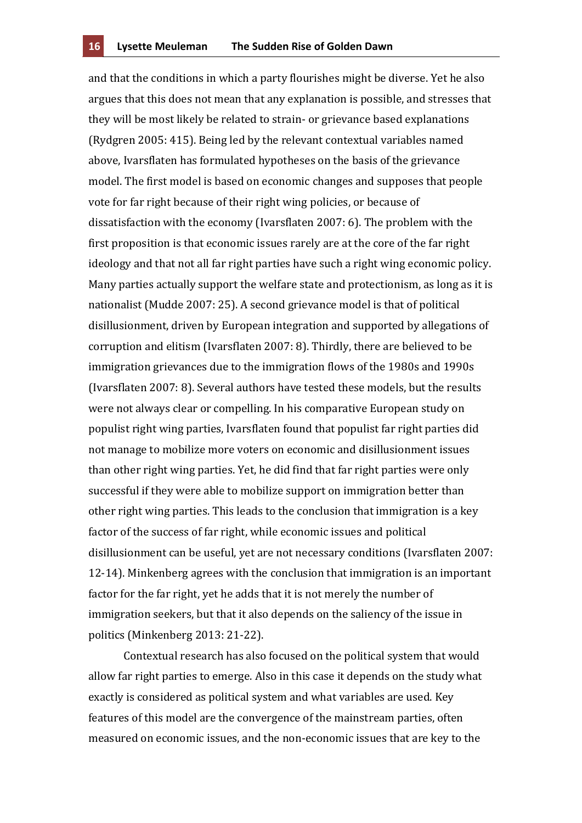and that the conditions in which a party flourishes might be diverse. Yet he also argues that this does not mean that any explanation is possible, and stresses that they will be most likely be related to strain- or grievance based explanations (Rydgren 2005: 415). Being led by the relevant contextual variables named above, Ivarsflaten has formulated hypotheses on the basis of the grievance model. The first model is based on economic changes and supposes that people vote for far right because of their right wing policies, or because of dissatisfaction with the economy (Ivarsflaten 2007: 6). The problem with the first proposition is that economic issues rarely are at the core of the far right ideology and that not all far right parties have such a right wing economic policy. Many parties actually support the welfare state and protectionism, as long as it is nationalist (Mudde 2007: 25). A second grievance model is that of political disillusionment, driven by European integration and supported by allegations of corruption and elitism (Ivarsflaten 2007: 8). Thirdly, there are believed to be immigration grievances due to the immigration flows of the 1980s and 1990s (Ivarsflaten 2007: 8). Several authors have tested these models, but the results were not always clear or compelling. In his comparative European study on populist right wing parties, Ivarsflaten found that populist far right parties did not manage to mobilize more voters on economic and disillusionment issues than other right wing parties. Yet, he did find that far right parties were only successful if they were able to mobilize support on immigration better than other right wing parties. This leads to the conclusion that immigration is a key factor of the success of far right, while economic issues and political disillusionment can be useful, yet are not necessary conditions (Ivarsflaten 2007: 12-14). Minkenberg agrees with the conclusion that immigration is an important factor for the far right, yet he adds that it is not merely the number of immigration seekers, but that it also depends on the saliency of the issue in politics (Minkenberg 2013: 21-22).

Contextual research has also focused on the political system that would allow far right parties to emerge. Also in this case it depends on the study what exactly is considered as political system and what variables are used. Key features of this model are the convergence of the mainstream parties, often measured on economic issues, and the non-economic issues that are key to the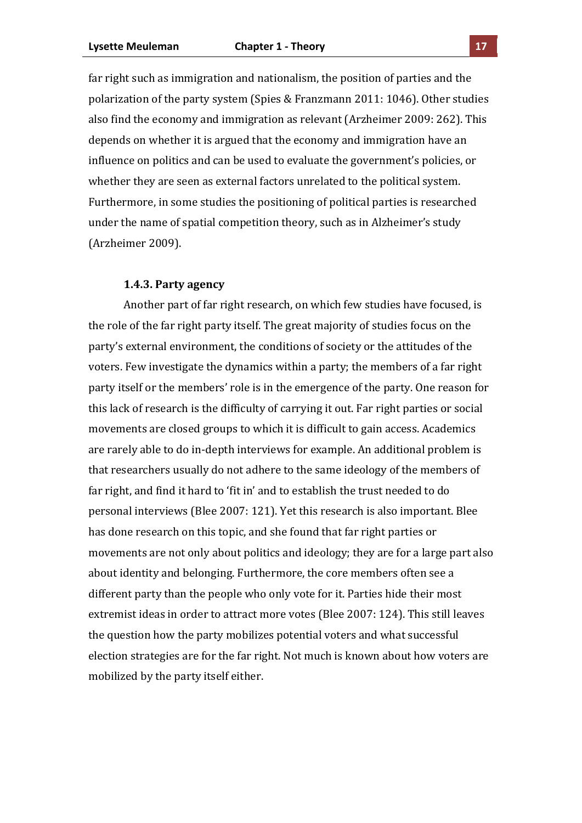far right such as immigration and nationalism, the position of parties and the polarization of the party system (Spies & Franzmann 2011: 1046). Other studies also find the economy and immigration as relevant (Arzheimer 2009: 262). This depends on whether it is argued that the economy and immigration have an influence on politics and can be used to evaluate the government's policies, or whether they are seen as external factors unrelated to the political system. Furthermore, in some studies the positioning of political parties is researched under the name of spatial competition theory, such as in Alzheimer's study (Arzheimer 2009).

#### **1.4.3. Party agency**

Another part of far right research, on which few studies have focused, is the role of the far right party itself. The great majority of studies focus on the party's external environment, the conditions of society or the attitudes of the voters. Few investigate the dynamics within a party; the members of a far right party itself or the members' role is in the emergence of the party. One reason for this lack of research is the difficulty of carrying it out. Far right parties or social movements are closed groups to which it is difficult to gain access. Academics are rarely able to do in-depth interviews for example. An additional problem is that researchers usually do not adhere to the same ideology of the members of far right, and find it hard to 'fit in' and to establish the trust needed to do personal interviews (Blee 2007: 121). Yet this research is also important. Blee has done research on this topic, and she found that far right parties or movements are not only about politics and ideology; they are for a large part also about identity and belonging. Furthermore, the core members often see a different party than the people who only vote for it. Parties hide their most extremist ideas in order to attract more votes (Blee 2007: 124). This still leaves the question how the party mobilizes potential voters and what successful election strategies are for the far right. Not much is known about how voters are mobilized by the party itself either.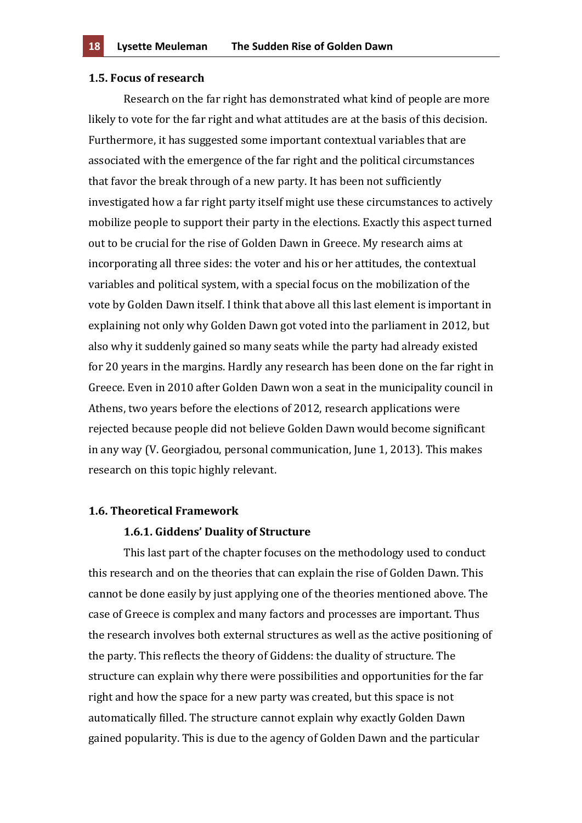## **1.5. Focus of research**

Research on the far right has demonstrated what kind of people are more likely to vote for the far right and what attitudes are at the basis of this decision. Furthermore, it has suggested some important contextual variables that are associated with the emergence of the far right and the political circumstances that favor the break through of a new party. It has been not sufficiently investigated how a far right party itself might use these circumstances to actively mobilize people to support their party in the elections. Exactly this aspect turned out to be crucial for the rise of Golden Dawn in Greece. My research aims at incorporating all three sides: the voter and his or her attitudes, the contextual variables and political system, with a special focus on the mobilization of the vote by Golden Dawn itself. I think that above all this last element is important in explaining not only why Golden Dawn got voted into the parliament in 2012, but also why it suddenly gained so many seats while the party had already existed for 20 years in the margins. Hardly any research has been done on the far right in Greece. Even in 2010 after Golden Dawn won a seat in the municipality council in Athens, two years before the elections of 2012, research applications were rejected because people did not believe Golden Dawn would become significant in any way (V. Georgiadou, personal communication, June 1, 2013). This makes research on this topic highly relevant.

## **1.6. Theoretical)Framework**

#### **1.6.1.)Giddens')Duality)of)Structure**

This last part of the chapter focuses on the methodology used to conduct this research and on the theories that can explain the rise of Golden Dawn. This cannot be done easily by just applying one of the theories mentioned above. The case of Greece is complex and many factors and processes are important. Thus the research involves both external structures as well as the active positioning of the party. This reflects the theory of Giddens: the duality of structure. The structure can explain why there were possibilities and opportunities for the far right and how the space for a new party was created, but this space is not automatically filled. The structure cannot explain why exactly Golden Dawn gained popularity. This is due to the agency of Golden Dawn and the particular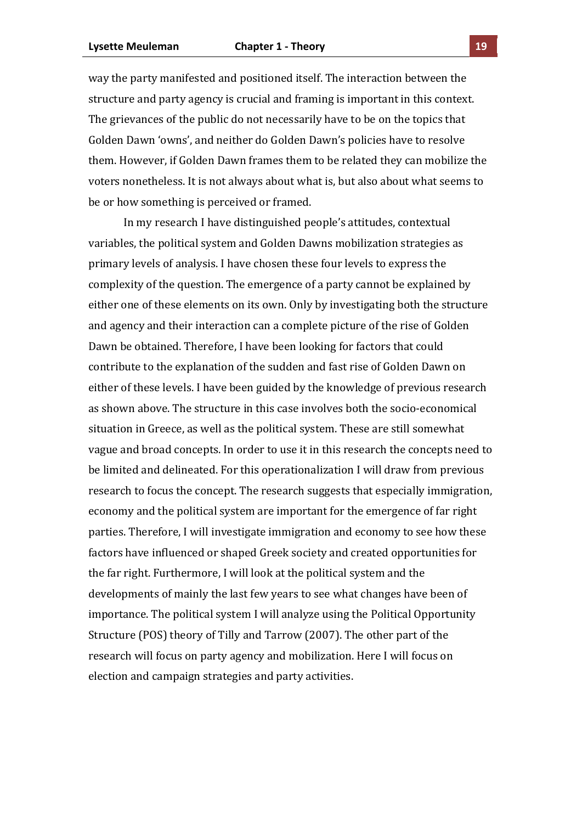way the party manifested and positioned itself. The interaction between the structure and party agency is crucial and framing is important in this context. The grievances of the public do not necessarily have to be on the topics that Golden Dawn 'owns', and neither do Golden Dawn's policies have to resolve them. However, if Golden Dawn frames them to be related they can mobilize the voters nonetheless. It is not always about what is, but also about what seems to be or how something is perceived or framed.

In my research I have distinguished people's attitudes, contextual variables, the political system and Golden Dawns mobilization strategies as primary levels of analysis. I have chosen these four levels to express the complexity of the question. The emergence of a party cannot be explained by either one of these elements on its own. Only by investigating both the structure and agency and their interaction can a complete picture of the rise of Golden Dawn be obtained. Therefore, I have been looking for factors that could contribute to the explanation of the sudden and fast rise of Golden Dawn on either of these levels. I have been guided by the knowledge of previous research as shown above. The structure in this case involves both the socio-economical situation in Greece, as well as the political system. These are still somewhat vague and broad concepts. In order to use it in this research the concepts need to be limited and delineated. For this operationalization I will draw from previous research to focus the concept. The research suggests that especially immigration, economy and the political system are important for the emergence of far right parties. Therefore, I will investigate immigration and economy to see how these factors have influenced or shaped Greek society and created opportunities for the far right. Furthermore, I will look at the political system and the developments of mainly the last few years to see what changes have been of importance. The political system I will analyze using the Political Opportunity Structure (POS) theory of Tilly and Tarrow (2007). The other part of the research will focus on party agency and mobilization. Here I will focus on election and campaign strategies and party activities.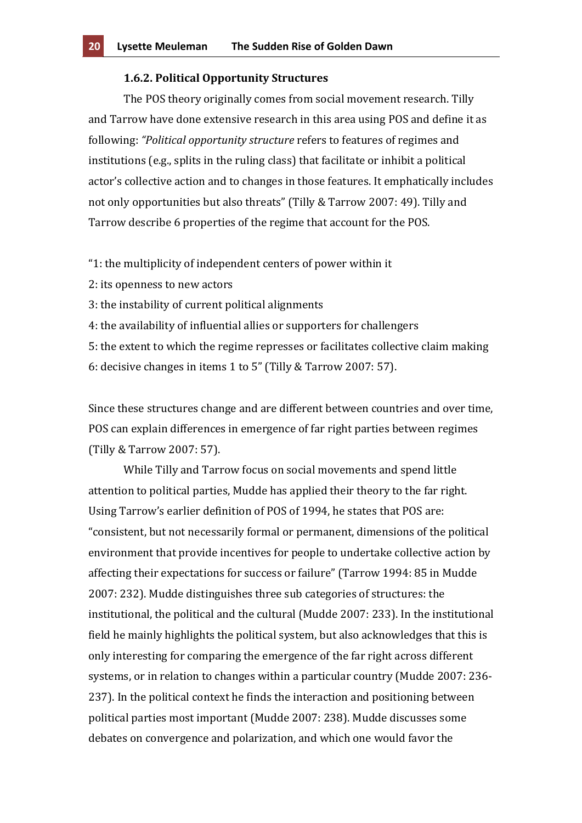#### **1.6.2.)Political)Opportunity)Structures**

The POS theory originally comes from social movement research. Tilly and Tarrow have done extensive research in this area using POS and define it as following: *"Political opportunity structure* refers to features of regimes and institutions (e.g., splits in the ruling class) that facilitate or inhibit a political actor's collective action and to changes in those features. It emphatically includes not only opportunities but also threats" (Tilly & Tarrow 2007: 49). Tilly and Tarrow describe 6 properties of the regime that account for the POS.

"1: the multiplicity of independent centers of power within it

- 2: its openness to new actors
- 3: the instability of current political alignments
- 4: the availability of influential allies or supporters for challengers

5: the extent to which the regime represses or facilitates collective claim making 6: decisive changes in items 1 to 5" (Tilly & Tarrow 2007: 57).

Since these structures change and are different between countries and over time, POS can explain differences in emergence of far right parties between regimes (Tilly & Tarrow 2007: 57).

While Tilly and Tarrow focus on social movements and spend little attention to political parties, Mudde has applied their theory to the far right. Using Tarrow's earlier definition of POS of 1994, he states that POS are: "consistent, but not necessarily formal or permanent, dimensions of the political environment that provide incentives for people to undertake collective action by affecting their expectations for success or failure" (Tarrow 1994: 85 in Mudde 2007: 232). Mudde distinguishes three sub categories of structures: the institutional, the political and the cultural (Mudde 2007: 233). In the institutional field he mainly highlights the political system, but also acknowledges that this is only interesting for comparing the emergence of the far right across different systems, or in relation to changes within a particular country (Mudde 2007: 236-237). In the political context he finds the interaction and positioning between political parties most important (Mudde 2007: 238). Mudde discusses some debates on convergence and polarization, and which one would favor the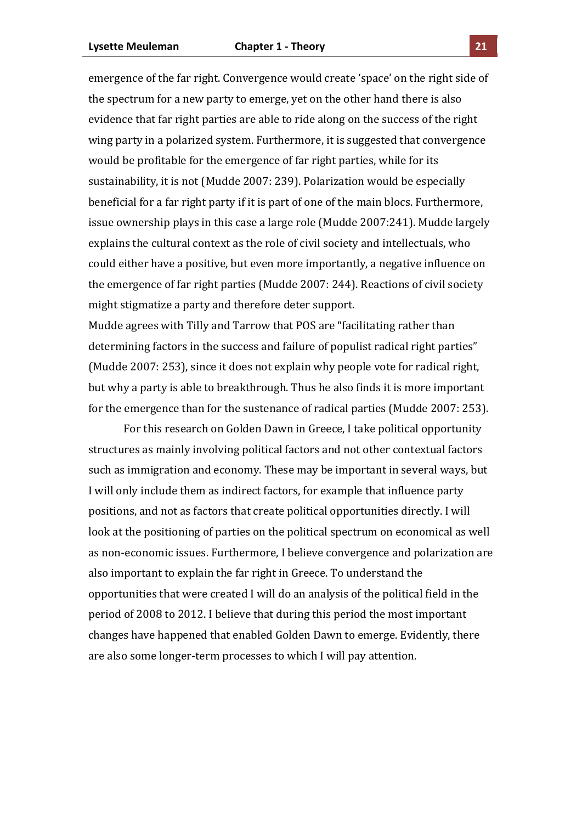emergence of the far right. Convergence would create 'space' on the right side of the spectrum for a new party to emerge, yet on the other hand there is also evidence that far right parties are able to ride along on the success of the right wing party in a polarized system. Furthermore, it is suggested that convergence would be profitable for the emergence of far right parties, while for its sustainability, it is not (Mudde 2007: 239). Polarization would be especially beneficial for a far right party if it is part of one of the main blocs. Furthermore, issue ownership plays in this case a large role (Mudde 2007:241). Mudde largely explains the cultural context as the role of civil society and intellectuals, who could either have a positive, but even more importantly, a negative influence on the emergence of far right parties (Mudde 2007: 244). Reactions of civil society might stigmatize a party and therefore deter support.

Mudde agrees with Tilly and Tarrow that POS are "facilitating rather than determining factors in the success and failure of populist radical right parties" (Mudde 2007: 253), since it does not explain why people vote for radical right, but why a party is able to breakthrough. Thus he also finds it is more important for the emergence than for the sustenance of radical parties (Mudde 2007: 253).

For this research on Golden Dawn in Greece, I take political opportunity structures as mainly involving political factors and not other contextual factors such as immigration and economy. These may be important in several ways, but I will only include them as indirect factors, for example that influence party positions, and not as factors that create political opportunities directly. I will look at the positioning of parties on the political spectrum on economical as well as non-economic issues. Furthermore, I believe convergence and polarization are also important to explain the far right in Greece. To understand the opportunities that were created I will do an analysis of the political field in the period of 2008 to 2012. I believe that during this period the most important changes have happened that enabled Golden Dawn to emerge. Evidently, there are also some longer-term processes to which I will pay attention.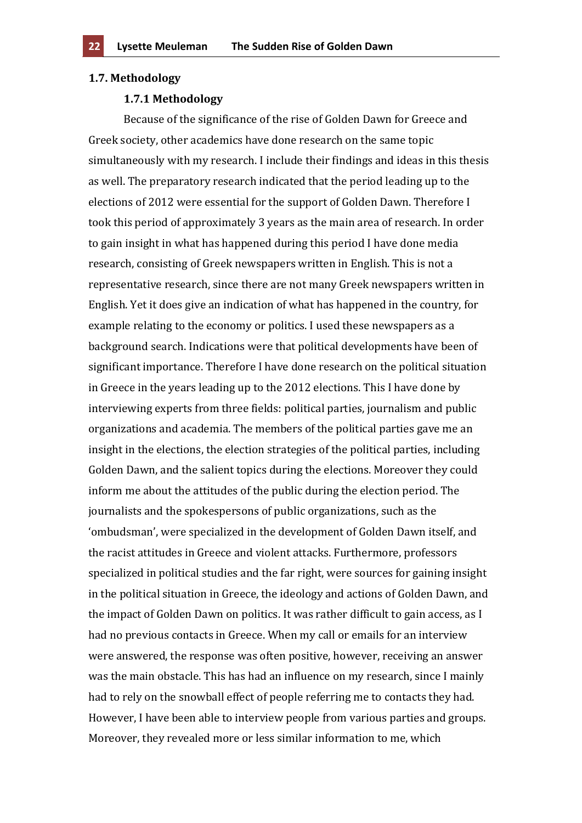#### 1.7. Methodology

#### **1.7.1)Methodology**

Because of the significance of the rise of Golden Dawn for Greece and Greek society, other academics have done research on the same topic simultaneously with my research. I include their findings and ideas in this thesis as well. The preparatory research indicated that the period leading up to the elections of 2012 were essential for the support of Golden Dawn. Therefore I took this period of approximately 3 years as the main area of research. In order to gain insight in what has happened during this period I have done media research, consisting of Greek newspapers written in English. This is not a representative research, since there are not many Greek newspapers written in English. Yet it does give an indication of what has happened in the country, for example relating to the economy or politics. I used these newspapers as a background search. Indications were that political developments have been of significant importance. Therefore I have done research on the political situation in Greece in the years leading up to the 2012 elections. This I have done by interviewing experts from three fields: political parties, journalism and public organizations and academia. The members of the political parties gave me an insight in the elections, the election strategies of the political parties, including Golden Dawn, and the salient topics during the elections. Moreover they could inform me about the attitudes of the public during the election period. The journalists and the spokespersons of public organizations, such as the 'ombudsman', were specialized in the development of Golden Dawn itself, and the racist attitudes in Greece and violent attacks. Furthermore, professors specialized in political studies and the far right, were sources for gaining insight in the political situation in Greece, the ideology and actions of Golden Dawn, and the impact of Golden Dawn on politics. It was rather difficult to gain access, as I had no previous contacts in Greece. When my call or emails for an interview were answered, the response was often positive, however, receiving an answer was the main obstacle. This has had an influence on my research, since I mainly had to rely on the snowball effect of people referring me to contacts they had. However, I have been able to interview people from various parties and groups. Moreover, they revealed more or less similar information to me, which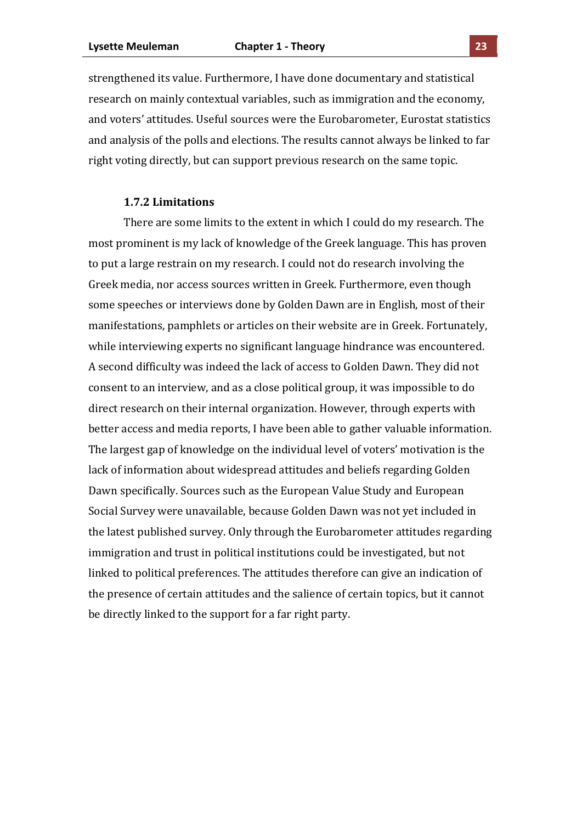strengthened its value. Furthermore, I have done documentary and statistical research on mainly contextual variables, such as immigration and the economy, and voters' attitudes. Useful sources were the Eurobarometer, Eurostat statistics and analysis of the polls and elections. The results cannot always be linked to far right voting directly, but can support previous research on the same topic.

#### **1.7.2 Limitations**

There are some limits to the extent in which I could do my research. The most prominent is my lack of knowledge of the Greek language. This has proven to put a large restrain on my research. I could not do research involving the Greek media, nor access sources written in Greek. Furthermore, even though some speeches or interviews done by Golden Dawn are in English, most of their manifestations, pamphlets or articles on their website are in Greek. Fortunately, while interviewing experts no significant language hindrance was encountered. A second difficulty was indeed the lack of access to Golden Dawn. They did not consent to an interview, and as a close political group, it was impossible to do direct research on their internal organization. However, through experts with better access and media reports, I have been able to gather valuable information. The largest gap of knowledge on the individual level of voters' motivation is the lack of information about widespread attitudes and beliefs regarding Golden Dawn specifically. Sources such as the European Value Study and European Social Survey were unavailable, because Golden Dawn was not yet included in the latest published survey. Only through the Eurobarometer attitudes regarding immigration and trust in political institutions could be investigated, but not linked to political preferences. The attitudes therefore can give an indication of the presence of certain attitudes and the salience of certain topics, but it cannot be directly linked to the support for a far right party.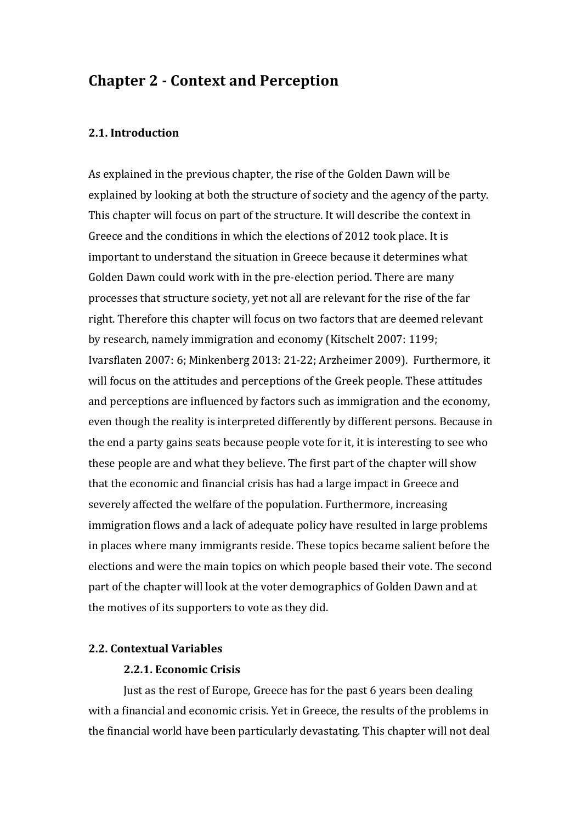# **Chapter)2): Context)and)Perception)**

# **2.1.)Introduction**

As explained in the previous chapter, the rise of the Golden Dawn will be explained by looking at both the structure of society and the agency of the party. This chapter will focus on part of the structure. It will describe the context in Greece and the conditions in which the elections of 2012 took place. It is important to understand the situation in Greece because it determines what Golden Dawn could work with in the pre-election period. There are many processes that structure society, yet not all are relevant for the rise of the far right. Therefore this chapter will focus on two factors that are deemed relevant by research, namely immigration and economy (Kitschelt 2007: 1199; Ivarsflaten 2007: 6; Minkenberg 2013: 21-22; Arzheimer 2009). Furthermore, it will focus on the attitudes and perceptions of the Greek people. These attitudes and perceptions are influenced by factors such as immigration and the economy, even though the reality is interpreted differently by different persons. Because in the end a party gains seats because people vote for it, it is interesting to see who these people are and what they believe. The first part of the chapter will show that the economic and financial crisis has had a large impact in Greece and severely affected the welfare of the population. Furthermore, increasing immigration flows and a lack of adequate policy have resulted in large problems in places where many immigrants reside. These topics became salient before the elections and were the main topics on which people based their vote. The second part of the chapter will look at the voter demographics of Golden Dawn and at the motives of its supporters to vote as they did.

# **2.2.)Contextual)Variables**

# **2.2.1.)Economic)Crisis**

Just as the rest of Europe, Greece has for the past 6 years been dealing with a financial and economic crisis. Yet in Greece, the results of the problems in the financial world have been particularly devastating. This chapter will not deal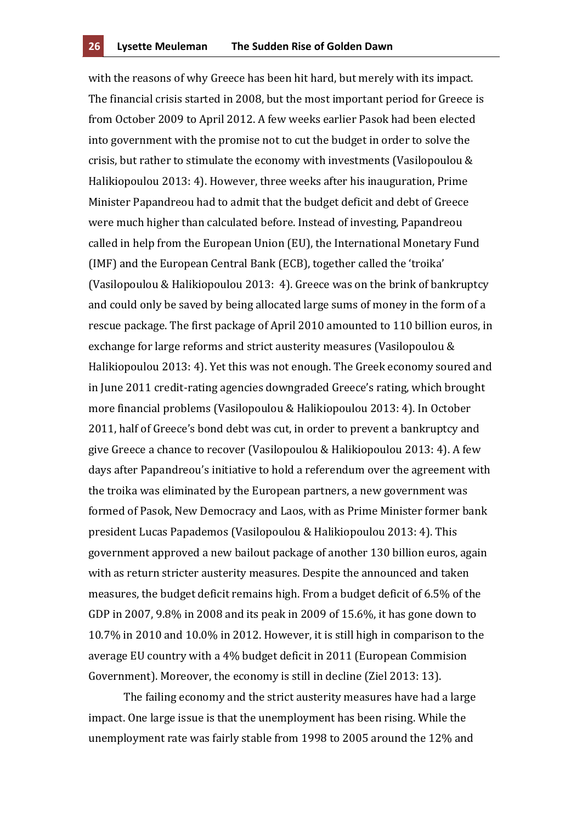with the reasons of why Greece has been hit hard, but merely with its impact. The financial crisis started in 2008, but the most important period for Greece is from October 2009 to April 2012. A few weeks earlier Pasok had been elected into government with the promise not to cut the budget in order to solve the crisis, but rather to stimulate the economy with investments (Vasilopoulou  $&$ Halikiopoulou 2013: 4). However, three weeks after his inauguration, Prime Minister Papandreou had to admit that the budget deficit and debt of Greece were much higher than calculated before. Instead of investing, Papandreou called in help from the European Union (EU), the International Monetary Fund (IMF) and the European Central Bank (ECB), together called the 'troika' (Vasilopoulou & Halikiopoulou 2013: 4). Greece was on the brink of bankruptcy and could only be saved by being allocated large sums of money in the form of a rescue package. The first package of April 2010 amounted to 110 billion euros, in exchange for large reforms and strict austerity measures (Vasilopoulou & Halikiopoulou 2013: 4). Yet this was not enough. The Greek economy soured and in June 2011 credit-rating agencies downgraded Greece's rating, which brought more financial problems (Vasilopoulou & Halikiopoulou 2013: 4). In October 2011, half of Greece's bond debt was cut, in order to prevent a bankruptcy and give Greece a chance to recover (Vasilopoulou & Halikiopoulou 2013: 4). A few days after Papandreou's initiative to hold a referendum over the agreement with the troika was eliminated by the European partners, a new government was formed of Pasok, New Democracy and Laos, with as Prime Minister former bank president Lucas Papademos (Vasilopoulou & Halikiopoulou 2013: 4). This government approved a new bailout package of another 130 billion euros, again with as return stricter austerity measures. Despite the announced and taken measures, the budget deficit remains high. From a budget deficit of 6.5% of the GDP in 2007, 9.8% in 2008 and its peak in 2009 of 15.6%, it has gone down to 10.7% in 2010 and 10.0% in 2012. However, it is still high in comparison to the average EU country with a 4% budget deficit in 2011 (European Commision Government). Moreover, the economy is still in decline (Ziel 2013: 13).

The failing economy and the strict austerity measures have had a large impact. One large issue is that the unemployment has been rising. While the unemployment rate was fairly stable from 1998 to 2005 around the 12% and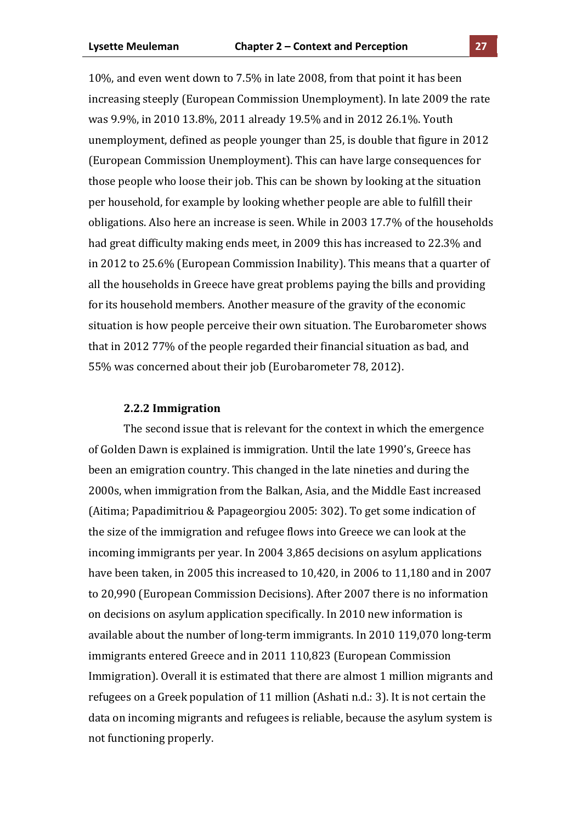10%, and even went down to 7.5% in late 2008, from that point it has been increasing steeply (European Commission Unemployment). In late 2009 the rate was 9.9%, in 2010 13.8%, 2011 already 19.5% and in 2012 26.1%. Youth unemployment, defined as people younger than 25, is double that figure in 2012 (European Commission Unemployment). This can have large consequences for those people who loose their job. This can be shown by looking at the situation per household, for example by looking whether people are able to fulfill their obligations. Also here an increase is seen. While in 2003 17.7% of the households had great difficulty making ends meet, in 2009 this has increased to 22.3% and in 2012 to 25.6% (European Commission Inability). This means that a quarter of all the households in Greece have great problems paying the bills and providing for its household members. Another measure of the gravity of the economic situation is how people perceive their own situation. The Eurobarometer shows that in 2012 77% of the people regarded their financial situation as bad, and 55% was concerned about their job (Eurobarometer 78, 2012).

#### **2.2.2)Immigration**

The second issue that is relevant for the context in which the emergence of Golden Dawn is explained is immigration. Until the late 1990's, Greece has been an emigration country. This changed in the late nineties and during the 2000s, when immigration from the Balkan, Asia, and the Middle East increased (Aitima; Papadimitriou & Papageorgiou 2005: 302). To get some indication of the size of the immigration and refugee flows into Greece we can look at the incoming immigrants per year. In 2004 3,865 decisions on asylum applications have been taken, in 2005 this increased to 10,420, in 2006 to 11,180 and in 2007 to 20,990 (European Commission Decisions). After 2007 there is no information on decisions on asylum application specifically. In 2010 new information is available about the number of long-term immigrants. In 2010 119,070 long-term immigrants entered Greece and in 2011 110,823 (European Commission Immigration). Overall it is estimated that there are almost 1 million migrants and refugees on a Greek population of 11 million (Ashati n.d.: 3). It is not certain the data on incoming migrants and refugees is reliable, because the asylum system is not functioning properly.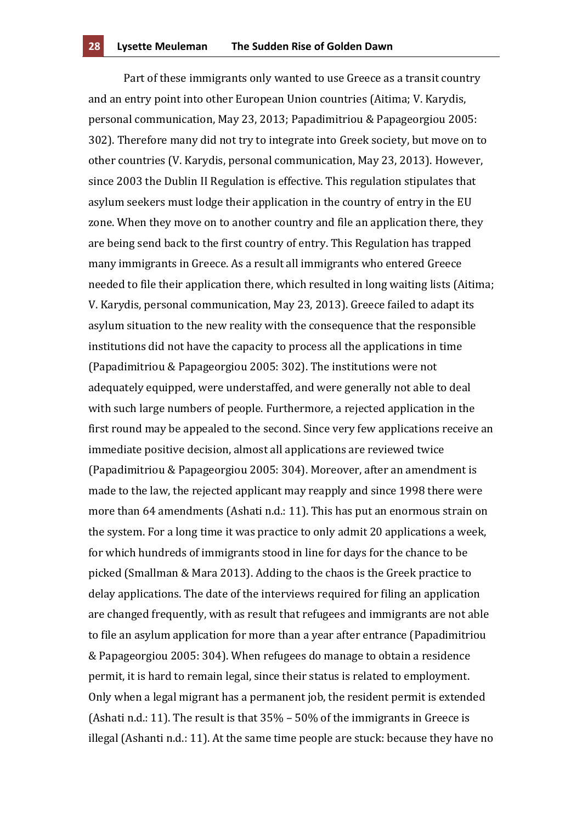Part of these immigrants only wanted to use Greece as a transit country and an entry point into other European Union countries (Aitima; V. Karydis, personal communication, May 23, 2013; Papadimitriou & Papageorgiou 2005: 302). Therefore many did not try to integrate into Greek society, but move on to other countries (V. Karydis, personal communication, May 23, 2013). However, since 2003 the Dublin II Regulation is effective. This regulation stipulates that asylum seekers must lodge their application in the country of entry in the EU zone. When they move on to another country and file an application there, they are being send back to the first country of entry. This Regulation has trapped many immigrants in Greece. As a result all immigrants who entered Greece needed to file their application there, which resulted in long waiting lists (Aitima; V. Karydis, personal communication, May 23, 2013). Greece failed to adapt its asylum situation to the new reality with the consequence that the responsible institutions did not have the capacity to process all the applications in time (Papadimitriou & Papageorgiou 2005: 302). The institutions were not adequately equipped, were understaffed, and were generally not able to deal with such large numbers of people. Furthermore, a rejected application in the first round may be appealed to the second. Since very few applications receive an immediate positive decision, almost all applications are reviewed twice (Papadimitriou & Papageorgiou 2005: 304). Moreover, after an amendment is made to the law, the rejected applicant may reapply and since 1998 there were more than 64 amendments (Ashati n.d.: 11). This has put an enormous strain on the system. For a long time it was practice to only admit 20 applications a week, for which hundreds of immigrants stood in line for days for the chance to be picked (Smallman & Mara 2013). Adding to the chaos is the Greek practice to delay applications. The date of the interviews required for filing an application are changed frequently, with as result that refugees and immigrants are not able to file an asylum application for more than a year after entrance (Papadimitriou & Papageorgiou 2005: 304). When refugees do manage to obtain a residence permit, it is hard to remain legal, since their status is related to employment. Only when a legal migrant has a permanent job, the resident permit is extended (Ashati n.d.: 11). The result is that  $35% - 50%$  of the immigrants in Greece is illegal (Ashanti n.d.: 11). At the same time people are stuck: because they have no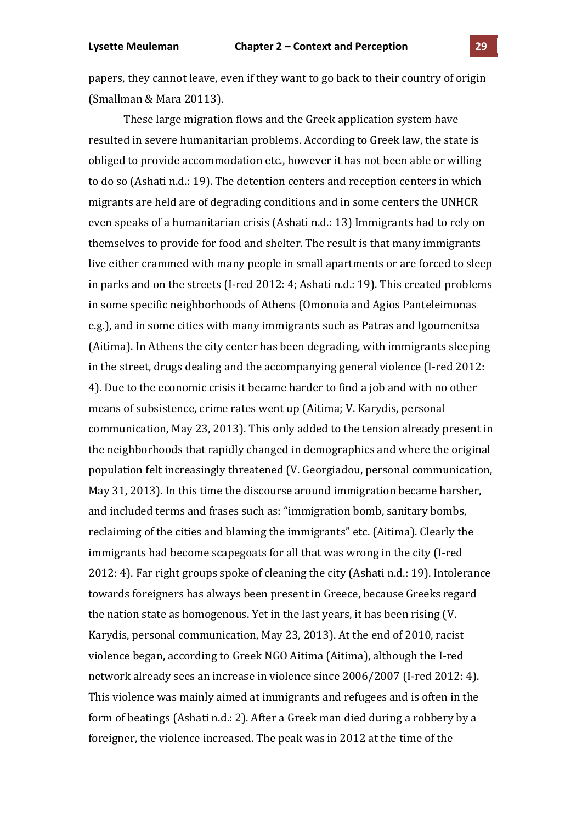papers, they cannot leave, even if they want to go back to their country of origin (Smallman & Mara 20113).

These large migration flows and the Greek application system have resulted in severe humanitarian problems. According to Greek law, the state is obliged to provide accommodation etc., however it has not been able or willing to do so (Ashati n.d.: 19). The detention centers and reception centers in which migrants are held are of degrading conditions and in some centers the UNHCR even speaks of a humanitarian crisis (Ashati n.d.: 13) Immigrants had to rely on themselves to provide for food and shelter. The result is that many immigrants live either crammed with many people in small apartments or are forced to sleep in parks and on the streets (I-red 2012: 4; Ashati n.d.: 19). This created problems in some specific neighborhoods of Athens (Omonoia and Agios Panteleimonas e.g.), and in some cities with many immigrants such as Patras and Igoumenitsa (Aitima). In Athens the city center has been degrading, with immigrants sleeping in the street, drugs dealing and the accompanying general violence (I-red 2012: 4). Due to the economic crisis it became harder to find a job and with no other means of subsistence, crime rates went up (Aitima; V. Karydis, personal communication, May 23, 2013). This only added to the tension already present in the neighborhoods that rapidly changed in demographics and where the original population felt increasingly threatened (V. Georgiadou, personal communication, May 31, 2013). In this time the discourse around immigration became harsher, and included terms and frases such as: "immigration bomb, sanitary bombs, reclaiming of the cities and blaming the immigrants" etc. (Aitima). Clearly the immigrants had become scapegoats for all that was wrong in the city (I-red 2012: 4). Far right groups spoke of cleaning the city (Ashati n.d.: 19). Intolerance towards foreigners has always been present in Greece, because Greeks regard the nation state as homogenous. Yet in the last years, it has been rising (V. Karydis, personal communication, May 23, 2013). At the end of 2010, racist violence began, according to Greek NGO Aitima (Aitima), although the I-red network already sees an increase in violence since 2006/2007 (I-red 2012: 4). This violence was mainly aimed at immigrants and refugees and is often in the form of beatings (Ashati n.d.: 2). After a Greek man died during a robbery by a foreigner, the violence increased. The peak was in 2012 at the time of the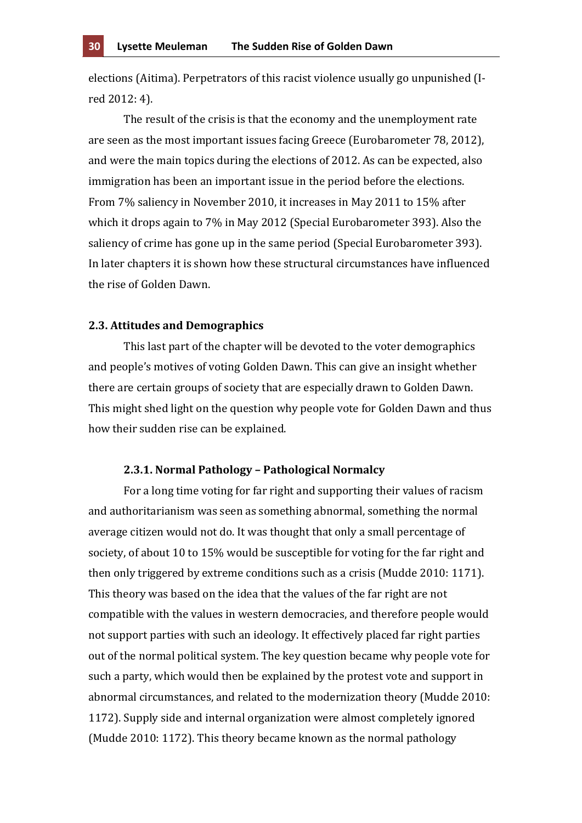elections (Aitima). Perpetrators of this racist violence usually go unpunished (Ired 2012: 4).

The result of the crisis is that the economy and the unemployment rate are seen as the most important issues facing Greece (Eurobarometer 78, 2012), and were the main topics during the elections of 2012. As can be expected, also immigration has been an important issue in the period before the elections. From 7% saliency in November 2010, it increases in May 2011 to 15% after which it drops again to 7% in May 2012 (Special Eurobarometer 393). Also the saliency of crime has gone up in the same period (Special Eurobarometer 393). In later chapters it is shown how these structural circumstances have influenced the rise of Golden Dawn.

#### **2.3.)Attitudes and)Demographics**

This last part of the chapter will be devoted to the voter demographics and people's motives of voting Golden Dawn. This can give an insight whether there are certain groups of society that are especially drawn to Golden Dawn. This might shed light on the question why people vote for Golden Dawn and thus how their sudden rise can be explained.

#### **2.3.1.)Normal)Pathology)– Pathological)Normalcy**

For a long time voting for far right and supporting their values of racism and authoritarianism was seen as something abnormal, something the normal average citizen would not do. It was thought that only a small percentage of society, of about 10 to 15% would be susceptible for voting for the far right and then only triggered by extreme conditions such as a crisis (Mudde 2010: 1171). This theory was based on the idea that the values of the far right are not compatible with the values in western democracies, and therefore people would not support parties with such an ideology. It effectively placed far right parties out of the normal political system. The key question became why people vote for such a party, which would then be explained by the protest vote and support in abnormal circumstances, and related to the modernization theory (Mudde 2010: 1172). Supply side and internal organization were almost completely ignored (Mudde 2010: 1172). This theory became known as the normal pathology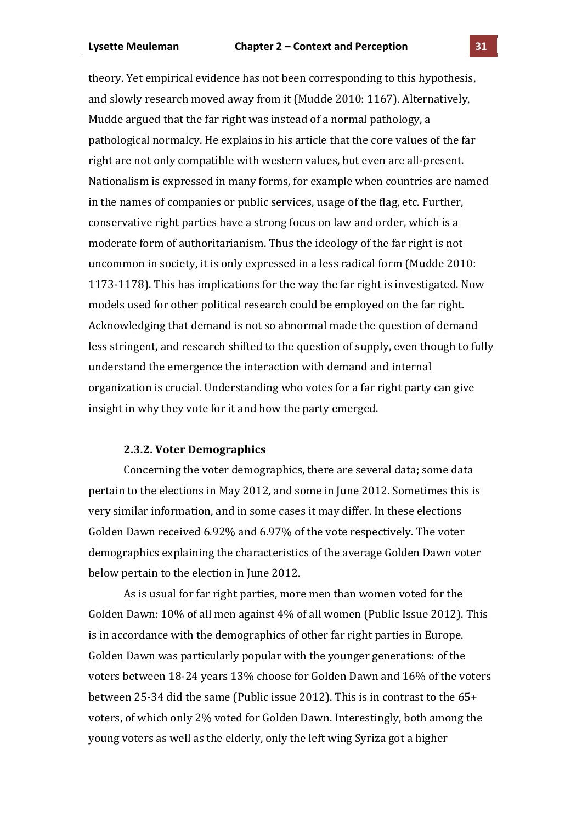theory. Yet empirical evidence has not been corresponding to this hypothesis, and slowly research moved away from it (Mudde 2010: 1167). Alternatively, Mudde argued that the far right was instead of a normal pathology, a pathological normalcy. He explains in his article that the core values of the far right are not only compatible with western values, but even are all-present. Nationalism is expressed in many forms, for example when countries are named in the names of companies or public services, usage of the flag, etc. Further, conservative right parties have a strong focus on law and order, which is a moderate form of authoritarianism. Thus the ideology of the far right is not uncommon in society, it is only expressed in a less radical form (Mudde 2010: 1173-1178). This has implications for the way the far right is investigated. Now models used for other political research could be employed on the far right. Acknowledging that demand is not so abnormal made the question of demand less stringent, and research shifted to the question of supply, even though to fully understand the emergence the interaction with demand and internal organization is crucial. Understanding who votes for a far right party can give insight in why they vote for it and how the party emerged.

#### **2.3.2. Voter Demographics**

Concerning the voter demographics, there are several data; some data pertain to the elections in May 2012, and some in June 2012. Sometimes this is very similar information, and in some cases it may differ. In these elections Golden Dawn received 6.92% and 6.97% of the vote respectively. The voter demographics explaining the characteristics of the average Golden Dawn voter below pertain to the election in June 2012.

As is usual for far right parties, more men than women voted for the Golden Dawn: 10% of all men against 4% of all women (Public Issue 2012). This is in accordance with the demographics of other far right parties in Europe. Golden Dawn was particularly popular with the younger generations: of the voters between 18-24 years 13% choose for Golden Dawn and 16% of the voters between 25-34 did the same (Public issue 2012). This is in contrast to the  $65+$ voters, of which only 2% voted for Golden Dawn. Interestingly, both among the young voters as well as the elderly, only the left wing Syriza got a higher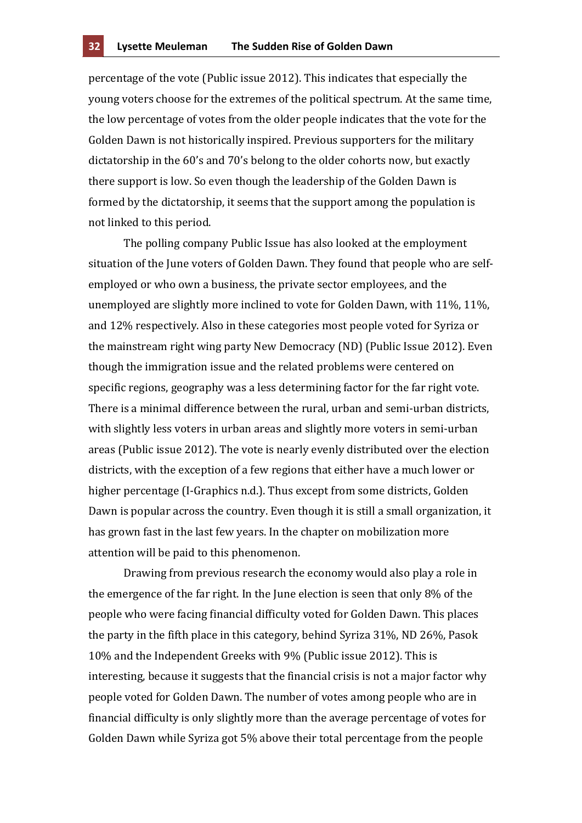percentage of the vote (Public issue 2012). This indicates that especially the young voters choose for the extremes of the political spectrum. At the same time, the low percentage of votes from the older people indicates that the vote for the Golden Dawn is not historically inspired. Previous supporters for the military dictatorship in the 60's and 70's belong to the older cohorts now, but exactly there support is low. So even though the leadership of the Golden Dawn is formed by the dictatorship, it seems that the support among the population is not linked to this period.

The polling company Public Issue has also looked at the employment situation of the June voters of Golden Dawn. They found that people who are selfemployed or who own a business, the private sector employees, and the unemployed are slightly more inclined to vote for Golden Dawn, with 11%, 11%, and 12% respectively. Also in these categories most people voted for Syriza or the mainstream right wing party New Democracy (ND) (Public Issue 2012). Even though the immigration issue and the related problems were centered on specific regions, geography was a less determining factor for the far right vote. There is a minimal difference between the rural, urban and semi-urban districts, with slightly less voters in urban areas and slightly more voters in semi-urban areas (Public issue 2012). The vote is nearly evenly distributed over the election districts, with the exception of a few regions that either have a much lower or higher percentage (I-Graphics n.d.). Thus except from some districts, Golden Dawn is popular across the country. Even though it is still a small organization, it has grown fast in the last few years. In the chapter on mobilization more attention will be paid to this phenomenon.

Drawing from previous research the economy would also play a role in the emergence of the far right. In the June election is seen that only 8% of the people who were facing financial difficulty voted for Golden Dawn. This places the party in the fifth place in this category, behind Syriza  $31\%$ , ND  $26\%$ , Pasok 10% and the Independent Greeks with 9% (Public issue 2012). This is interesting, because it suggests that the financial crisis is not a major factor why people voted for Golden Dawn. The number of votes among people who are in financial difficulty is only slightly more than the average percentage of votes for Golden Dawn while Syriza got 5% above their total percentage from the people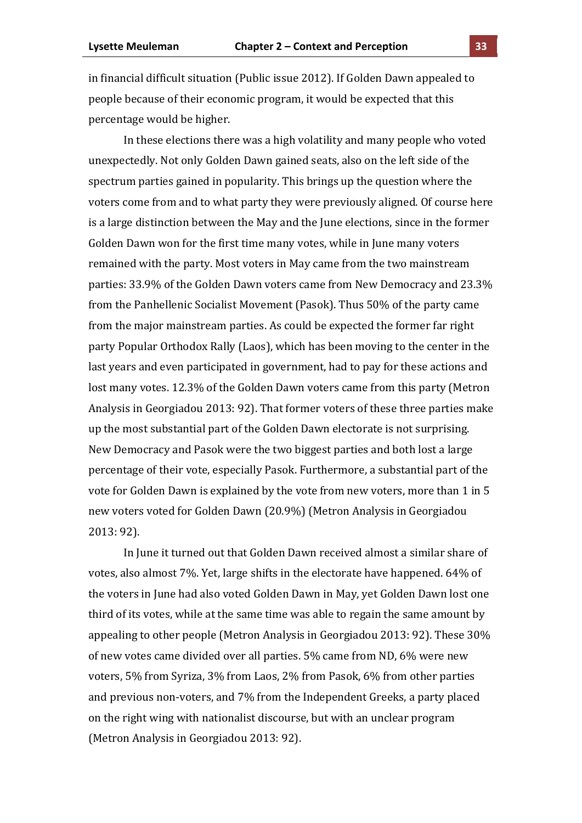in financial difficult situation (Public issue 2012). If Golden Dawn appealed to people because of their economic program, it would be expected that this percentage would be higher.

In these elections there was a high volatility and many people who voted unexpectedly. Not only Golden Dawn gained seats, also on the left side of the spectrum parties gained in popularity. This brings up the question where the voters come from and to what party they were previously aligned. Of course here is a large distinction between the May and the June elections, since in the former Golden Dawn won for the first time many votes, while in June many voters remained with the party. Most voters in May came from the two mainstream parties: 33.9% of the Golden Dawn voters came from New Democracy and 23.3% from the Panhellenic Socialist Movement (Pasok). Thus 50% of the party came from the major mainstream parties. As could be expected the former far right party Popular Orthodox Rally (Laos), which has been moving to the center in the last years and even participated in government, had to pay for these actions and lost many votes. 12.3% of the Golden Dawn voters came from this party (Metron Analysis in Georgiadou 2013: 92). That former voters of these three parties make up the most substantial part of the Golden Dawn electorate is not surprising. New Democracy and Pasok were the two biggest parties and both lost a large percentage of their vote, especially Pasok. Furthermore, a substantial part of the vote for Golden Dawn is explained by the vote from new voters, more than 1 in 5 new voters voted for Golden Dawn (20.9%) (Metron Analysis in Georgiadou 2013: 92).

In June it turned out that Golden Dawn received almost a similar share of votes, also almost 7%. Yet, large shifts in the electorate have happened. 64% of the voters in June had also voted Golden Dawn in May, yet Golden Dawn lost one third of its votes, while at the same time was able to regain the same amount by appealing to other people (Metron Analysis in Georgiadou 2013: 92). These 30% of new votes came divided over all parties. 5% came from ND, 6% were new voters, 5% from Syriza, 3% from Laos, 2% from Pasok, 6% from other parties and previous non-voters, and 7% from the Independent Greeks, a party placed on the right wing with nationalist discourse, but with an unclear program (Metron Analysis in Georgiadou 2013: 92).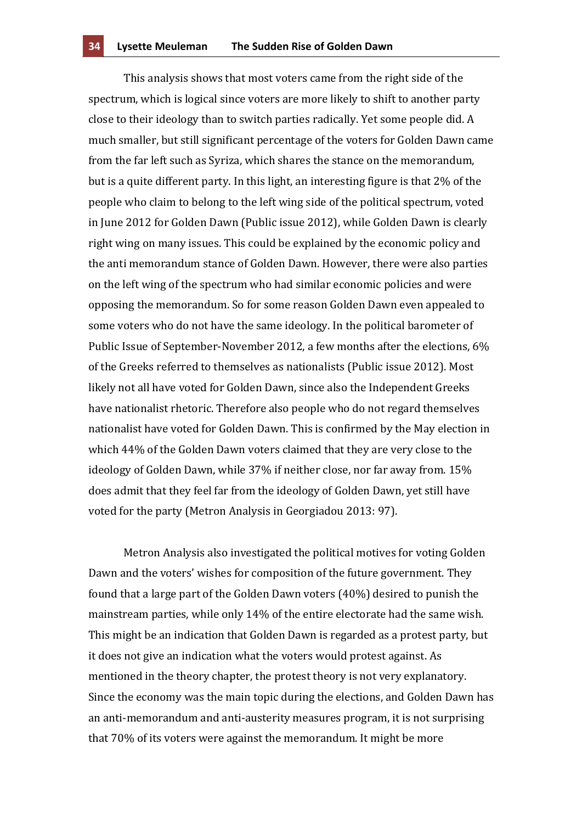This analysis shows that most voters came from the right side of the spectrum, which is logical since voters are more likely to shift to another party close to their ideology than to switch parties radically. Yet some people did. A much smaller, but still significant percentage of the voters for Golden Dawn came from the far left such as Syriza, which shares the stance on the memorandum, but is a quite different party. In this light, an interesting figure is that 2% of the people who claim to belong to the left wing side of the political spectrum, voted in June 2012 for Golden Dawn (Public issue 2012), while Golden Dawn is clearly right wing on many issues. This could be explained by the economic policy and the anti memorandum stance of Golden Dawn. However, there were also parties on the left wing of the spectrum who had similar economic policies and were opposing the memorandum. So for some reason Golden Dawn even appealed to some voters who do not have the same ideology. In the political barometer of Public Issue of September-November 2012, a few months after the elections, 6% of the Greeks referred to themselves as nationalists (Public issue 2012). Most likely not all have voted for Golden Dawn, since also the Independent Greeks have nationalist rhetoric. Therefore also people who do not regard themselves nationalist have voted for Golden Dawn. This is confirmed by the May election in which 44% of the Golden Dawn voters claimed that they are very close to the ideology of Golden Dawn, while 37% if neither close, nor far away from. 15% does admit that they feel far from the ideology of Golden Dawn, yet still have voted for the party (Metron Analysis in Georgiadou 2013: 97).

Metron Analysis also investigated the political motives for voting Golden Dawn and the voters' wishes for composition of the future government. They found that a large part of the Golden Dawn voters (40%) desired to punish the mainstream parties, while only 14% of the entire electorate had the same wish. This might be an indication that Golden Dawn is regarded as a protest party, but it does not give an indication what the voters would protest against. As mentioned in the theory chapter, the protest theory is not very explanatory. Since the economy was the main topic during the elections, and Golden Dawn has an anti-memorandum and anti-austerity measures program, it is not surprising that 70% of its voters were against the memorandum. It might be more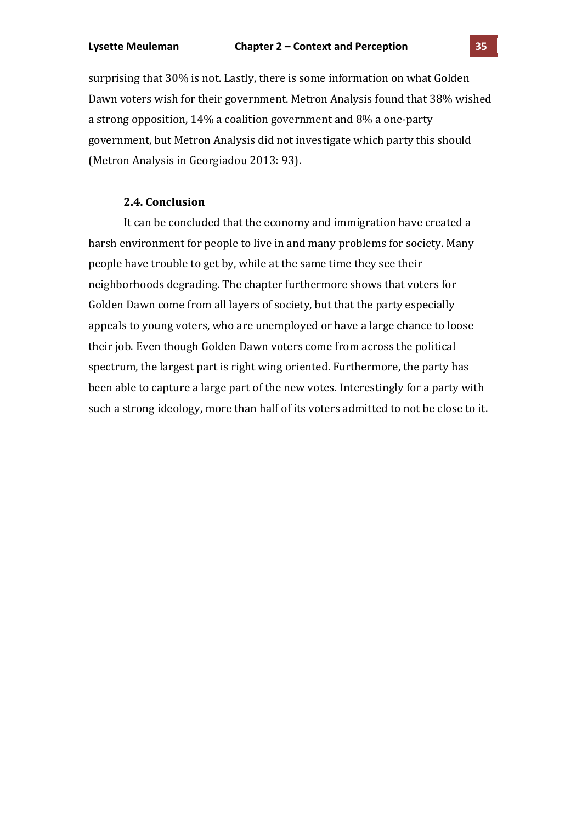surprising that 30% is not. Lastly, there is some information on what Golden Dawn voters wish for their government. Metron Analysis found that 38% wished a strong opposition, 14% a coalition government and 8% a one-party government, but Metron Analysis did not investigate which party this should (Metron Analysis in Georgiadou 2013: 93).

## **2.4.** Conclusion

It can be concluded that the economy and immigration have created a harsh environment for people to live in and many problems for society. Many people have trouble to get by, while at the same time they see their neighborhoods degrading. The chapter furthermore shows that voters for Golden Dawn come from all layers of society, but that the party especially appeals to young voters, who are unemployed or have a large chance to loose their job. Even though Golden Dawn voters come from across the political spectrum, the largest part is right wing oriented. Furthermore, the party has been able to capture a large part of the new votes. Interestingly for a party with such a strong ideology, more than half of its voters admitted to not be close to it.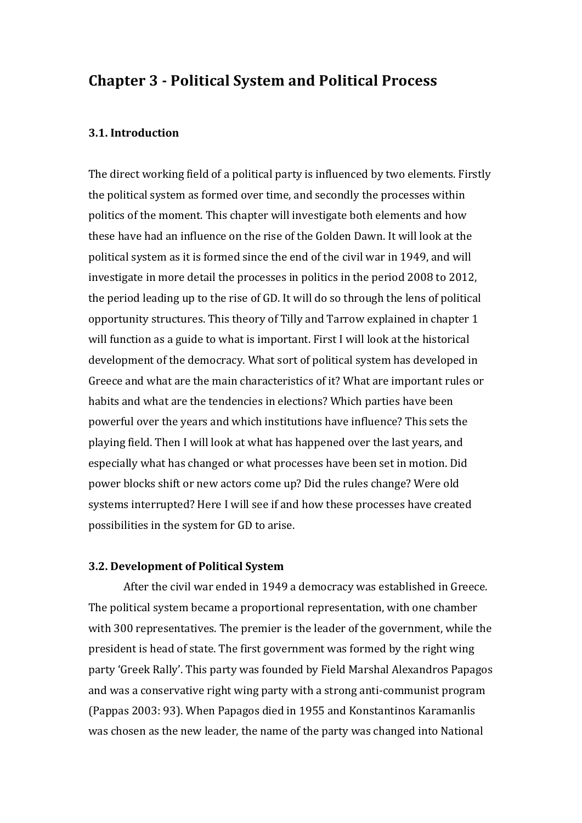# **Chapter)3 : Political)System)and)Political)Process**

# **3.1.)Introduction**

The direct working field of a political party is influenced by two elements. Firstly the political system as formed over time, and secondly the processes within politics of the moment. This chapter will investigate both elements and how these have had an influence on the rise of the Golden Dawn. It will look at the political system as it is formed since the end of the civil war in 1949, and will investigate in more detail the processes in politics in the period 2008 to 2012, the period leading up to the rise of GD. It will do so through the lens of political opportunity structures. This theory of Tilly and Tarrow explained in chapter 1 will function as a guide to what is important. First I will look at the historical development of the democracy. What sort of political system has developed in Greece and what are the main characteristics of it? What are important rules or habits and what are the tendencies in elections? Which parties have been powerful over the years and which institutions have influence? This sets the playing field. Then I will look at what has happened over the last years, and especially what has changed or what processes have been set in motion. Did power blocks shift or new actors come up? Did the rules change? Were old systems interrupted? Here I will see if and how these processes have created possibilities in the system for GD to arise.

# **3.2. Development of Political System**

After the civil war ended in 1949 a democracy was established in Greece. The political system became a proportional representation, with one chamber with 300 representatives. The premier is the leader of the government, while the president is head of state. The first government was formed by the right wing party 'Greek Rally'. This party was founded by Field Marshal Alexandros Papagos and was a conservative right wing party with a strong anti-communist program (Pappas 2003: 93). When Papagos died in 1955 and Konstantinos Karamanlis was chosen as the new leader, the name of the party was changed into National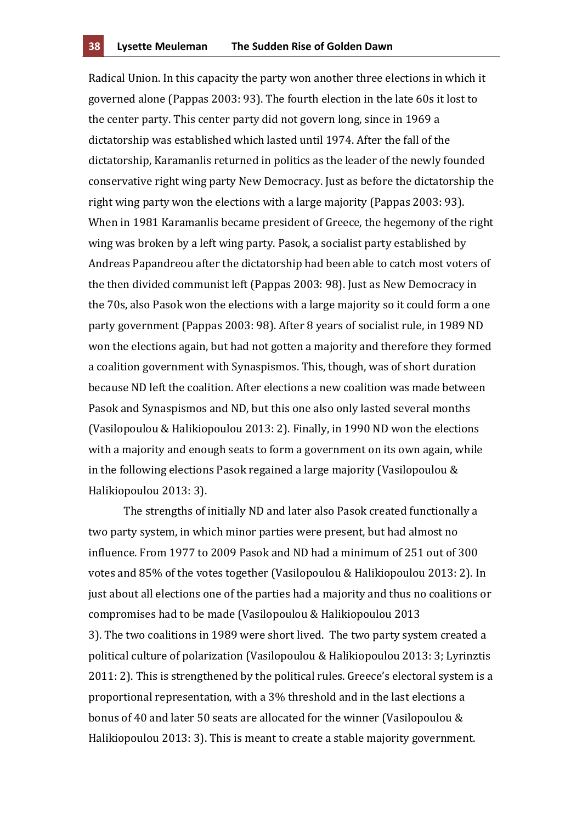Radical Union. In this capacity the party won another three elections in which it governed alone (Pappas 2003: 93). The fourth election in the late 60s it lost to the center party. This center party did not govern long, since in 1969 a dictatorship was established which lasted until 1974. After the fall of the dictatorship, Karamanlis returned in politics as the leader of the newly founded conservative right wing party New Democracy. Just as before the dictatorship the right wing party won the elections with a large majority (Pappas 2003: 93). When in 1981 Karamanlis became president of Greece, the hegemony of the right wing was broken by a left wing party. Pasok, a socialist party established by Andreas Papandreou after the dictatorship had been able to catch most voters of the then divided communist left (Pappas 2003: 98). Just as New Democracy in the 70s, also Pasok won the elections with a large majority so it could form a one party government (Pappas 2003: 98). After 8 years of socialist rule, in 1989 ND won the elections again, but had not gotten a majority and therefore they formed a coalition government with Synaspismos. This, though, was of short duration because ND left the coalition. After elections a new coalition was made between Pasok and Synaspismos and ND, but this one also only lasted several months (Vasilopoulou & Halikiopoulou 2013: 2). Finally, in 1990 ND won the elections with a majority and enough seats to form a government on its own again, while in the following elections Pasok regained a large majority (Vasilopoulou & Halikiopoulou 2013: 3).

The strengths of initially ND and later also Pasok created functionally a two party system, in which minor parties were present, but had almost no influence. From 1977 to 2009 Pasok and ND had a minimum of 251 out of 300 votes and 85% of the votes together (Vasilopoulou & Halikiopoulou 2013: 2). In just about all elections one of the parties had a majority and thus no coalitions or compromises had to be made (Vasilopoulou & Halikiopoulou 2013 3). The two coalitions in 1989 were short lived. The two party system created a political culture of polarization (Vasilopoulou & Halikiopoulou 2013: 3; Lyrinztis 2011: 2). This is strengthened by the political rules. Greece's electoral system is a proportional representation, with a 3% threshold and in the last elections a bonus of 40 and later 50 seats are allocated for the winner (Vasilopoulou & Halikiopoulou 2013: 3). This is meant to create a stable majority government.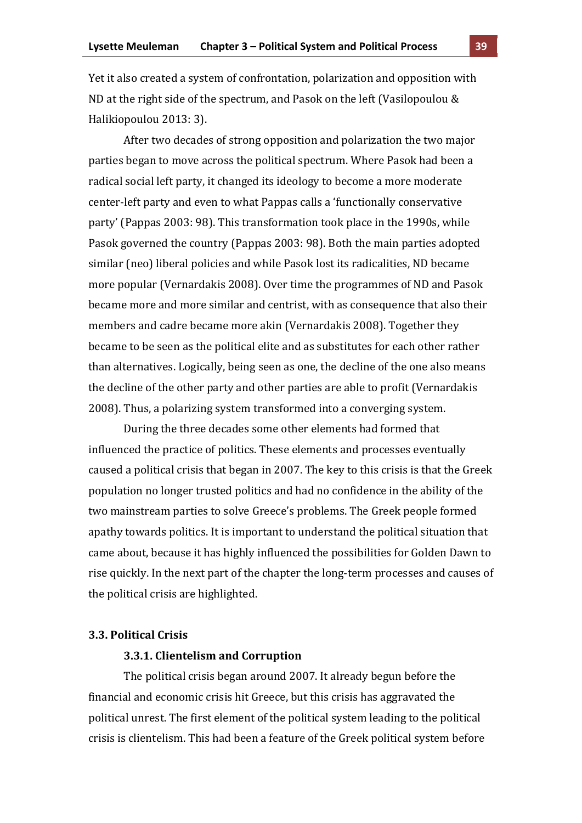Yet it also created a system of confrontation, polarization and opposition with ND at the right side of the spectrum, and Pasok on the left (Vasilopoulou & Halikiopoulou 2013: 3).

After two decades of strong opposition and polarization the two major parties began to move across the political spectrum. Where Pasok had been a radical social left party, it changed its ideology to become a more moderate center-left party and even to what Pappas calls a 'functionally conservative party' (Pappas 2003: 98). This transformation took place in the 1990s, while Pasok governed the country (Pappas 2003: 98). Both the main parties adopted similar (neo) liberal policies and while Pasok lost its radicalities, ND became more popular (Vernardakis 2008). Over time the programmes of ND and Pasok became more and more similar and centrist, with as consequence that also their members and cadre became more akin (Vernardakis 2008). Together they became to be seen as the political elite and as substitutes for each other rather than alternatives. Logically, being seen as one, the decline of the one also means the decline of the other party and other parties are able to profit (Vernardakis 2008). Thus, a polarizing system transformed into a converging system.

During the three decades some other elements had formed that influenced the practice of politics. These elements and processes eventually caused a political crisis that began in 2007. The key to this crisis is that the Greek population no longer trusted politics and had no confidence in the ability of the two mainstream parties to solve Greece's problems. The Greek people formed apathy towards politics. It is important to understand the political situation that came about, because it has highly influenced the possibilities for Golden Dawn to rise quickly. In the next part of the chapter the long-term processes and causes of the political crisis are highlighted.

## **3.3.)Political)Crisis**

### **3.3.1.)Clientelism)and)Corruption**

The political crisis began around 2007. It already begun before the financial and economic crisis hit Greece, but this crisis has aggravated the political unrest. The first element of the political system leading to the political crisis is clientelism. This had been a feature of the Greek political system before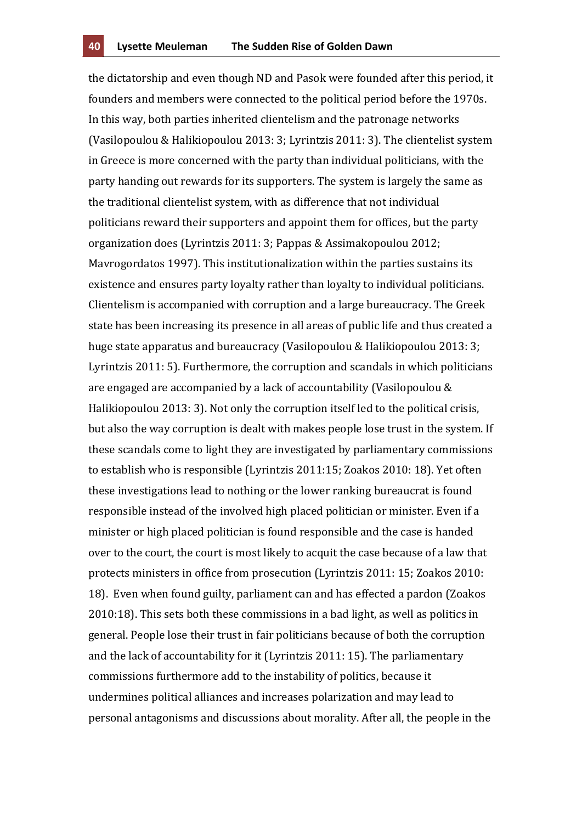the dictatorship and even though ND and Pasok were founded after this period, it founders and members were connected to the political period before the 1970s. In this way, both parties inherited clientelism and the patronage networks! (Vasilopoulou & Halikiopoulou 2013: 3; Lyrintzis 2011: 3). The clientelist system in Greece is more concerned with the party than individual politicians, with the party handing out rewards for its supporters. The system is largely the same as the traditional clientelist system, with as difference that not individual politicians reward their supporters and appoint them for offices, but the party organization does (Lyrintzis 2011: 3; Pappas & Assimakopoulou 2012; Mavrogordatos 1997). This institutionalization within the parties sustains its existence and ensures party loyalty rather than loyalty to individual politicians. Clientelism is accompanied with corruption and a large bureaucracy. The Greek state has been increasing its presence in all areas of public life and thus created a huge state apparatus and bureaucracy (Vasilopoulou & Halikiopoulou 2013: 3; Lyrintzis 2011: 5). Furthermore, the corruption and scandals in which politicians are engaged are accompanied by a lack of accountability (Vasilopoulou & Halikiopoulou 2013: 3). Not only the corruption itself led to the political crisis, but also the way corruption is dealt with makes people lose trust in the system. If these scandals come to light they are investigated by parliamentary commissions to establish who is responsible (Lyrintzis 2011:15; Zoakos 2010: 18). Yet often these investigations lead to nothing or the lower ranking bureaucrat is found responsible instead of the involved high placed politician or minister. Even if a minister or high placed politician is found responsible and the case is handed over to the court, the court is most likely to acquit the case because of a law that protects ministers in office from prosecution (Lyrintzis 2011: 15; Zoakos 2010: 18). Even when found guilty, parliament can and has effected a pardon (Zoakos  $2010:18$ ). This sets both these commissions in a bad light, as well as politics in general. People lose their trust in fair politicians because of both the corruption and the lack of accountability for it (Lyrintzis 2011: 15). The parliamentary commissions furthermore add to the instability of politics, because it undermines political alliances and increases polarization and may lead to personal antagonisms and discussions about morality. After all, the people in the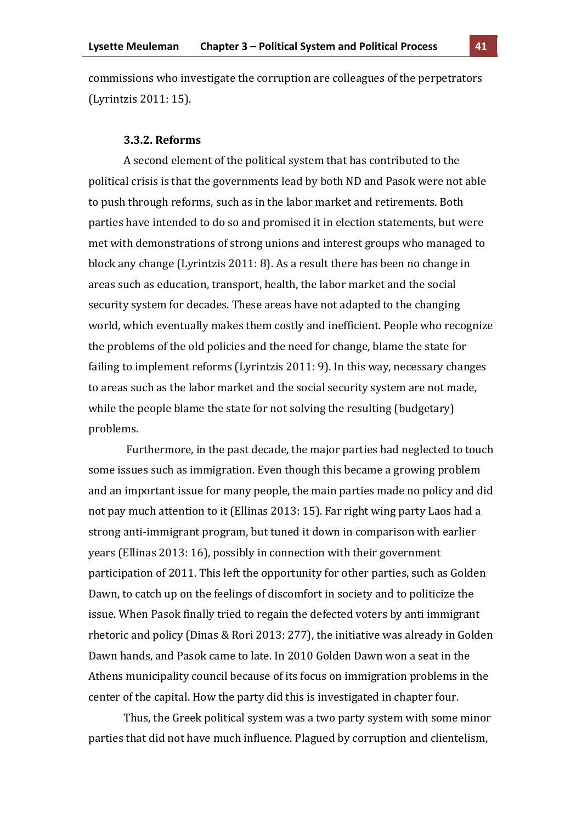commissions who investigate the corruption are colleagues of the perpetrators (Lyrintzis 2011: 15).

#### **3.3.2.)Reforms**

A second element of the political system that has contributed to the political crisis is that the governments lead by both ND and Pasok were not able to push through reforms, such as in the labor market and retirements. Both parties have intended to do so and promised it in election statements, but were met with demonstrations of strong unions and interest groups who managed to block any change (Lyrintzis 2011: 8). As a result there has been no change in areas such as education, transport, health, the labor market and the social security system for decades. These areas have not adapted to the changing world, which eventually makes them costly and inefficient. People who recognize the problems of the old policies and the need for change, blame the state for failing to implement reforms (Lyrintzis 2011: 9). In this way, necessary changes to areas such as the labor market and the social security system are not made, while the people blame the state for not solving the resulting (budgetary) problems.

Furthermore, in the past decade, the major parties had neglected to touch some issues such as immigration. Even though this became a growing problem and an important issue for many people, the main parties made no policy and did not pay much attention to it (Ellinas 2013: 15). Far right wing party Laos had a strong anti-immigrant program, but tuned it down in comparison with earlier years (Ellinas 2013: 16), possibly in connection with their government participation of 2011. This left the opportunity for other parties, such as Golden Dawn, to catch up on the feelings of discomfort in society and to politicize the issue. When Pasok finally tried to regain the defected voters by anti immigrant rhetoric and policy (Dinas & Rori 2013: 277), the initiative was already in Golden Dawn hands, and Pasok came to late. In 2010 Golden Dawn won a seat in the Athens municipality council because of its focus on immigration problems in the center of the capital. How the party did this is investigated in chapter four.

Thus, the Greek political system was a two party system with some minor parties that did not have much influence. Plagued by corruption and clientelism,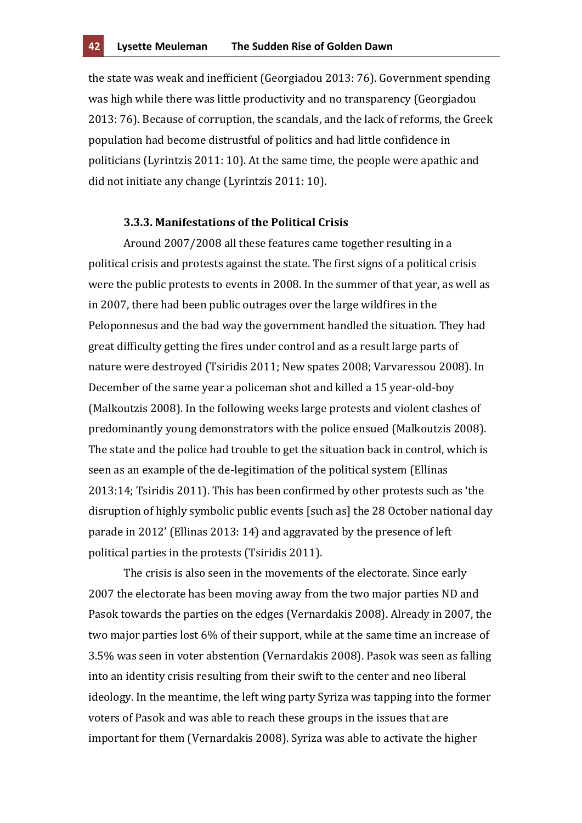the state was weak and inefficient (Georgiadou 2013: 76). Government spending was high while there was little productivity and no transparency (Georgiadou 2013: 76). Because of corruption, the scandals, and the lack of reforms, the Greek population had become distrustful of politics and had little confidence in politicians (Lyrintzis 2011: 10). At the same time, the people were apathic and did not initiate any change (Lyrintzis 2011: 10).

#### **3.3.3.)Manifestations)of the)Political)Crisis**

Around 2007/2008 all these features came together resulting in a political crisis and protests against the state. The first signs of a political crisis were the public protests to events in 2008. In the summer of that year, as well as in 2007, there had been public outrages over the large wildfires in the Peloponnesus and the bad way the government handled the situation. They had great difficulty getting the fires under control and as a result large parts of nature were destroyed (Tsiridis 2011; New spates 2008; Varvaressou 2008). In December of the same year a policeman shot and killed a 15 year-old-boy (Malkoutzis 2008). In the following weeks large protests and violent clashes of predominantly young demonstrators with the police ensued (Malkoutzis 2008). The state and the police had trouble to get the situation back in control, which is seen as an example of the de-legitimation of the political system (Ellinas 2013:14; Tsiridis 2011). This has been confirmed by other protests such as 'the disruption of highly symbolic public events [such as] the 28 October national day parade in 2012' (Ellinas 2013: 14) and aggravated by the presence of left political parties in the protests (Tsiridis 2011).

The crisis is also seen in the movements of the electorate. Since early 2007 the electorate has been moving away from the two major parties ND and Pasok towards the parties on the edges (Vernardakis 2008). Already in 2007, the two major parties lost 6% of their support, while at the same time an increase of 3.5% was seen in voter abstention (Vernardakis 2008). Pasok was seen as falling into an identity crisis resulting from their swift to the center and neo liberal ideology. In the meantime, the left wing party Syriza was tapping into the former voters of Pasok and was able to reach these groups in the issues that are important for them (Vernardakis 2008). Syriza was able to activate the higher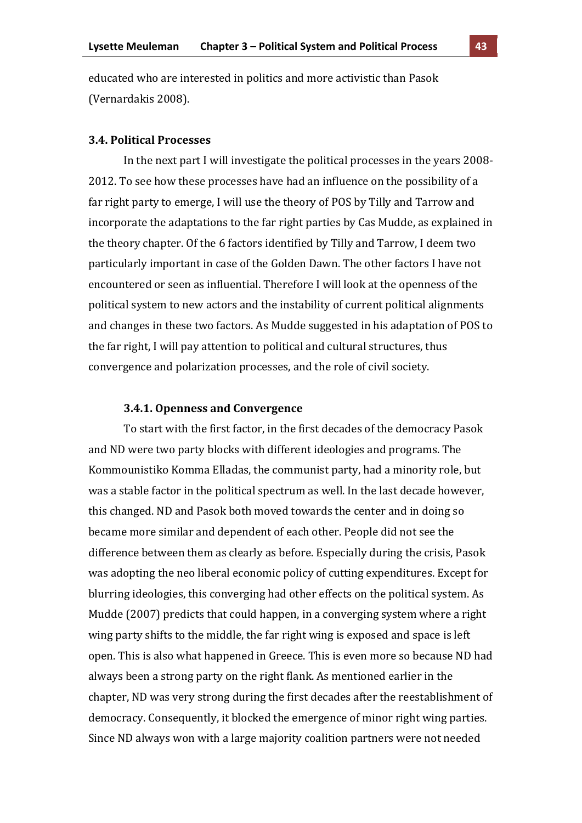educated who are interested in politics and more activistic than Pasok (Vernardakis 2008).

### **3.4.)Political)Processes**

In the next part I will investigate the political processes in the years 2008-2012. To see how these processes have had an influence on the possibility of a far right party to emerge, I will use the theory of POS by Tilly and Tarrow and incorporate the adaptations to the far right parties by Cas Mudde, as explained in the theory chapter. Of the 6 factors identified by Tilly and Tarrow, I deem two particularly important in case of the Golden Dawn. The other factors I have not encountered or seen as influential. Therefore I will look at the openness of the political system to new actors and the instability of current political alignments and changes in these two factors. As Mudde suggested in his adaptation of POS to the far right, I will pay attention to political and cultural structures, thus convergence and polarization processes, and the role of civil society.

## **3.4.1. Openness and Convergence**

To start with the first factor, in the first decades of the democracy Pasok and ND were two party blocks with different ideologies and programs. The Kommounistiko Komma Elladas, the communist party, had a minority role, but was a stable factor in the political spectrum as well. In the last decade however, this changed. ND and Pasok both moved towards the center and in doing so became more similar and dependent of each other. People did not see the difference between them as clearly as before. Especially during the crisis, Pasok was adopting the neo liberal economic policy of cutting expenditures. Except for blurring ideologies, this converging had other effects on the political system. As Mudde (2007) predicts that could happen, in a converging system where a right wing party shifts to the middle, the far right wing is exposed and space is left open. This is also what happened in Greece. This is even more so because ND had always been a strong party on the right flank. As mentioned earlier in the chapter, ND was very strong during the first decades after the reestablishment of democracy. Consequently, it blocked the emergence of minor right wing parties. Since ND always won with a large majority coalition partners were not needed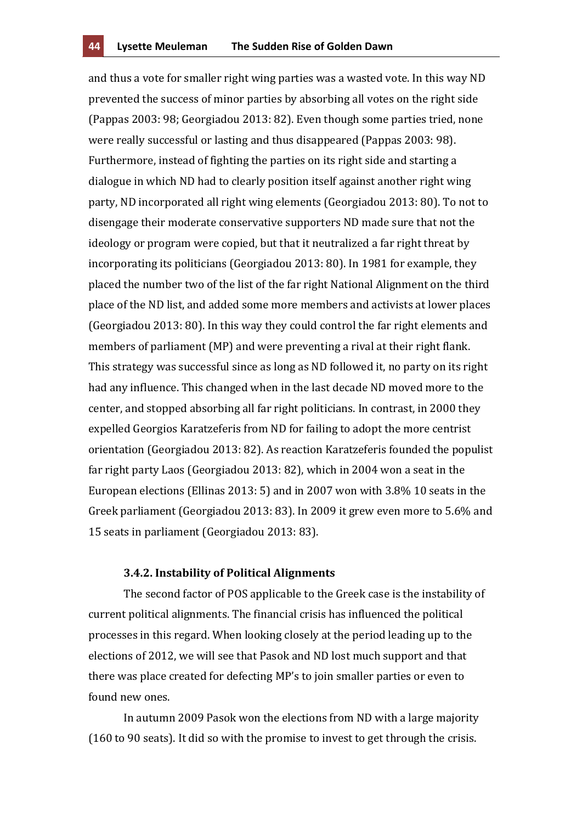and thus a vote for smaller right wing parties was a wasted vote. In this way ND prevented the success of minor parties by absorbing all votes on the right side (Pappas 2003: 98; Georgiadou 2013: 82). Even though some parties tried, none were really successful or lasting and thus disappeared (Pappas 2003: 98). Furthermore, instead of fighting the parties on its right side and starting a dialogue in which ND had to clearly position itself against another right wing party, ND incorporated all right wing elements (Georgiadou 2013: 80). To not to disengage their moderate conservative supporters ND made sure that not the ideology or program were copied, but that it neutralized a far right threat by incorporating its politicians (Georgiadou 2013: 80). In 1981 for example, they placed the number two of the list of the far right National Alignment on the third place of the ND list, and added some more members and activists at lower places (Georgiadou 2013: 80). In this way they could control the far right elements and members of parliament (MP) and were preventing a rival at their right flank. This strategy was successful since as long as ND followed it, no party on its right had any influence. This changed when in the last decade ND moved more to the center, and stopped absorbing all far right politicians. In contrast, in 2000 they expelled Georgios Karatzeferis from ND for failing to adopt the more centrist orientation (Georgiadou 2013: 82). As reaction Karatzeferis founded the populist far right party Laos (Georgiadou 2013: 82), which in 2004 won a seat in the European elections (Ellinas 2013: 5) and in 2007 won with  $3.8\%$  10 seats in the Greek parliament (Georgiadou 2013: 83). In 2009 it grew even more to 5.6% and 15 seats in parliament (Georgiadou 2013: 83).

### **3.4.2.)Instability)of)Political)Alignments**

The second factor of POS applicable to the Greek case is the instability of current political alignments. The financial crisis has influenced the political processes in this regard. When looking closely at the period leading up to the elections of 2012, we will see that Pasok and ND lost much support and that there was place created for defecting MP's to join smaller parties or even to found new ones.

In autumn 2009 Pasok won the elections from ND with a large majority  $(160$  to 90 seats). It did so with the promise to invest to get through the crisis.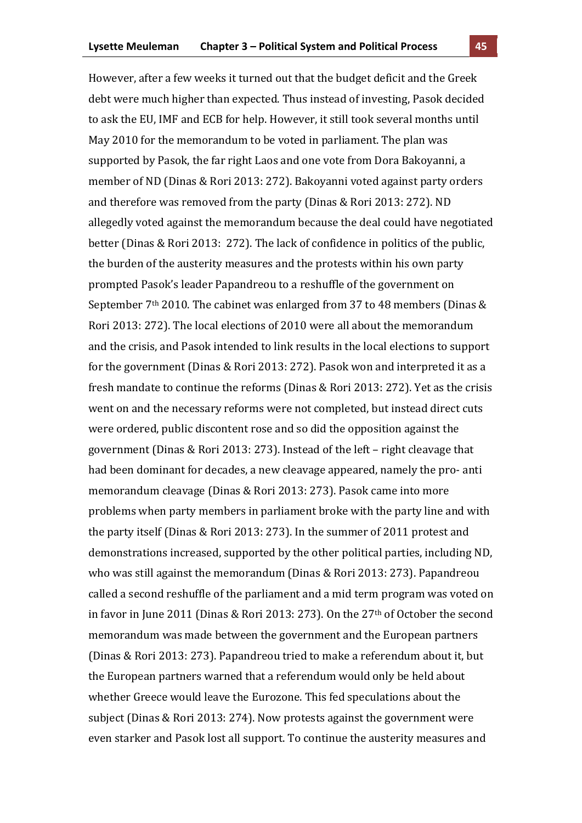However, after a few weeks it turned out that the budget deficit and the Greek debt were much higher than expected. Thus instead of investing, Pasok decided to ask the EU, IMF and ECB for help. However, it still took several months until May 2010 for the memorandum to be voted in parliament. The plan was supported by Pasok, the far right Laos and one vote from Dora Bakoyanni, a member of ND (Dinas & Rori 2013: 272). Bakoyanni voted against party orders and therefore was removed from the party (Dinas & Rori 2013: 272). ND allegedly voted against the memorandum because the deal could have negotiated better (Dinas & Rori 2013: 272). The lack of confidence in politics of the public, the burden of the austerity measures and the protests within his own party prompted Pasok's leader Papandreou to a reshuffle of the government on September 7<sup>th</sup> 2010. The cabinet was enlarged from 37 to 48 members (Dinas & Rori 2013: 272). The local elections of 2010 were all about the memorandum and the crisis, and Pasok intended to link results in the local elections to support for the government (Dinas & Rori 2013: 272). Pasok won and interpreted it as a fresh mandate to continue the reforms (Dinas & Rori 2013: 272). Yet as the crisis went on and the necessary reforms were not completed, but instead direct cuts were ordered, public discontent rose and so did the opposition against the government (Dinas & Rori 2013: 273). Instead of the left – right cleavage that had been dominant for decades, a new cleavage appeared, namely the pro- anti memorandum cleavage (Dinas & Rori 2013: 273). Pasok came into more problems when party members in parliament broke with the party line and with the party itself (Dinas & Rori 2013: 273). In the summer of 2011 protest and demonstrations increased, supported by the other political parties, including ND, who was still against the memorandum (Dinas & Rori 2013: 273). Papandreou called a second reshuffle of the parliament and a mid term program was voted on in favor in June 2011 (Dinas & Rori 2013: 273). On the  $27<sup>th</sup>$  of October the second

memorandum was made between the government and the European partners (Dinas & Rori 2013: 273). Papandreou tried to make a referendum about it, but the European partners warned that a referendum would only be held about whether Greece would leave the Eurozone. This fed speculations about the subject (Dinas & Rori 2013: 274). Now protests against the government were even starker and Pasok lost all support. To continue the austerity measures and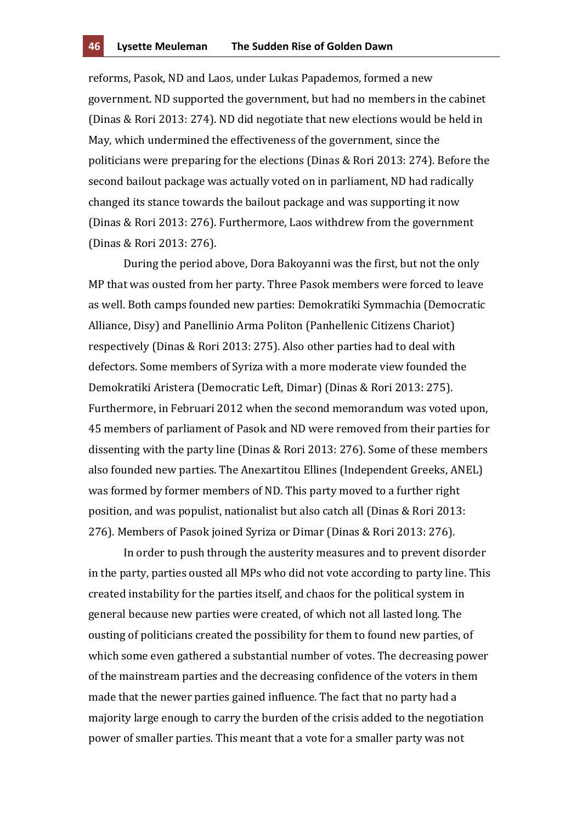reforms, Pasok, ND and Laos, under Lukas Papademos, formed a new government. ND supported the government, but had no members in the cabinet (Dinas & Rori 2013: 274). ND did negotiate that new elections would be held in May, which undermined the effectiveness of the government, since the politicians were preparing for the elections (Dinas & Rori 2013: 274). Before the second bailout package was actually voted on in parliament, ND had radically changed its stance towards the bailout package and was supporting it now (Dinas & Rori 2013: 276). Furthermore, Laos withdrew from the government (Dinas & Rori 2013: 276).

During the period above, Dora Bakoyanni was the first, but not the only MP that was ousted from her party. Three Pasok members were forced to leave as well. Both camps founded new parties: Demokratiki Symmachia (Democratic Alliance, Disy) and Panellinio Arma Politon (Panhellenic Citizens Chariot) respectively (Dinas & Rori 2013: 275). Also other parties had to deal with defectors. Some members of Syriza with a more moderate view founded the Demokratiki Aristera (Democratic Left, Dimar) (Dinas & Rori 2013: 275). Furthermore, in Februari 2012 when the second memorandum was voted upon, 45 members of parliament of Pasok and ND were removed from their parties for dissenting with the party line (Dinas & Rori 2013: 276). Some of these members also founded new parties. The Anexartitou Ellines (Independent Greeks, ANEL) was formed by former members of ND. This party moved to a further right position, and was populist, nationalist but also catch all (Dinas & Rori 2013: 276). Members of Pasok joined Syriza or Dimar (Dinas & Rori 2013: 276).

In order to push through the austerity measures and to prevent disorder in the party, parties ousted all MPs who did not vote according to party line. This created instability for the parties itself, and chaos for the political system in general because new parties were created, of which not all lasted long. The ousting of politicians created the possibility for them to found new parties, of which some even gathered a substantial number of votes. The decreasing power of the mainstream parties and the decreasing confidence of the voters in them made that the newer parties gained influence. The fact that no party had a majority large enough to carry the burden of the crisis added to the negotiation power of smaller parties. This meant that a vote for a smaller party was not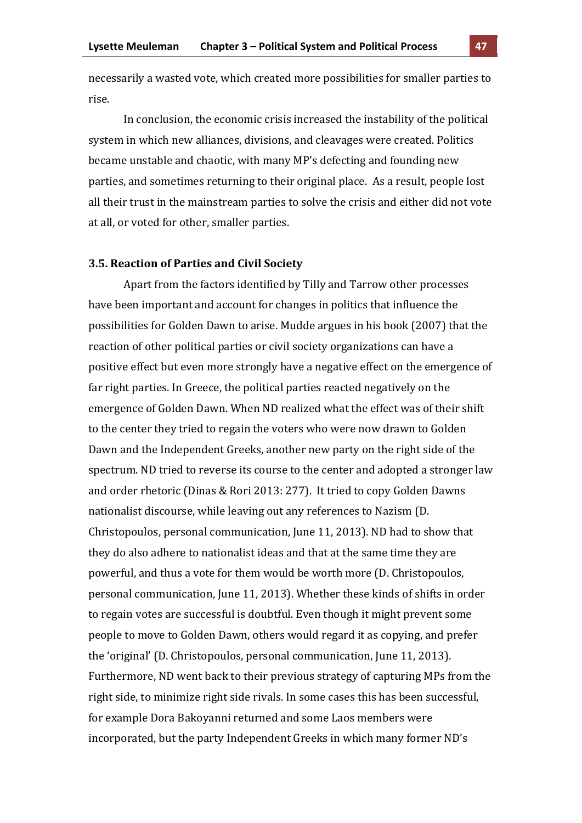necessarily a wasted vote, which created more possibilities for smaller parties to rise.

In conclusion, the economic crisis increased the instability of the political system in which new alliances, divisions, and cleavages were created. Politics became unstable and chaotic, with many MP's defecting and founding new parties, and sometimes returning to their original place. As a result, people lost all their trust in the mainstream parties to solve the crisis and either did not vote at all, or voted for other, smaller parties.

### **3.5. Reaction of Parties and Civil Society**

Apart from the factors identified by Tilly and Tarrow other processes have been important and account for changes in politics that influence the possibilities for Golden Dawn to arise. Mudde argues in his book (2007) that the reaction of other political parties or civil society organizations can have a positive effect but even more strongly have a negative effect on the emergence of far right parties. In Greece, the political parties reacted negatively on the emergence of Golden Dawn. When ND realized what the effect was of their shift to the center they tried to regain the voters who were now drawn to Golden Dawn and the Independent Greeks, another new party on the right side of the spectrum. ND tried to reverse its course to the center and adopted a stronger law and order rhetoric (Dinas & Rori 2013: 277). It tried to copy Golden Dawns nationalist discourse, while leaving out any references to Nazism (D. Christopoulos, personal communication, June 11, 2013). ND had to show that they do also adhere to nationalist ideas and that at the same time they are powerful, and thus a vote for them would be worth more (D. Christopoulos, personal communication, June 11, 2013). Whether these kinds of shifts in order to regain votes are successful is doubtful. Even though it might prevent some people to move to Golden Dawn, others would regard it as copying, and prefer the 'original' (D. Christopoulos, personal communication, June 11, 2013). Furthermore, ND went back to their previous strategy of capturing MPs from the right side, to minimize right side rivals. In some cases this has been successful, for example Dora Bakoyanni returned and some Laos members were incorporated, but the party Independent Greeks in which many former ND's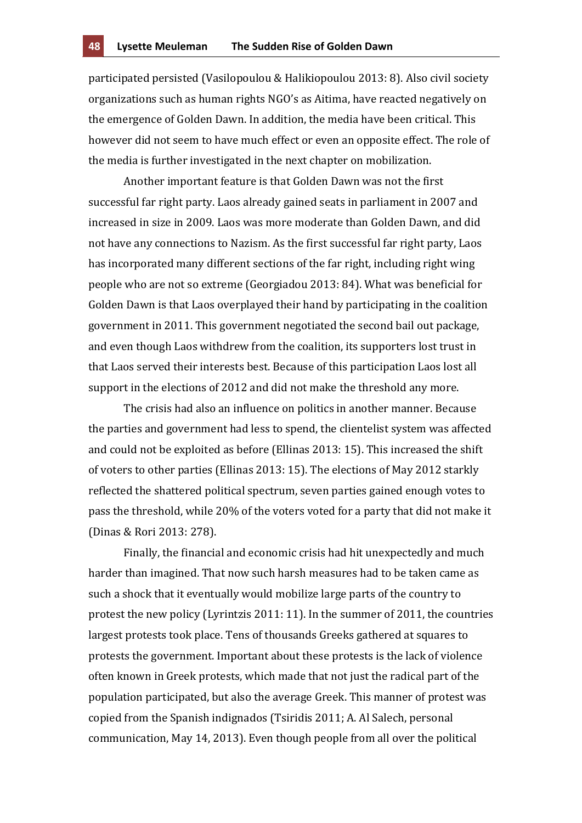participated persisted (Vasilopoulou & Halikiopoulou 2013: 8). Also civil society organizations such as human rights NGO's as Aitima, have reacted negatively on the emergence of Golden Dawn. In addition, the media have been critical. This however did not seem to have much effect or even an opposite effect. The role of the media is further investigated in the next chapter on mobilization.

Another important feature is that Golden Dawn was not the first successful far right party. Laos already gained seats in parliament in 2007 and increased in size in 2009. Laos was more moderate than Golden Dawn, and did not have any connections to Nazism. As the first successful far right party, Laos has incorporated many different sections of the far right, including right wing people who are not so extreme (Georgiadou 2013: 84). What was beneficial for Golden Dawn is that Laos overplayed their hand by participating in the coalition government in 2011. This government negotiated the second bail out package, and even though Laos withdrew from the coalition, its supporters lost trust in that Laos served their interests best. Because of this participation Laos lost all support in the elections of 2012 and did not make the threshold any more.

The crisis had also an influence on politics in another manner. Because the parties and government had less to spend, the clientelist system was affected and could not be exploited as before (Ellinas 2013: 15). This increased the shift of voters to other parties (Ellinas 2013: 15). The elections of May 2012 starkly reflected the shattered political spectrum, seven parties gained enough votes to pass the threshold, while 20% of the voters voted for a party that did not make it (Dinas & Rori 2013: 278).

Finally, the financial and economic crisis had hit unexpectedly and much harder than imagined. That now such harsh measures had to be taken came as such a shock that it eventually would mobilize large parts of the country to protest the new policy (Lyrintzis 2011: 11). In the summer of 2011, the countries largest protests took place. Tens of thousands Greeks gathered at squares to protests the government. Important about these protests is the lack of violence often known in Greek protests, which made that not just the radical part of the population participated, but also the average Greek. This manner of protest was copied from the Spanish indignados (Tsiridis 2011; A. Al Salech, personal communication, May 14, 2013). Even though people from all over the political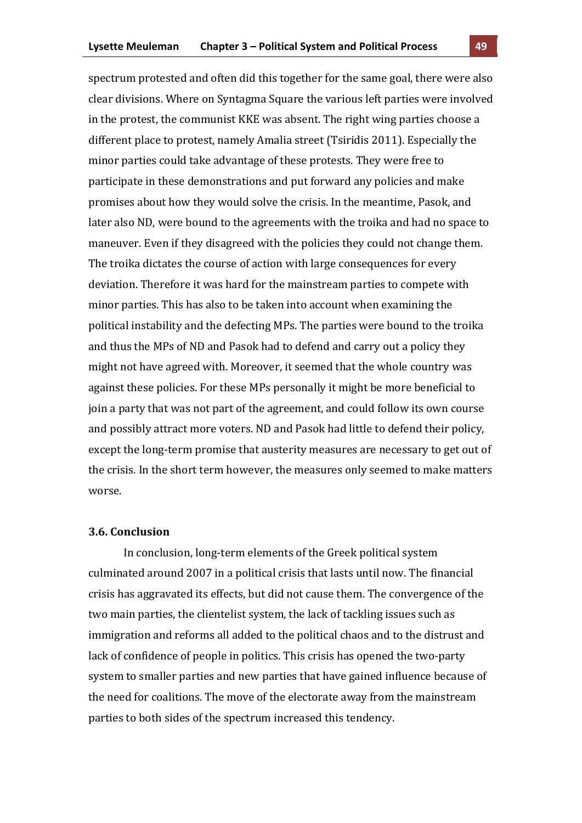spectrum protested and often did this together for the same goal, there were also clear divisions. Where on Syntagma Square the various left parties were involved in the protest, the communist KKE was absent. The right wing parties choose a different place to protest, namely Amalia street (Tsiridis 2011). Especially the minor parties could take advantage of these protests. They were free to participate in these demonstrations and put forward any policies and make promises about how they would solve the crisis. In the meantime, Pasok, and later also ND, were bound to the agreements with the troika and had no space to maneuver. Even if they disagreed with the policies they could not change them. The troika dictates the course of action with large consequences for every deviation. Therefore it was hard for the mainstream parties to compete with minor parties. This has also to be taken into account when examining the political instability and the defecting MPs. The parties were bound to the troika and thus the MPs of ND and Pasok had to defend and carry out a policy they might not have agreed with. Moreover, it seemed that the whole country was against these policies. For these MPs personally it might be more beneficial to join a party that was not part of the agreement, and could follow its own course and possibly attract more voters. ND and Pasok had little to defend their policy, except the long-term promise that austerity measures are necessary to get out of the crisis. In the short term however, the measures only seemed to make matters worse.

## **3.6.)Conclusion**

In conclusion, long-term elements of the Greek political system culminated around 2007 in a political crisis that lasts until now. The financial crisis has aggravated its effects, but did not cause them. The convergence of the two main parties, the clientelist system, the lack of tackling issues such as immigration and reforms all added to the political chaos and to the distrust and lack of confidence of people in politics. This crisis has opened the two-party system to smaller parties and new parties that have gained influence because of the need for coalitions. The move of the electorate away from the mainstream parties to both sides of the spectrum increased this tendency.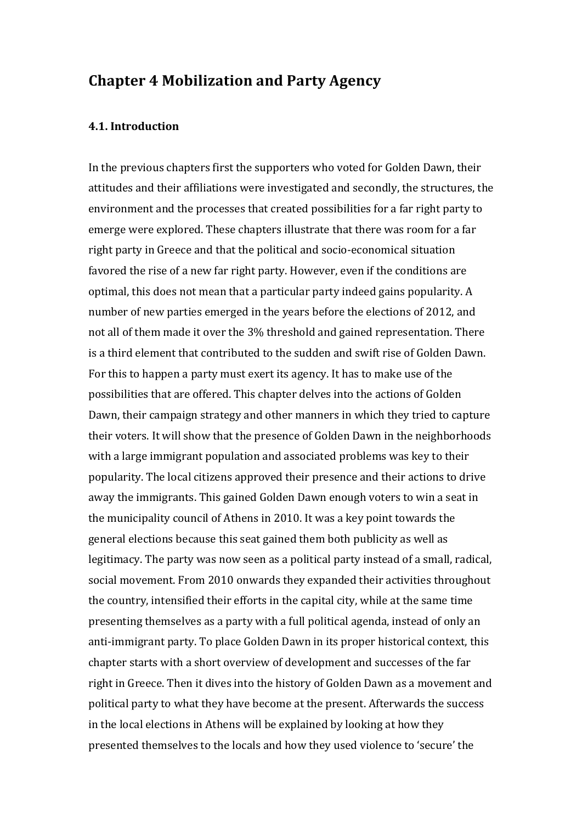# **Chapter)4)Mobilization)and)Party)Agency)**

# **4.1.)Introduction**

In the previous chapters first the supporters who voted for Golden Dawn, their attitudes and their affiliations were investigated and secondly, the structures, the environment and the processes that created possibilities for a far right party to emerge were explored. These chapters illustrate that there was room for a far right party in Greece and that the political and socio-economical situation favored the rise of a new far right party. However, even if the conditions are optimal, this does not mean that a particular party indeed gains popularity. A number of new parties emerged in the years before the elections of 2012, and not all of them made it over the 3% threshold and gained representation. There is a third element that contributed to the sudden and swift rise of Golden Dawn. For this to happen a party must exert its agency. It has to make use of the possibilities that are offered. This chapter delves into the actions of Golden Dawn, their campaign strategy and other manners in which they tried to capture their voters. It will show that the presence of Golden Dawn in the neighborhoods with a large immigrant population and associated problems was key to their popularity. The local citizens approved their presence and their actions to drive away the immigrants. This gained Golden Dawn enough voters to win a seat in the municipality council of Athens in 2010. It was a key point towards the general elections because this seat gained them both publicity as well as legitimacy. The party was now seen as a political party instead of a small, radical, social movement. From 2010 onwards they expanded their activities throughout the country, intensified their efforts in the capital city, while at the same time presenting themselves as a party with a full political agenda, instead of only an anti-immigrant party. To place Golden Dawn in its proper historical context, this chapter starts with a short overview of development and successes of the far right in Greece. Then it dives into the history of Golden Dawn as a movement and political party to what they have become at the present. Afterwards the success in the local elections in Athens will be explained by looking at how they presented themselves to the locals and how they used violence to 'secure' the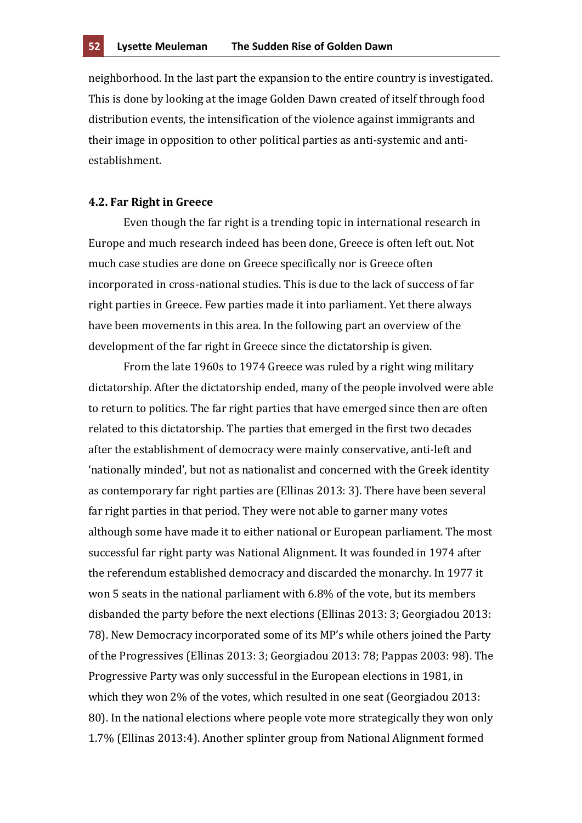neighborhood. In the last part the expansion to the entire country is investigated. This is done by looking at the image Golden Dawn created of itself through food distribution events, the intensification of the violence against immigrants and their image in opposition to other political parties as anti-systemic and antiestablishment.

#### **4.2. Far Right in Greece**

Even though the far right is a trending topic in international research in Europe and much research indeed has been done, Greece is often left out. Not much case studies are done on Greece specifically nor is Greece often incorporated in cross-national studies. This is due to the lack of success of far right parties in Greece. Few parties made it into parliament. Yet there always have been movements in this area. In the following part an overview of the development of the far right in Greece since the dictatorship is given.

From the late 1960s to 1974 Greece was ruled by a right wing military dictatorship. After the dictatorship ended, many of the people involved were able to return to politics. The far right parties that have emerged since then are often related to this dictatorship. The parties that emerged in the first two decades after the establishment of democracy were mainly conservative, anti-left and 'nationally minded', but not as nationalist and concerned with the Greek identity as contemporary far right parties are (Ellinas 2013: 3). There have been several far right parties in that period. They were not able to garner many votes although some have made it to either national or European parliament. The most successful far right party was National Alignment. It was founded in 1974 after the referendum established democracy and discarded the monarchy. In 1977 it won 5 seats in the national parliament with 6.8% of the vote, but its members disbanded the party before the next elections (Ellinas 2013: 3; Georgiadou 2013: 78). New Democracy incorporated some of its MP's while others joined the Party of the Progressives (Ellinas 2013: 3; Georgiadou 2013: 78; Pappas 2003: 98). The Progressive Party was only successful in the European elections in 1981, in which they won 2% of the votes, which resulted in one seat (Georgiadou 2013: 80). In the national elections where people vote more strategically they won only 1.7% (Ellinas 2013:4). Another splinter group from National Alignment formed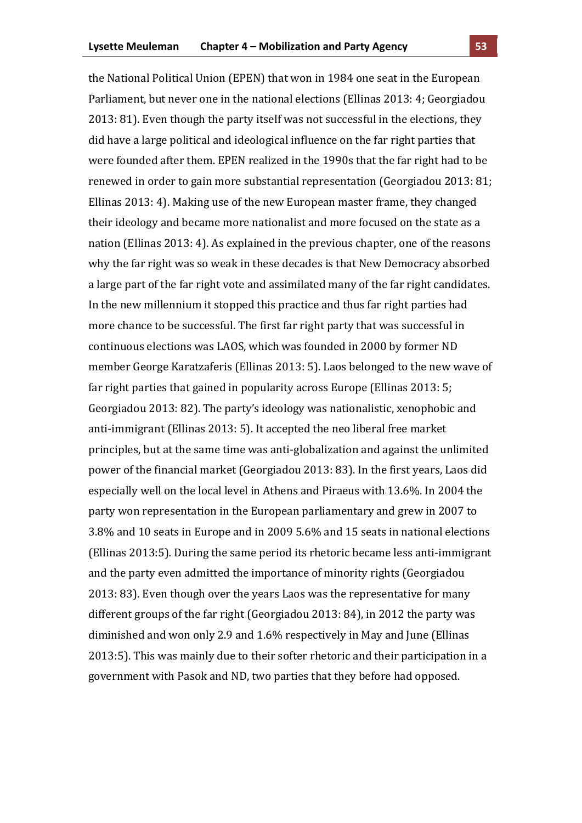the National Political Union (EPEN) that won in 1984 one seat in the European Parliament, but never one in the national elections (Ellinas 2013: 4; Georgiadou 2013: 81). Even though the party itself was not successful in the elections, they did have a large political and ideological influence on the far right parties that were founded after them. EPEN realized in the 1990s that the far right had to be renewed in order to gain more substantial representation (Georgiadou 2013: 81; Ellinas 2013: 4). Making use of the new European master frame, they changed their ideology and became more nationalist and more focused on the state as a nation (Ellinas 2013: 4). As explained in the previous chapter, one of the reasons why the far right was so weak in these decades is that New Democracy absorbed a large part of the far right vote and assimilated many of the far right candidates. In the new millennium it stopped this practice and thus far right parties had more chance to be successful. The first far right party that was successful in continuous elections was LAOS, which was founded in 2000 by former ND member George Karatzaferis (Ellinas 2013: 5). Laos belonged to the new wave of far right parties that gained in popularity across Europe (Ellinas 2013: 5; Georgiadou 2013: 82). The party's ideology was nationalistic, xenophobic and anti-immigrant (Ellinas 2013: 5). It accepted the neo liberal free market principles, but at the same time was anti-globalization and against the unlimited power of the financial market (Georgiadou 2013: 83). In the first years, Laos did especially well on the local level in Athens and Piraeus with 13.6%. In 2004 the party won representation in the European parliamentary and grew in 2007 to 3.8% and 10 seats in Europe and in 2009 5.6% and 15 seats in national elections (Ellinas 2013:5). During the same period its rhetoric became less anti-immigrant and the party even admitted the importance of minority rights (Georgiadou 2013: 83). Even though over the years Laos was the representative for many different groups of the far right (Georgiadou 2013: 84), in 2012 the party was diminished and won only 2.9 and 1.6% respectively in May and June (Ellinas 2013:5). This was mainly due to their softer rhetoric and their participation in a government with Pasok and ND, two parties that they before had opposed.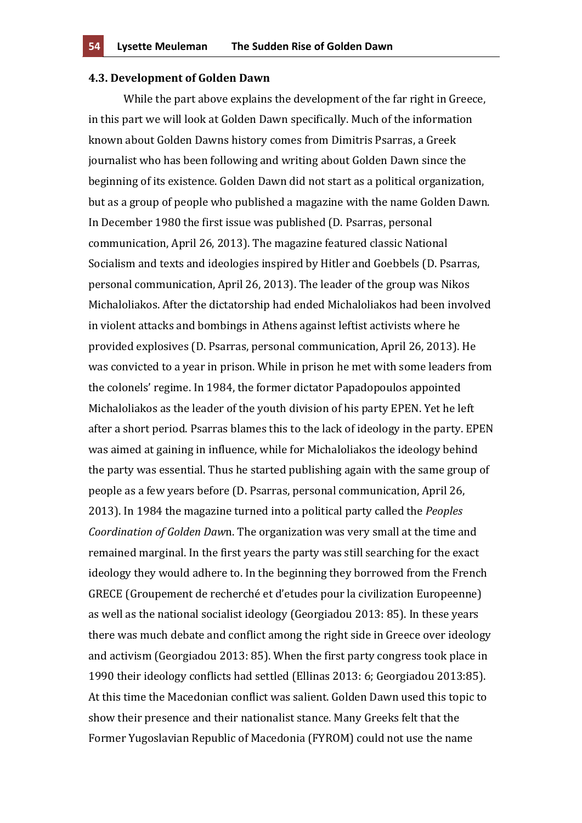#### **4.3. Development of Golden Dawn**

While the part above explains the development of the far right in Greece, in this part we will look at Golden Dawn specifically. Much of the information known about Golden Dawns history comes from Dimitris Psarras, a Greek journalist who has been following and writing about Golden Dawn since the beginning of its existence. Golden Dawn did not start as a political organization, but as a group of people who published a magazine with the name Golden Dawn. In December 1980 the first issue was published (D. Psarras, personal communication, April 26, 2013). The magazine featured classic National Socialism and texts and ideologies inspired by Hitler and Goebbels (D. Psarras, personal communication, April 26, 2013). The leader of the group was Nikos Michaloliakos. After the dictatorship had ended Michaloliakos had been involved in violent attacks and bombings in Athens against leftist activists where he provided explosives (D. Psarras, personal communication, April 26, 2013). He was convicted to a year in prison. While in prison he met with some leaders from the colonels' regime. In 1984, the former dictator Papadopoulos appointed Michaloliakos as the leader of the youth division of his party EPEN. Yet he left after a short period. Psarras blames this to the lack of ideology in the party. EPEN was aimed at gaining in influence, while for Michaloliakos the ideology behind the party was essential. Thus he started publishing again with the same group of people as a few years before (D. Psarras, personal communication, April 26, 2013). In 1984 the magazine turned into a political party called the *Peoples Coordination of Golden Dawn.* The organization was very small at the time and remained marginal. In the first years the party was still searching for the exact ideology they would adhere to. In the beginning they borrowed from the French GRECE (Groupement de recherché et d'etudes pour la civilization Europeenne) as well as the national socialist ideology (Georgiadou 2013: 85). In these years there was much debate and conflict among the right side in Greece over ideology and activism (Georgiadou 2013: 85). When the first party congress took place in 1990 their ideology conflicts had settled (Ellinas 2013: 6; Georgiadou 2013:85). At this time the Macedonian conflict was salient. Golden Dawn used this topic to show their presence and their nationalist stance. Many Greeks felt that the Former Yugoslavian Republic of Macedonia (FYROM) could not use the name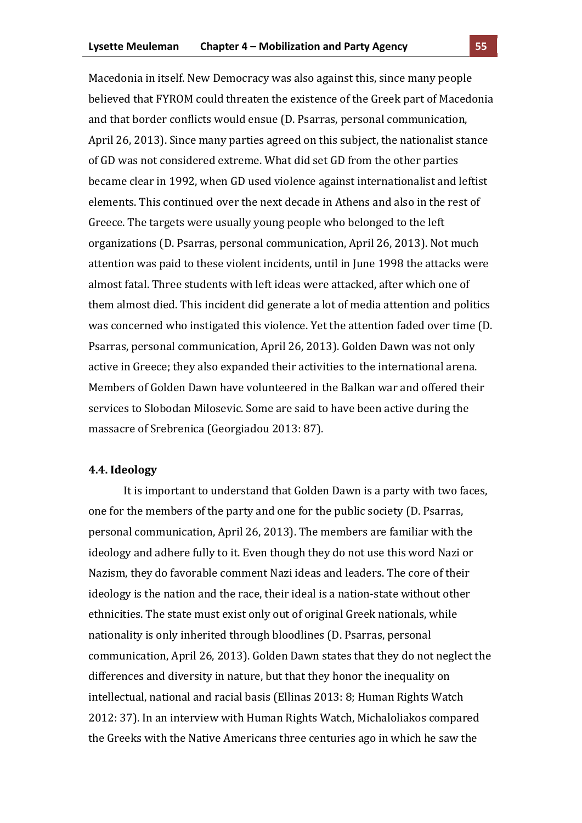Macedonia in itself. New Democracy was also against this, since many people believed that FYROM could threaten the existence of the Greek part of Macedonia and that border conflicts would ensue (D. Psarras, personal communication, April 26, 2013). Since many parties agreed on this subject, the nationalist stance of GD was not considered extreme. What did set GD from the other parties became clear in 1992, when GD used violence against internationalist and leftist elements. This continued over the next decade in Athens and also in the rest of Greece. The targets were usually young people who belonged to the left organizations (D. Psarras, personal communication, April 26, 2013). Not much attention was paid to these violent incidents, until in June 1998 the attacks were almost fatal. Three students with left ideas were attacked, after which one of them almost died. This incident did generate a lot of media attention and politics was concerned who instigated this violence. Yet the attention faded over time (D. Psarras, personal communication, April 26, 2013). Golden Dawn was not only active in Greece; they also expanded their activities to the international arena. Members of Golden Dawn have volunteered in the Balkan war and offered their services to Slobodan Milosevic. Some are said to have been active during the massacre of Srebrenica (Georgiadou 2013: 87).

## **4.4.)Ideology**

It is important to understand that Golden Dawn is a party with two faces, one for the members of the party and one for the public society (D. Psarras, personal communication, April 26, 2013). The members are familiar with the ideology and adhere fully to it. Even though they do not use this word Nazi or Nazism, they do favorable comment Nazi ideas and leaders. The core of their ideology is the nation and the race, their ideal is a nation-state without other ethnicities. The state must exist only out of original Greek nationals, while nationality is only inherited through bloodlines (D. Psarras, personal communication, April 26, 2013). Golden Dawn states that they do not neglect the differences and diversity in nature, but that they honor the inequality on intellectual, national and racial basis (Ellinas 2013: 8; Human Rights Watch 2012: 37). In an interview with Human Rights Watch, Michaloliakos compared the Greeks with the Native Americans three centuries ago in which he saw the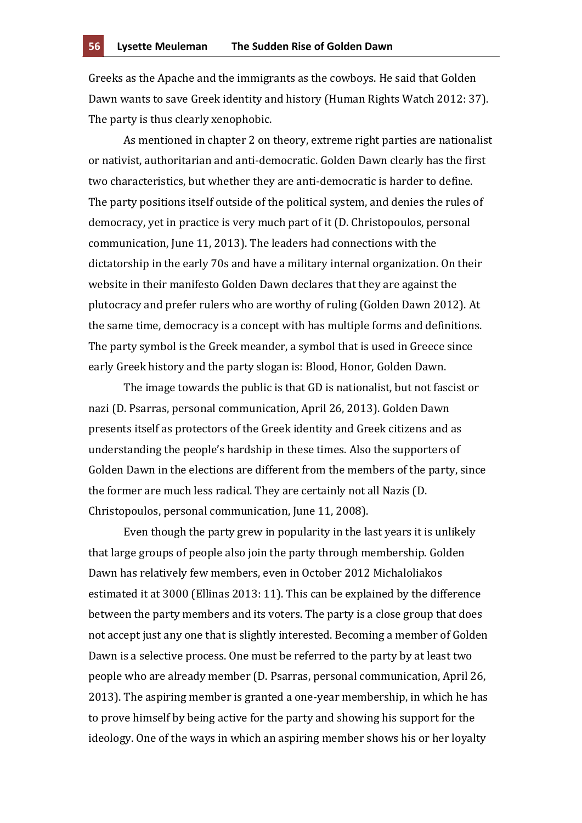Greeks as the Apache and the immigrants as the cowboys. He said that Golden Dawn wants to save Greek identity and history (Human Rights Watch 2012: 37). The party is thus clearly xenophobic.

As mentioned in chapter 2 on theory, extreme right parties are nationalist or nativist, authoritarian and anti-democratic. Golden Dawn clearly has the first two characteristics, but whether they are anti-democratic is harder to define. The party positions itself outside of the political system, and denies the rules of democracy, yet in practice is very much part of it (D. Christopoulos, personal communication, June 11, 2013). The leaders had connections with the dictatorship in the early 70s and have a military internal organization. On their website in their manifesto Golden Dawn declares that they are against the plutocracy and prefer rulers who are worthy of ruling (Golden Dawn 2012). At the same time, democracy is a concept with has multiple forms and definitions. The party symbol is the Greek meander, a symbol that is used in Greece since early Greek history and the party slogan is: Blood, Honor, Golden Dawn.

The image towards the public is that GD is nationalist, but not fascist or nazi (D. Psarras, personal communication, April 26, 2013). Golden Dawn presents itself as protectors of the Greek identity and Greek citizens and as understanding the people's hardship in these times. Also the supporters of Golden Dawn in the elections are different from the members of the party, since the former are much less radical. They are certainly not all Nazis (D. Christopoulos, personal communication, June 11, 2008).

Even though the party grew in popularity in the last years it is unlikely that large groups of people also join the party through membership. Golden Dawn has relatively few members, even in October 2012 Michaloliakos estimated it at 3000 (Ellinas 2013: 11). This can be explained by the difference between the party members and its voters. The party is a close group that does not accept just any one that is slightly interested. Becoming a member of Golden Dawn is a selective process. One must be referred to the party by at least two people who are already member (D. Psarras, personal communication, April 26, 2013). The aspiring member is granted a one-year membership, in which he has to prove himself by being active for the party and showing his support for the ideology. One of the ways in which an aspiring member shows his or her loyalty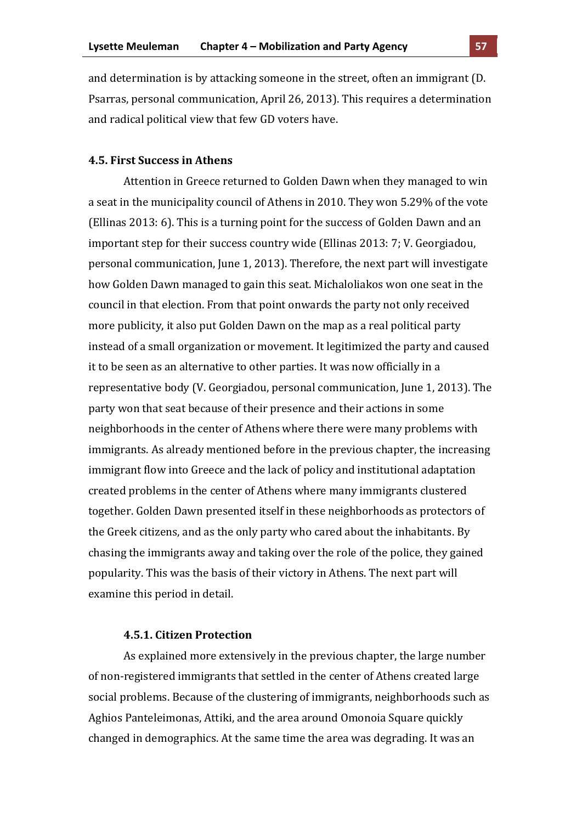and determination is by attacking someone in the street, often an immigrant (D. Psarras, personal communication, April 26, 2013). This requires a determination and radical political view that few GD voters have.

# **4.5. First Success in Athens**

Attention in Greece returned to Golden Dawn when they managed to win a seat in the municipality council of Athens in 2010. They won 5.29% of the vote (Ellinas 2013: 6). This is a turning point for the success of Golden Dawn and an important step for their success country wide (Ellinas 2013: 7; V. Georgiadou, personal communication, June 1, 2013). Therefore, the next part will investigate how Golden Dawn managed to gain this seat. Michaloliakos won one seat in the council in that election. From that point onwards the party not only received more publicity, it also put Golden Dawn on the map as a real political party instead of a small organization or movement. It legitimized the party and caused it to be seen as an alternative to other parties. It was now officially in a representative body (V. Georgiadou, personal communication, June 1, 2013). The party won that seat because of their presence and their actions in some neighborhoods in the center of Athens where there were many problems with immigrants. As already mentioned before in the previous chapter, the increasing immigrant flow into Greece and the lack of policy and institutional adaptation created problems in the center of Athens where many immigrants clustered together. Golden Dawn presented itself in these neighborhoods as protectors of the Greek citizens, and as the only party who cared about the inhabitants. By chasing the immigrants away and taking over the role of the police, they gained popularity. This was the basis of their victory in Athens. The next part will examine this period in detail.

#### **4.5.1.)Citizen)Protection**

As explained more extensively in the previous chapter, the large number of non-registered immigrants that settled in the center of Athens created large social problems. Because of the clustering of immigrants, neighborhoods such as Aghios Panteleimonas, Attiki, and the area around Omonoia Square quickly changed in demographics. At the same time the area was degrading. It was an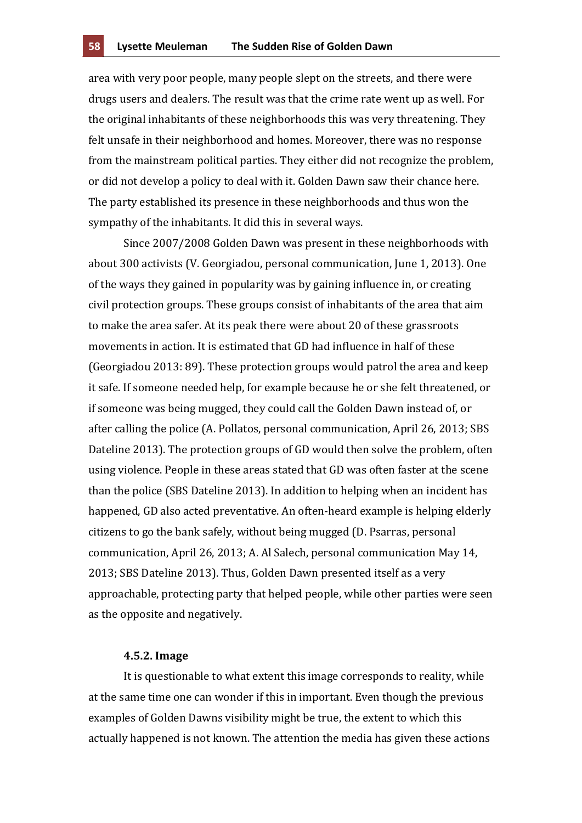area with very poor people, many people slept on the streets, and there were drugs users and dealers. The result was that the crime rate went up as well. For the original inhabitants of these neighborhoods this was very threatening. They felt unsafe in their neighborhood and homes. Moreover, there was no response from the mainstream political parties. They either did not recognize the problem, or did not develop a policy to deal with it. Golden Dawn saw their chance here. The party established its presence in these neighborhoods and thus won the sympathy of the inhabitants. It did this in several ways.

Since 2007/2008 Golden Dawn was present in these neighborhoods with about 300 activists (V. Georgiadou, personal communication, June 1, 2013). One of the ways they gained in popularity was by gaining influence in, or creating civil protection groups. These groups consist of inhabitants of the area that aim to make the area safer. At its peak there were about 20 of these grassroots movements in action. It is estimated that GD had influence in half of these (Georgiadou 2013: 89). These protection groups would patrol the area and keep it safe. If someone needed help, for example because he or she felt threatened, or if someone was being mugged, they could call the Golden Dawn instead of, or after calling the police (A. Pollatos, personal communication, April 26, 2013; SBS Dateline 2013). The protection groups of GD would then solve the problem, often using violence. People in these areas stated that GD was often faster at the scene than the police (SBS Dateline 2013). In addition to helping when an incident has happened, GD also acted preventative. An often-heard example is helping elderly citizens to go the bank safely, without being mugged (D. Psarras, personal communication, April 26, 2013; A. Al Salech, personal communication May 14, 2013; SBS Dateline 2013). Thus, Golden Dawn presented itself as a very approachable, protecting party that helped people, while other parties were seen as the opposite and negatively.

#### **4.5.2.)Image**

It is questionable to what extent this image corresponds to reality, while at the same time one can wonder if this in important. Even though the previous examples of Golden Dawns visibility might be true, the extent to which this actually happened is not known. The attention the media has given these actions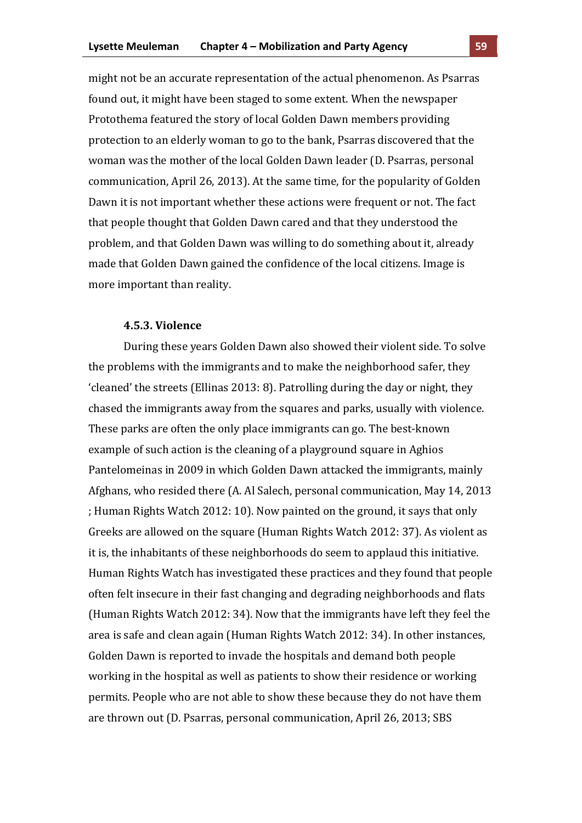might not be an accurate representation of the actual phenomenon. As Psarras found out, it might have been staged to some extent. When the newspaper Protothema featured the story of local Golden Dawn members providing protection to an elderly woman to go to the bank, Psarras discovered that the woman was the mother of the local Golden Dawn leader (D. Psarras, personal communication, April 26, 2013). At the same time, for the popularity of Golden Dawn it is not important whether these actions were frequent or not. The fact that people thought that Golden Dawn cared and that they understood the problem, and that Golden Dawn was willing to do something about it, already made that Golden Dawn gained the confidence of the local citizens. Image is more important than reality.

## **4.5.3. Violence**

During these years Golden Dawn also showed their violent side. To solve the problems with the immigrants and to make the neighborhood safer, they 'cleaned' the streets (Ellinas 2013: 8). Patrolling during the day or night, they chased the immigrants away from the squares and parks, usually with violence. These parks are often the only place immigrants can go. The best-known example of such action is the cleaning of a playground square in Aghios Pantelomeinas in 2009 in which Golden Dawn attacked the immigrants, mainly Afghans, who resided there (A. Al Salech, personal communication, May 14, 2013 ; Human Rights Watch 2012: 10). Now painted on the ground, it says that only Greeks are allowed on the square (Human Rights Watch 2012: 37). As violent as it is, the inhabitants of these neighborhoods do seem to applaud this initiative. Human Rights Watch has investigated these practices and they found that people often felt insecure in their fast changing and degrading neighborhoods and flats (Human Rights Watch 2012: 34). Now that the immigrants have left they feel the area is safe and clean again (Human Rights Watch 2012: 34). In other instances, Golden Dawn is reported to invade the hospitals and demand both people working in the hospital as well as patients to show their residence or working permits. People who are not able to show these because they do not have them are thrown out (D. Psarras, personal communication, April 26, 2013; SBS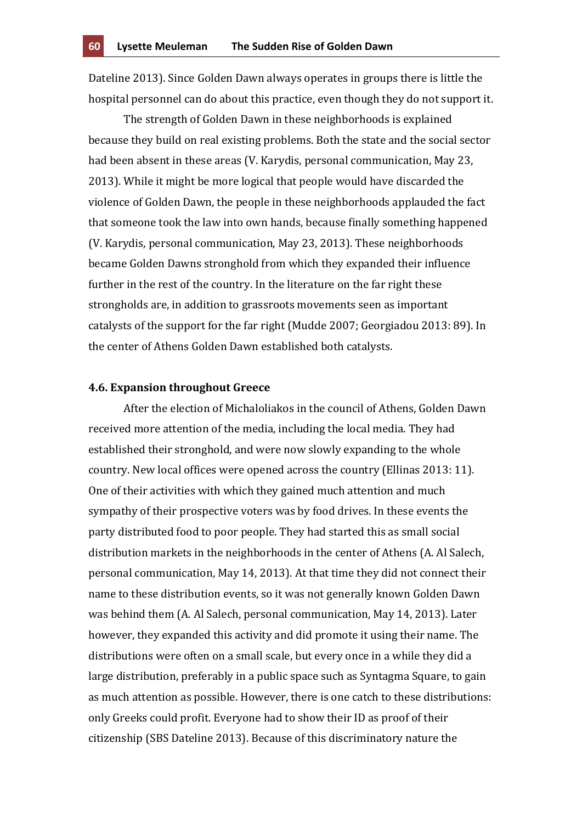Dateline 2013). Since Golden Dawn always operates in groups there is little the hospital personnel can do about this practice, even though they do not support it.

The strength of Golden Dawn in these neighborhoods is explained because they build on real existing problems. Both the state and the social sector had been absent in these areas (V. Karydis, personal communication, May 23, 2013). While it might be more logical that people would have discarded the violence of Golden Dawn, the people in these neighborhoods applauded the fact that someone took the law into own hands, because finally something happened (V. Karydis, personal communication, May 23, 2013). These neighborhoods became Golden Dawns stronghold from which they expanded their influence further in the rest of the country. In the literature on the far right these strongholds are, in addition to grassroots movements seen as important catalysts of the support for the far right (Mudde 2007; Georgiadou 2013: 89). In the center of Athens Golden Dawn established both catalysts.

### **4.6. Expansion throughout Greece**

After the election of Michaloliakos in the council of Athens, Golden Dawn received more attention of the media, including the local media. They had established their stronghold, and were now slowly expanding to the whole country. New local offices were opened across the country (Ellinas 2013: 11). One of their activities with which they gained much attention and much sympathy of their prospective voters was by food drives. In these events the party distributed food to poor people. They had started this as small social distribution markets in the neighborhoods in the center of Athens (A. Al Salech, personal communication, May 14, 2013). At that time they did not connect their name to these distribution events, so it was not generally known Golden Dawn was behind them (A. Al Salech, personal communication, May 14, 2013). Later however, they expanded this activity and did promote it using their name. The distributions were often on a small scale, but every once in a while they did a large distribution, preferably in a public space such as Syntagma Square, to gain as much attention as possible. However, there is one catch to these distributions: only Greeks could profit. Everyone had to show their ID as proof of their citizenship (SBS Dateline 2013). Because of this discriminatory nature the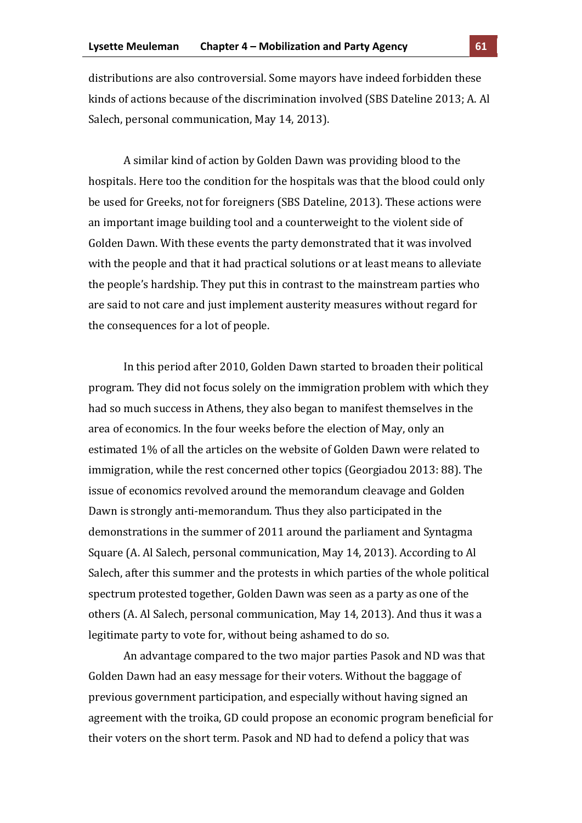distributions are also controversial. Some mayors have indeed forbidden these kinds of actions because of the discrimination involved (SBS Dateline 2013; A. Al Salech, personal communication, May 14, 2013).

A similar kind of action by Golden Dawn was providing blood to the hospitals. Here too the condition for the hospitals was that the blood could only be used for Greeks, not for foreigners (SBS Dateline, 2013). These actions were an important image building tool and a counterweight to the violent side of Golden Dawn. With these events the party demonstrated that it was involved with the people and that it had practical solutions or at least means to alleviate the people's hardship. They put this in contrast to the mainstream parties who are said to not care and just implement austerity measures without regard for the consequences for a lot of people.

In this period after 2010, Golden Dawn started to broaden their political program. They did not focus solely on the immigration problem with which they had so much success in Athens, they also began to manifest themselves in the area of economics. In the four weeks before the election of May, only an estimated 1% of all the articles on the website of Golden Dawn were related to immigration, while the rest concerned other topics (Georgiadou 2013: 88). The issue of economics revolved around the memorandum cleavage and Golden Dawn is strongly anti-memorandum. Thus they also participated in the demonstrations in the summer of 2011 around the parliament and Syntagma Square (A. Al Salech, personal communication, May 14, 2013). According to Al Salech, after this summer and the protests in which parties of the whole political spectrum protested together, Golden Dawn was seen as a party as one of the others (A. Al Salech, personal communication, May 14, 2013). And thus it was a legitimate party to vote for, without being ashamed to do so.

An advantage compared to the two major parties Pasok and ND was that Golden Dawn had an easy message for their voters. Without the baggage of previous government participation, and especially without having signed an agreement with the troika, GD could propose an economic program beneficial for their voters on the short term. Pasok and ND had to defend a policy that was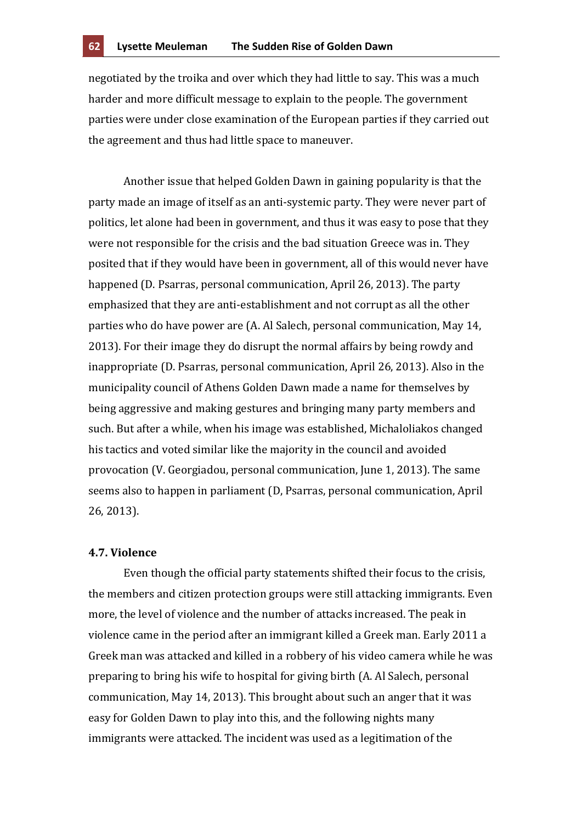negotiated by the troika and over which they had little to say. This was a much harder and more difficult message to explain to the people. The government parties were under close examination of the European parties if they carried out the agreement and thus had little space to maneuver.

Another issue that helped Golden Dawn in gaining popularity is that the party made an image of itself as an anti-systemic party. They were never part of politics, let alone had been in government, and thus it was easy to pose that they were not responsible for the crisis and the bad situation Greece was in. They posited that if they would have been in government, all of this would never have happened (D. Psarras, personal communication, April 26, 2013). The party emphasized that they are anti-establishment and not corrupt as all the other parties who do have power are (A. Al Salech, personal communication, May 14, 2013). For their image they do disrupt the normal affairs by being rowdy and inappropriate (D. Psarras, personal communication, April 26, 2013). Also in the municipality council of Athens Golden Dawn made a name for themselves by being aggressive and making gestures and bringing many party members and such. But after a while, when his image was established, Michaloliakos changed his tactics and voted similar like the majority in the council and avoided provocation (V. Georgiadou, personal communication, June 1, 2013). The same seems also to happen in parliament (D, Psarras, personal communication, April 26, 2013).

## **4.7. Violence**

Even though the official party statements shifted their focus to the crisis, the members and citizen protection groups were still attacking immigrants. Even more, the level of violence and the number of attacks increased. The peak in violence came in the period after an immigrant killed a Greek man. Early 2011 a Greek man was attacked and killed in a robbery of his video camera while he was preparing to bring his wife to hospital for giving birth (A. Al Salech, personal communication, May 14, 2013). This brought about such an anger that it was easy for Golden Dawn to play into this, and the following nights many immigrants were attacked. The incident was used as a legitimation of the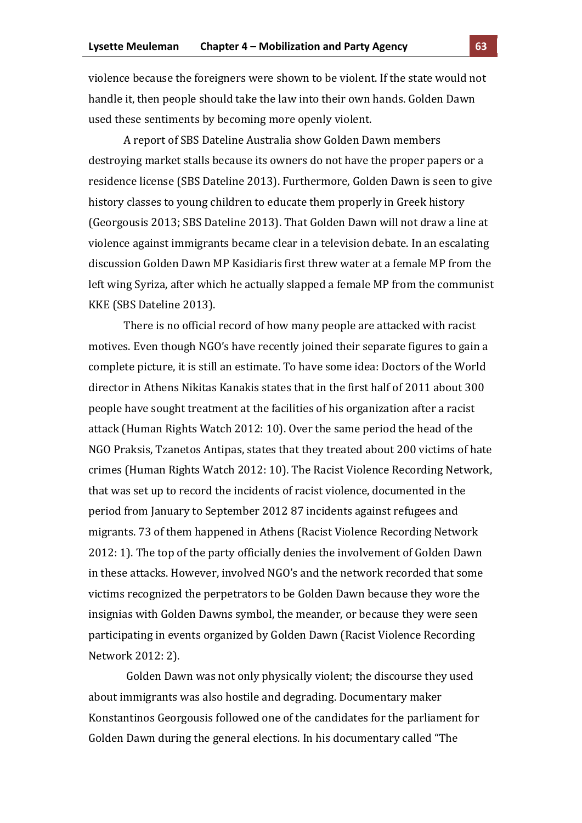violence because the foreigners were shown to be violent. If the state would not handle it, then people should take the law into their own hands. Golden Dawn used these sentiments by becoming more openly violent.

A report of SBS Dateline Australia show Golden Dawn members destroying market stalls because its owners do not have the proper papers or a residence license (SBS Dateline 2013). Furthermore, Golden Dawn is seen to give history classes to young children to educate them properly in Greek history (Georgousis 2013; SBS Dateline 2013). That Golden Dawn will not draw a line at violence against immigrants became clear in a television debate. In an escalating discussion Golden Dawn MP Kasidiaris first threw water at a female MP from the left wing Syriza, after which he actually slapped a female MP from the communist KKE (SBS Dateline 2013).

There is no official record of how many people are attacked with racist motives. Even though NGO's have recently joined their separate figures to gain a complete picture, it is still an estimate. To have some idea: Doctors of the World director in Athens Nikitas Kanakis states that in the first half of 2011 about 300 people have sought treatment at the facilities of his organization after a racist attack (Human Rights Watch 2012: 10). Over the same period the head of the NGO Praksis, Tzanetos Antipas, states that they treated about 200 victims of hate crimes (Human Rights Watch 2012: 10). The Racist Violence Recording Network, that was set up to record the incidents of racist violence, documented in the period from January to September 2012 87 incidents against refugees and migrants. 73 of them happened in Athens (Racist Violence Recording Network 2012: 1). The top of the party officially denies the involvement of Golden Dawn in these attacks. However, involved NGO's and the network recorded that some victims recognized the perpetrators to be Golden Dawn because they wore the insignias with Golden Dawns symbol, the meander, or because they were seen participating in events organized by Golden Dawn (Racist Violence Recording Network 2012: 2).

Golden Dawn was not only physically violent; the discourse they used about immigrants was also hostile and degrading. Documentary maker Konstantinos Georgousis followed one of the candidates for the parliament for Golden Dawn during the general elections. In his documentary called "The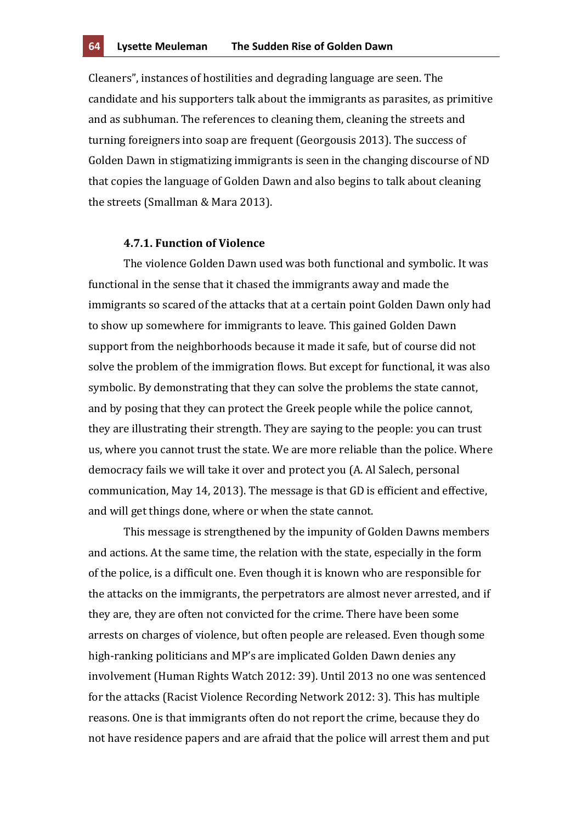Cleaners", instances of hostilities and degrading language are seen. The candidate and his supporters talk about the immigrants as parasites, as primitive and as subhuman. The references to cleaning them, cleaning the streets and turning foreigners into soap are frequent (Georgousis 2013). The success of Golden Dawn in stigmatizing immigrants is seen in the changing discourse of ND that copies the language of Golden Dawn and also begins to talk about cleaning the streets (Smallman & Mara 2013).

## **4.7.1. Function of Violence**

The violence Golden Dawn used was both functional and symbolic. It was functional in the sense that it chased the immigrants away and made the immigrants so scared of the attacks that at a certain point Golden Dawn only had to show up somewhere for immigrants to leave. This gained Golden Dawn support from the neighborhoods because it made it safe, but of course did not solve the problem of the immigration flows. But except for functional, it was also symbolic. By demonstrating that they can solve the problems the state cannot, and by posing that they can protect the Greek people while the police cannot, they are illustrating their strength. They are saying to the people: you can trust us, where you cannot trust the state. We are more reliable than the police. Where democracy fails we will take it over and protect you (A. Al Salech, personal communication, May 14, 2013). The message is that GD is efficient and effective, and will get things done, where or when the state cannot.

This message is strengthened by the impunity of Golden Dawns members and actions. At the same time, the relation with the state, especially in the form of the police, is a difficult one. Even though it is known who are responsible for the attacks on the immigrants, the perpetrators are almost never arrested, and if they are, they are often not convicted for the crime. There have been some arrests on charges of violence, but often people are released. Even though some high-ranking politicians and MP's are implicated Golden Dawn denies any involvement (Human Rights Watch 2012: 39). Until 2013 no one was sentenced for the attacks (Racist Violence Recording Network 2012: 3). This has multiple reasons. One is that immigrants often do not report the crime, because they do not have residence papers and are afraid that the police will arrest them and put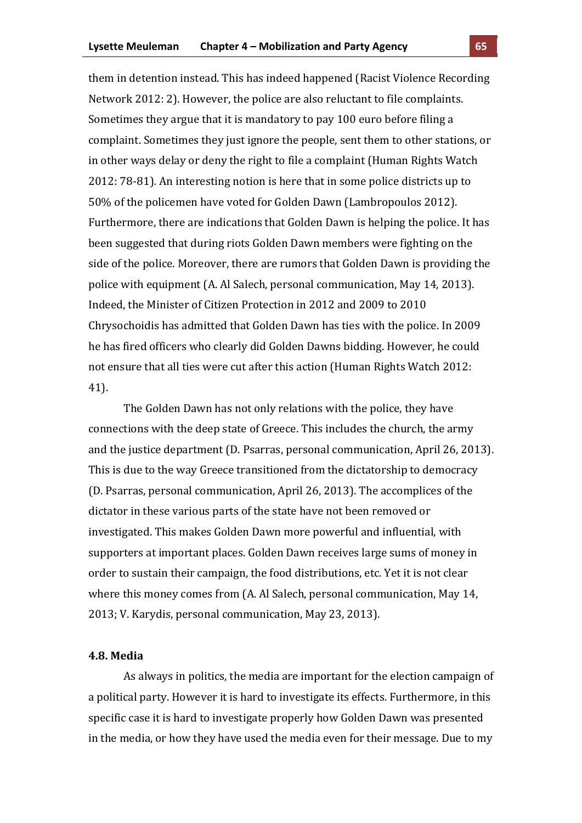them in detention instead. This has indeed happened (Racist Violence Recording Network 2012: 2). However, the police are also reluctant to file complaints. Sometimes they argue that it is mandatory to pay 100 euro before filing a complaint. Sometimes they just ignore the people, sent them to other stations, or in other ways delay or deny the right to file a complaint (Human Rights Watch 2012: 78-81). An interesting notion is here that in some police districts up to 50% of the policemen have voted for Golden Dawn (Lambropoulos 2012). Furthermore, there are indications that Golden Dawn is helping the police. It has been suggested that during riots Golden Dawn members were fighting on the side of the police. Moreover, there are rumors that Golden Dawn is providing the police with equipment (A. Al Salech, personal communication, May 14, 2013). Indeed, the Minister of Citizen Protection in 2012 and 2009 to 2010 Chrysochoidis has admitted that Golden Dawn has ties with the police. In 2009 he has fired officers who clearly did Golden Dawns bidding. However, he could not ensure that all ties were cut after this action (Human Rights Watch 2012: 41).

The Golden Dawn has not only relations with the police, they have connections with the deep state of Greece. This includes the church, the army and the justice department (D. Psarras, personal communication, April 26, 2013). This is due to the way Greece transitioned from the dictatorship to democracy (D. Psarras, personal communication, April 26, 2013). The accomplices of the dictator in these various parts of the state have not been removed or investigated. This makes Golden Dawn more powerful and influential, with supporters at important places. Golden Dawn receives large sums of money in order to sustain their campaign, the food distributions, etc. Yet it is not clear where this money comes from (A. Al Salech, personal communication, May 14, 2013; V. Karydis, personal communication, May 23, 2013).

#### **4.8.)Media**

As always in politics, the media are important for the election campaign of a political party. However it is hard to investigate its effects. Furthermore, in this specific case it is hard to investigate properly how Golden Dawn was presented in the media, or how they have used the media even for their message. Due to my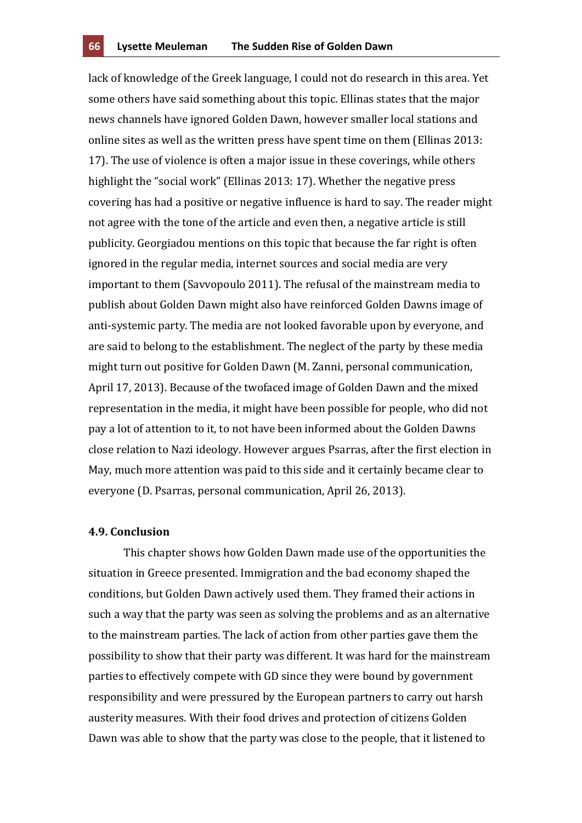lack of knowledge of the Greek language, I could not do research in this area. Yet some others have said something about this topic. Ellinas states that the major news channels have ignored Golden Dawn, however smaller local stations and online sites as well as the written press have spent time on them (Ellinas 2013: 17). The use of violence is often a major issue in these coverings, while others highlight the "social work" (Ellinas 2013: 17). Whether the negative press covering has had a positive or negative influence is hard to say. The reader might not agree with the tone of the article and even then, a negative article is still publicity. Georgiadou mentions on this topic that because the far right is often ignored in the regular media, internet sources and social media are very important to them (Savvopoulo 2011). The refusal of the mainstream media to publish about Golden Dawn might also have reinforced Golden Dawns image of anti-systemic party. The media are not looked favorable upon by everyone, and are said to belong to the establishment. The neglect of the party by these media might turn out positive for Golden Dawn (M. Zanni, personal communication, April 17, 2013). Because of the twofaced image of Golden Dawn and the mixed representation in the media, it might have been possible for people, who did not pay a lot of attention to it, to not have been informed about the Golden Dawns close relation to Nazi ideology. However argues Psarras, after the first election in May, much more attention was paid to this side and it certainly became clear to everyone (D. Psarras, personal communication, April 26, 2013).

## **4.9.)Conclusion**

This chapter shows how Golden Dawn made use of the opportunities the situation in Greece presented. Immigration and the bad economy shaped the conditions, but Golden Dawn actively used them. They framed their actions in such a way that the party was seen as solving the problems and as an alternative to the mainstream parties. The lack of action from other parties gave them the possibility to show that their party was different. It was hard for the mainstream parties to effectively compete with GD since they were bound by government responsibility and were pressured by the European partners to carry out harsh austerity measures. With their food drives and protection of citizens Golden Dawn was able to show that the party was close to the people, that it listened to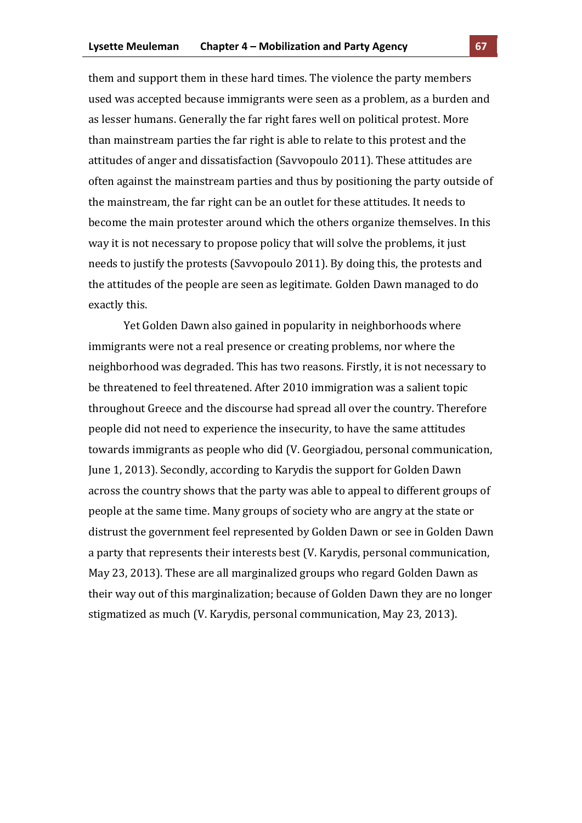them and support them in these hard times. The violence the party members used was accepted because immigrants were seen as a problem, as a burden and as lesser humans. Generally the far right fares well on political protest. More than mainstream parties the far right is able to relate to this protest and the attitudes of anger and dissatisfaction (Savvopoulo 2011). These attitudes are often against the mainstream parties and thus by positioning the party outside of the mainstream, the far right can be an outlet for these attitudes. It needs to become the main protester around which the others organize themselves. In this way it is not necessary to propose policy that will solve the problems, it just needs to justify the protests (Savvopoulo 2011). By doing this, the protests and the attitudes of the people are seen as legitimate. Golden Dawn managed to do exactly this.

Yet Golden Dawn also gained in popularity in neighborhoods where immigrants were not a real presence or creating problems, nor where the neighborhood was degraded. This has two reasons. Firstly, it is not necessary to be threatened to feel threatened. After 2010 immigration was a salient topic throughout Greece and the discourse had spread all over the country. Therefore people did not need to experience the insecurity, to have the same attitudes towards immigrants as people who did (V. Georgiadou, personal communication, June 1, 2013). Secondly, according to Karydis the support for Golden Dawn across the country shows that the party was able to appeal to different groups of people at the same time. Many groups of society who are angry at the state or distrust the government feel represented by Golden Dawn or see in Golden Dawn a party that represents their interests best (V. Karydis, personal communication, May 23, 2013). These are all marginalized groups who regard Golden Dawn as their way out of this marginalization; because of Golden Dawn they are no longer stigmatized as much (V. Karydis, personal communication, May 23, 2013).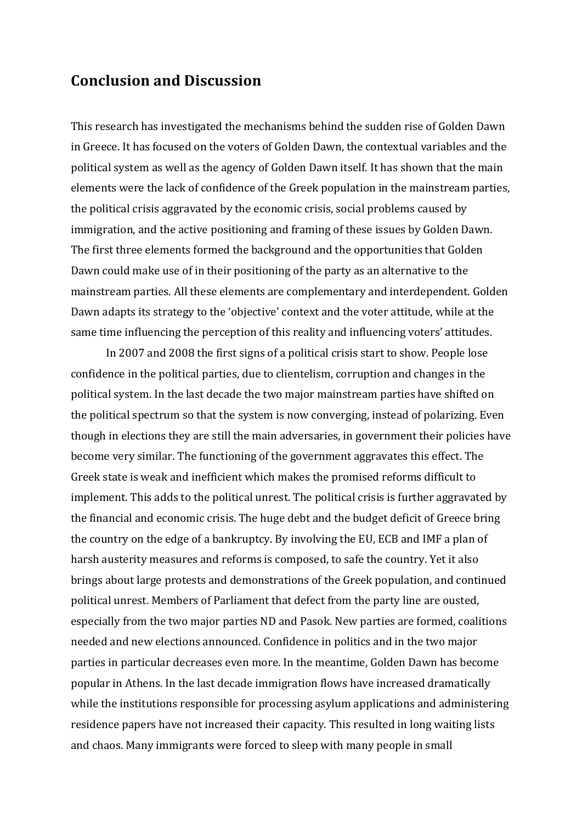# **Conclusion)and)Discussion)**

This research has investigated the mechanisms behind the sudden rise of Golden Dawn in Greece. It has focused on the voters of Golden Dawn, the contextual variables and the political system as well as the agency of Golden Dawn itself. It has shown that the main elements were the lack of confidence of the Greek population in the mainstream parties, the political crisis aggravated by the economic crisis, social problems caused by immigration, and the active positioning and framing of these issues by Golden Dawn. The first three elements formed the background and the opportunities that Golden Dawn could make use of in their positioning of the party as an alternative to the mainstream parties. All these elements are complementary and interdependent. Golden Dawn adapts its strategy to the 'objective' context and the voter attitude, while at the same time influencing the perception of this reality and influencing voters' attitudes.

In 2007 and 2008 the first signs of a political crisis start to show. People lose confidence in the political parties, due to clientelism, corruption and changes in the political system. In the last decade the two major mainstream parties have shifted on the political spectrum so that the system is now converging, instead of polarizing. Even though in elections they are still the main adversaries, in government their policies have become very similar. The functioning of the government aggravates this effect. The Greek state is weak and inefficient which makes the promised reforms difficult to implement. This adds to the political unrest. The political crisis is further aggravated by the financial and economic crisis. The huge debt and the budget deficit of Greece bring the country on the edge of a bankruptcy. By involving the EU, ECB and IMF a plan of harsh austerity measures and reforms is composed, to safe the country. Yet it also brings about large protests and demonstrations of the Greek population, and continued political unrest. Members of Parliament that defect from the party line are ousted, especially from the two major parties ND and Pasok. New parties are formed, coalitions needed and new elections announced. Confidence in politics and in the two major parties in particular decreases even more. In the meantime, Golden Dawn has become popular in Athens. In the last decade immigration flows have increased dramatically while the institutions responsible for processing asylum applications and administering residence papers have not increased their capacity. This resulted in long waiting lists and chaos. Many immigrants were forced to sleep with many people in small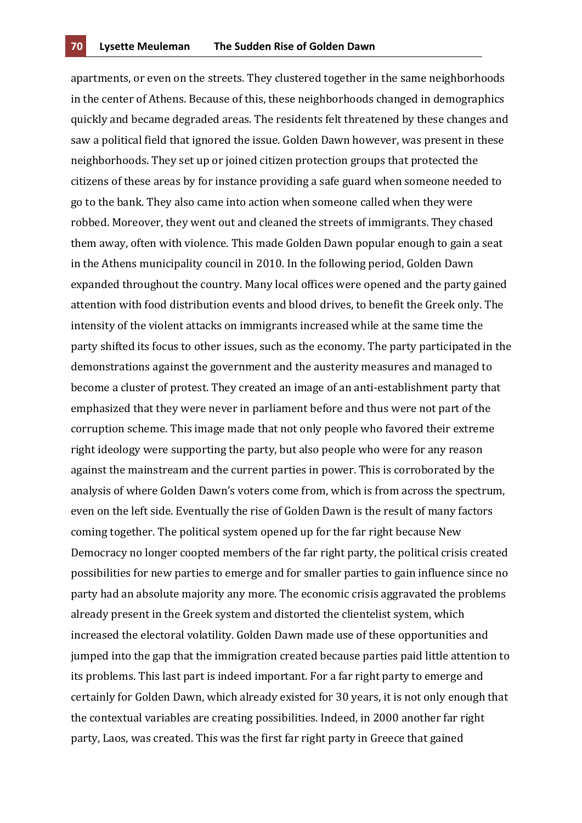apartments, or even on the streets. They clustered together in the same neighborhoods in the center of Athens. Because of this, these neighborhoods changed in demographics quickly and became degraded areas. The residents felt threatened by these changes and saw a political field that ignored the issue. Golden Dawn however, was present in these neighborhoods. They set up or joined citizen protection groups that protected the citizens of these areas by for instance providing a safe guard when someone needed to go to the bank. They also came into action when someone called when they were robbed. Moreover, they went out and cleaned the streets of immigrants. They chased them away, often with violence. This made Golden Dawn popular enough to gain a seat in the Athens municipality council in 2010. In the following period, Golden Dawn expanded throughout the country. Many local offices were opened and the party gained attention with food distribution events and blood drives, to benefit the Greek only. The intensity of the violent attacks on immigrants increased while at the same time the party shifted its focus to other issues, such as the economy. The party participated in the demonstrations against the government and the austerity measures and managed to become a cluster of protest. They created an image of an anti-establishment party that emphasized that they were never in parliament before and thus were not part of the corruption scheme. This image made that not only people who favored their extreme right ideology were supporting the party, but also people who were for any reason against the mainstream and the current parties in power. This is corroborated by the analysis of where Golden Dawn's voters come from, which is from across the spectrum, even on the left side. Eventually the rise of Golden Dawn is the result of many factors coming together. The political system opened up for the far right because New Democracy no longer coopted members of the far right party, the political crisis created possibilities for new parties to emerge and for smaller parties to gain influence since no party had an absolute majority any more. The economic crisis aggravated the problems already present in the Greek system and distorted the clientelist system, which increased the electoral volatility. Golden Dawn made use of these opportunities and jumped into the gap that the immigration created because parties paid little attention to its problems. This last part is indeed important. For a far right party to emerge and certainly for Golden Dawn, which already existed for 30 years, it is not only enough that the contextual variables are creating possibilities. Indeed, in 2000 another far right party, Laos, was created. This was the first far right party in Greece that gained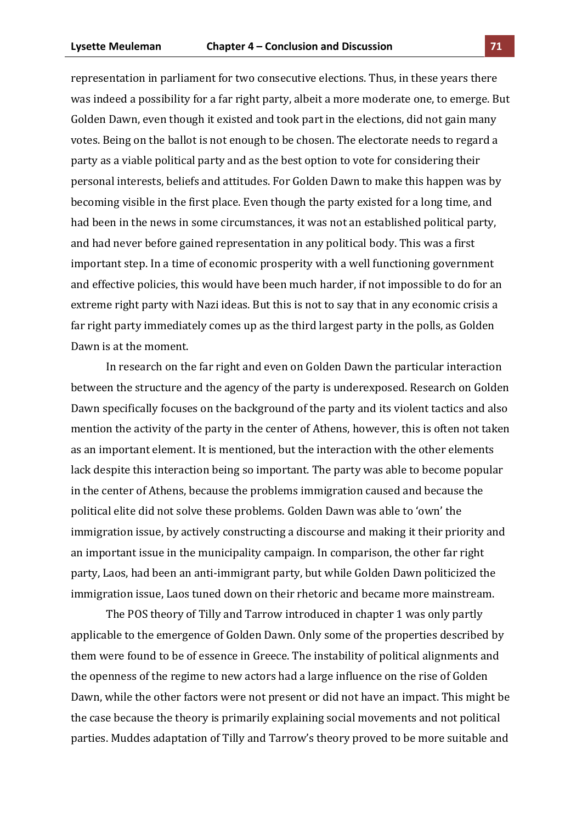representation in parliament for two consecutive elections. Thus, in these years there was indeed a possibility for a far right party, albeit a more moderate one, to emerge. But Golden Dawn, even though it existed and took part in the elections, did not gain many votes. Being on the ballot is not enough to be chosen. The electorate needs to regard a party as a viable political party and as the best option to vote for considering their personal interests, beliefs and attitudes. For Golden Dawn to make this happen was by becoming visible in the first place. Even though the party existed for a long time, and had been in the news in some circumstances, it was not an established political party, and had never before gained representation in any political body. This was a first important step. In a time of economic prosperity with a well functioning government and effective policies, this would have been much harder, if not impossible to do for an extreme right party with Nazi ideas. But this is not to say that in any economic crisis a far right party immediately comes up as the third largest party in the polls, as Golden Dawn is at the moment.

In research on the far right and even on Golden Dawn the particular interaction between the structure and the agency of the party is underexposed. Research on Golden Dawn specifically focuses on the background of the party and its violent tactics and also mention the activity of the party in the center of Athens, however, this is often not taken as an important element. It is mentioned, but the interaction with the other elements lack despite this interaction being so important. The party was able to become popular in the center of Athens, because the problems immigration caused and because the political elite did not solve these problems. Golden Dawn was able to 'own' the immigration issue, by actively constructing a discourse and making it their priority and an important issue in the municipality campaign. In comparison, the other far right party, Laos, had been an anti-immigrant party, but while Golden Dawn politicized the immigration issue, Laos tuned down on their rhetoric and became more mainstream.

The POS theory of Tilly and Tarrow introduced in chapter 1 was only partly applicable to the emergence of Golden Dawn. Only some of the properties described by them were found to be of essence in Greece. The instability of political alignments and the openness of the regime to new actors had a large influence on the rise of Golden Dawn, while the other factors were not present or did not have an impact. This might be the case because the theory is primarily explaining social movements and not political parties. Muddes adaptation of Tilly and Tarrow's theory proved to be more suitable and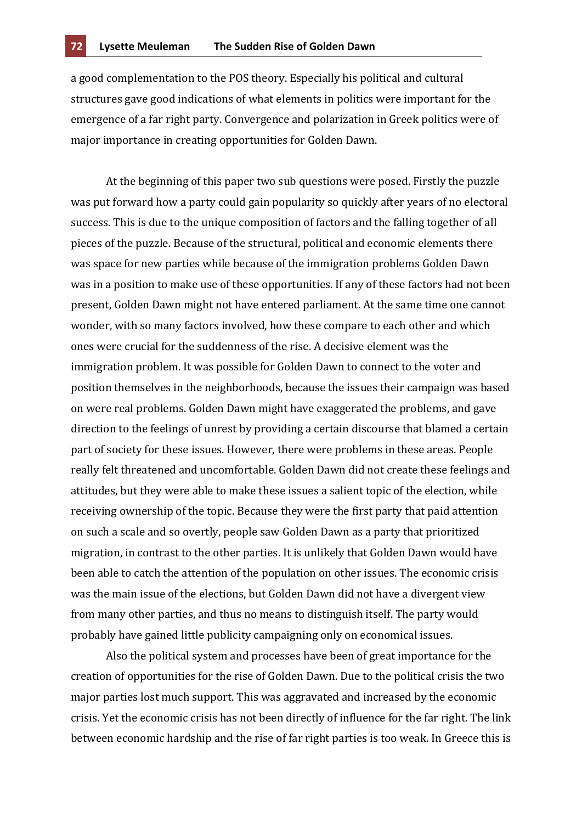a good complementation to the POS theory. Especially his political and cultural structures gave good indications of what elements in politics were important for the emergence of a far right party. Convergence and polarization in Greek politics were of major importance in creating opportunities for Golden Dawn.

At the beginning of this paper two sub questions were posed. Firstly the puzzle was put forward how a party could gain popularity so quickly after years of no electoral success. This is due to the unique composition of factors and the falling together of all pieces of the puzzle. Because of the structural, political and economic elements there was space for new parties while because of the immigration problems Golden Dawn was in a position to make use of these opportunities. If any of these factors had not been present, Golden Dawn might not have entered parliament. At the same time one cannot wonder, with so many factors involved, how these compare to each other and which ones were crucial for the suddenness of the rise. A decisive element was the immigration problem. It was possible for Golden Dawn to connect to the voter and position themselves in the neighborhoods, because the issues their campaign was based on were real problems. Golden Dawn might have exaggerated the problems, and gave direction to the feelings of unrest by providing a certain discourse that blamed a certain part of society for these issues. However, there were problems in these areas. People really felt threatened and uncomfortable. Golden Dawn did not create these feelings and attitudes, but they were able to make these issues a salient topic of the election, while receiving ownership of the topic. Because they were the first party that paid attention on such a scale and so overtly, people saw Golden Dawn as a party that prioritized migration, in contrast to the other parties. It is unlikely that Golden Dawn would have been able to catch the attention of the population on other issues. The economic crisis was the main issue of the elections, but Golden Dawn did not have a divergent view from many other parties, and thus no means to distinguish itself. The party would probably have gained little publicity campaigning only on economical issues.

Also the political system and processes have been of great importance for the creation of opportunities for the rise of Golden Dawn. Due to the political crisis the two major parties lost much support. This was aggravated and increased by the economic crisis. Yet the economic crisis has not been directly of influence for the far right. The link between economic hardship and the rise of far right parties is too weak. In Greece this is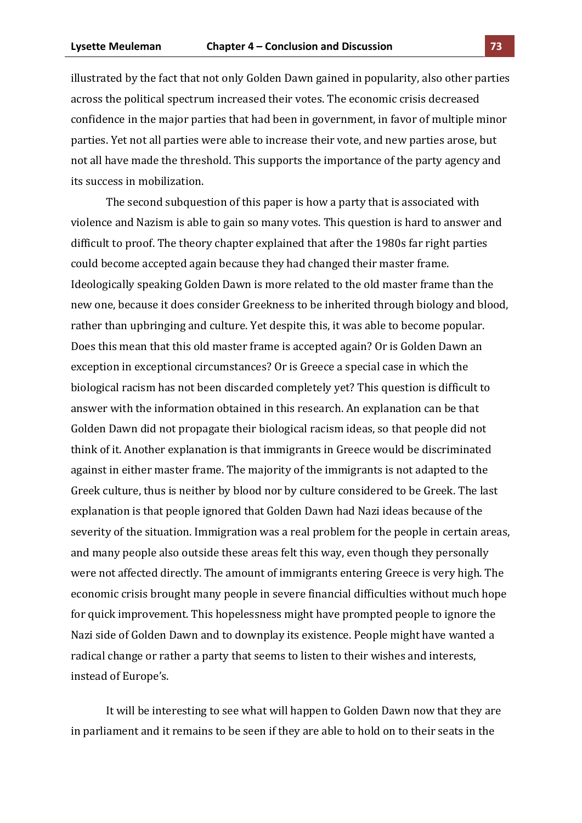illustrated by the fact that not only Golden Dawn gained in popularity, also other parties across the political spectrum increased their votes. The economic crisis decreased confidence in the major parties that had been in government, in favor of multiple minor parties. Yet not all parties were able to increase their vote, and new parties arose, but not all have made the threshold. This supports the importance of the party agency and its success in mobilization.

The second subquestion of this paper is how a party that is associated with violence and Nazism is able to gain so many votes. This question is hard to answer and difficult to proof. The theory chapter explained that after the 1980s far right parties could become accepted again because they had changed their master frame. Ideologically speaking Golden Dawn is more related to the old master frame than the new one, because it does consider Greekness to be inherited through biology and blood, rather than upbringing and culture. Yet despite this, it was able to become popular. Does this mean that this old master frame is accepted again? Or is Golden Dawn an exception in exceptional circumstances? Or is Greece a special case in which the biological racism has not been discarded completely yet? This question is difficult to answer with the information obtained in this research. An explanation can be that Golden Dawn did not propagate their biological racism ideas, so that people did not think of it. Another explanation is that immigrants in Greece would be discriminated against in either master frame. The majority of the immigrants is not adapted to the Greek culture, thus is neither by blood nor by culture considered to be Greek. The last explanation is that people ignored that Golden Dawn had Nazi ideas because of the severity of the situation. Immigration was a real problem for the people in certain areas, and many people also outside these areas felt this way, even though they personally were not affected directly. The amount of immigrants entering Greece is very high. The economic crisis brought many people in severe financial difficulties without much hope for quick improvement. This hopelessness might have prompted people to ignore the Nazi side of Golden Dawn and to downplay its existence. People might have wanted a radical change or rather a party that seems to listen to their wishes and interests, instead of Europe's.

It will be interesting to see what will happen to Golden Dawn now that they are in parliament and it remains to be seen if they are able to hold on to their seats in the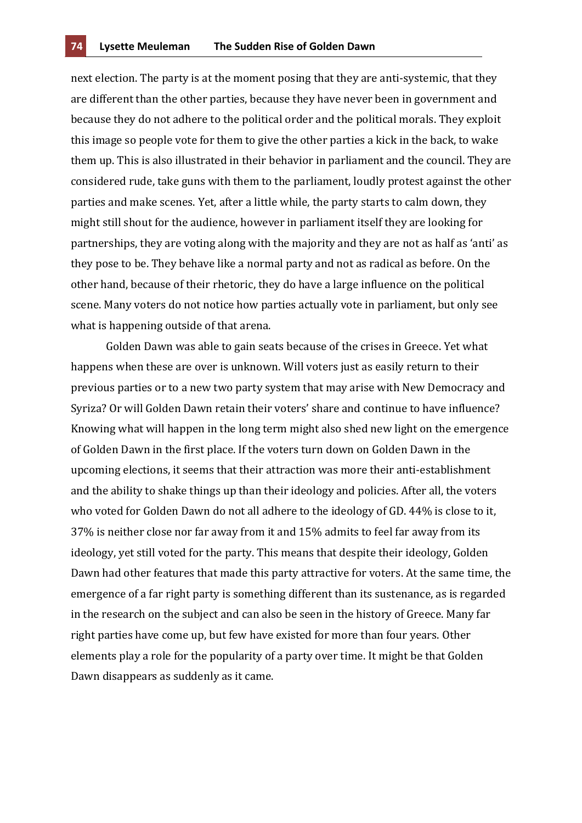next election. The party is at the moment posing that they are anti-systemic, that they are different than the other parties, because they have never been in government and because they do not adhere to the political order and the political morals. They exploit this image so people vote for them to give the other parties a kick in the back, to wake them up. This is also illustrated in their behavior in parliament and the council. They are considered rude, take guns with them to the parliament, loudly protest against the other parties and make scenes. Yet, after a little while, the party starts to calm down, they might still shout for the audience, however in parliament itself they are looking for partnerships, they are voting along with the majority and they are not as half as 'anti' as they pose to be. They behave like a normal party and not as radical as before. On the other hand, because of their rhetoric, they do have a large influence on the political scene. Many voters do not notice how parties actually vote in parliament, but only see what is happening outside of that arena.

Golden Dawn was able to gain seats because of the crises in Greece. Yet what happens when these are over is unknown. Will voters just as easily return to their previous parties or to a new two party system that may arise with New Democracy and Syriza? Or will Golden Dawn retain their voters' share and continue to have influence? Knowing what will happen in the long term might also shed new light on the emergence of Golden Dawn in the first place. If the voters turn down on Golden Dawn in the upcoming elections, it seems that their attraction was more their anti-establishment and the ability to shake things up than their ideology and policies. After all, the voters who voted for Golden Dawn do not all adhere to the ideology of GD. 44% is close to it, 37% is neither close nor far away from it and 15% admits to feel far away from its ideology, yet still voted for the party. This means that despite their ideology, Golden Dawn had other features that made this party attractive for voters. At the same time, the emergence of a far right party is something different than its sustenance, as is regarded in the research on the subject and can also be seen in the history of Greece. Many far right parties have come up, but few have existed for more than four years. Other elements play a role for the popularity of a party over time. It might be that Golden Dawn disappears as suddenly as it came.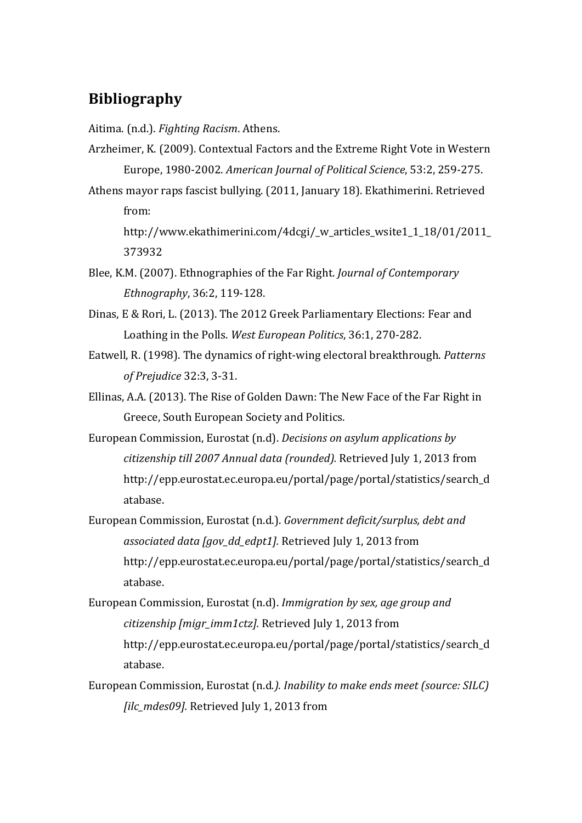## **Bibliography**

Aitima. (n.d.). *Fighting Racism*. Athens.

- Arzheimer, K. (2009). Contextual Factors and the Extreme Right Vote in Western Europe, 1980-2002. *American Journal of Political Science*, 53:2, 259-275.
- Athens mayor raps fascist bullying. (2011, January 18). Ekathimerini. Retrieved from:

http://www.ekathimerini.com/4dcgi/\_w\_articles\_wsite1\_1\_18/01/2011\_ 373932

Blee, K.M. (2007). Ethnographies of the Far Right. *Journal of Contemporary Ethnography*, 36:2, 119-128.

Dinas, E & Rori, L. (2013). The 2012 Greek Parliamentary Elections: Fear and Loathing in the Polls. *West European Politics*, 36:1, 270-282.

Eatwell, R. (1998). The dynamics of right-wing electoral breakthrough. *Patterns of Prejudice* 32:3, 3-31.

Ellinas, A.A. (2013). The Rise of Golden Dawn: The New Face of the Far Right in Greece, South European Society and Politics.

- European Commission, Eurostat (n.d). *Decisions on asylum applications by citizenship till 2007 Annual data (rounded).* Retrieved July 1, 2013 from http://epp.eurostat.ec.europa.eu/portal/page/portal/statistics/search\_d atabase.
- European Commission, Eurostat (n.d.). *Government deficit/surplus, debt and* associated data [gov\_dd\_edpt1]. Retrieved July 1, 2013 from http://epp.eurostat.ec.europa.eu/portal/page/portal/statistics/search\_d atabase.
- European Commission, Eurostat (n.d). *Immigration by sex, age group and citizenship [migr\_imm1ctz].* Retrieved July 1, 2013 from http://epp.eurostat.ec.europa.eu/portal/page/portal/statistics/search\_d atabase.
- European Commission, Eurostat (n.d.). *Inability to make ends meet (source: SILC) [ilc\_mdes09].* Retrieved July 1, 2013 from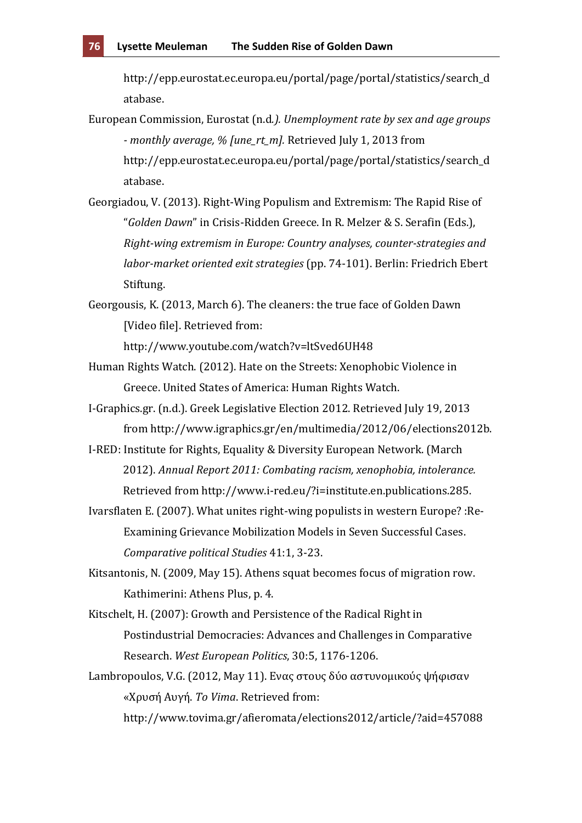http://epp.eurostat.ec.europa.eu/portal/page/portal/statistics/search\_d atabase.

European Commission, Eurostat (n.d.). *Unemployment rate by sex and age groups* - *monthly average, % [une\_rt\_m].* Retrieved July 1, 2013 from http://epp.eurostat.ec.europa.eu/portal/page/portal/statistics/search\_d atabase.

Georgiadou, V. (2013). Right-Wing Populism and Extremism: The Rapid Rise of "Golden Dawn" in Crisis-Ridden Greece. In R. Melzer & S. Serafin (Eds.), *Right-wing extremism in Europe: Country analyses, counter-strategies and labor-market oriented exit strategies* (pp. 74-101). Berlin: Friedrich Ebert Stiftung.

Georgousis, K. (2013, March 6). The cleaners: the true face of Golden Dawn [Video file]. Retrieved from:

http://www.youtube.com/watch?v=ltSved6UH48

Human Rights Watch. (2012). Hate on the Streets: Xenophobic Violence in Greece. United States of America: Human Rights Watch.

I-Graphics.gr. (n.d.). Greek Legislative Election 2012. Retrieved July 19, 2013 from!http://www.igraphics.gr/en/multimedia/2012/06/elections2012b.

I-RED: Institute for Rights, Equality & Diversity European Network. (March 2012). Annual Report 2011: Combating racism, xenophobia, intolerance. Retrieved from http://www.i-red.eu/?i=institute.en.publications.285.

Ivarsflaten E. (2007). What unites right-wing populists in western Europe?: Re-Examining Grievance Mobilization Models in Seven Successful Cases. *Comparative political Studies* 41:1, 3-23.

Kitsantonis, N. (2009, May 15). Athens squat becomes focus of migration row. Kathimerini: Athens Plus, p. 4.

Kitschelt, H. (2007): Growth and Persistence of the Radical Right in Postindustrial Democracies: Advances and Challenges in Comparative Research. West European Politics, 30:5, 1176-1206.

Lambropoulos, V.G. (2012, May 11). Ενας στους δύο αστυνομικούς ψήφισαν «Χρυσή Αυγή. *To Vima*. Retrieved from: http://www.tovima.gr/afieromata/elections2012/article/?aid=457088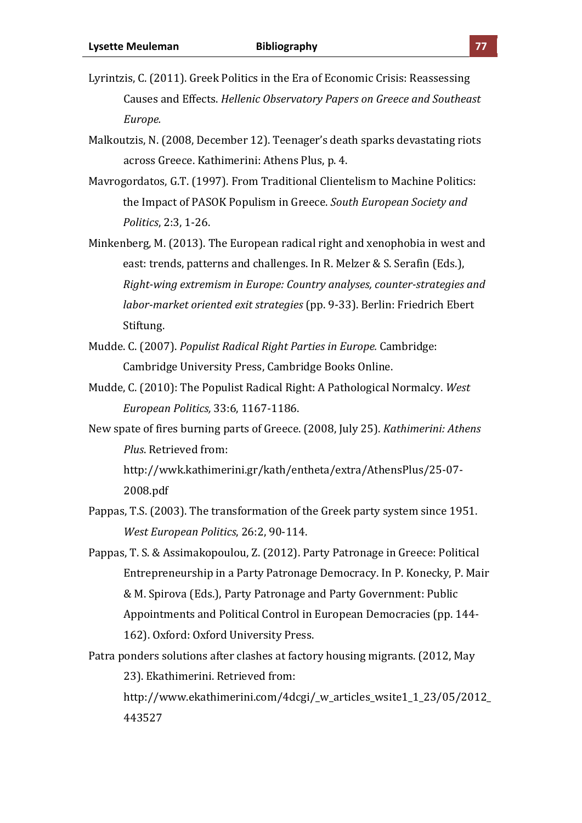- Lyrintzis, C. (2011). Greek Politics in the Era of Economic Crisis: Reassessing Causes!and!Effects.!*Hellenic)Observatory)Papers)on)Greece)and)Southeast) Europe.*
- Malkoutzis, N. (2008, December 12). Teenager's death sparks devastating riots across Greece. Kathimerini: Athens Plus, p. 4.
- Mavrogordatos, G.T. (1997). From Traditional Clientelism to Machine Politics: the Impact of PASOK Populism in Greece. South European Society and *Politics*, 2:3, 1-26.
- Minkenberg, M. (2013). The European radical right and xenophobia in west and east: trends, patterns and challenges. In R. Melzer & S. Serafin (Eds.), *Right-wing extremism in Europe: Country analyses, counter-strategies and labor-market oriented exit strategies* (pp. 9-33). Berlin: Friedrich Ebert Stiftung.
- Mudde. C. (2007). *Populist Radical Right Parties in Europe.* Cambridge: Cambridge University Press, Cambridge Books Online.
- Mudde, C. (2010): The Populist Radical Right: A Pathological Normalcy. *West European Politics,* 33:6, 1167-1186.
- New spate of fires burning parts of Greece. (2008, July 25). *Kathimerini: Athens* **Plus. Retrieved from:**

http://wwk.kathimerini.gr/kath/entheta/extra/AthensPlus/25-07-2008.pdf

- Pappas, T.S. (2003). The transformation of the Greek party system since 1951. *West European Politics*, 26:2, 90-114.
- Pappas, T. S. & Assimakopoulou, Z. (2012). Party Patronage in Greece: Political Entrepreneurship in a Party Patronage Democracy. In P. Konecky, P. Mair & M. Spirova (Eds.), Party Patronage and Party Government: Public Appointments and Political Control in European Democracies (pp. 144-162). Oxford: Oxford University Press.
- Patra ponders solutions after clashes at factory housing migrants. (2012, May 23). Ekathimerini. Retrieved from: http://www.ekathimerini.com/4dcgi/ w articles wsite1 1 23/05/2012 443527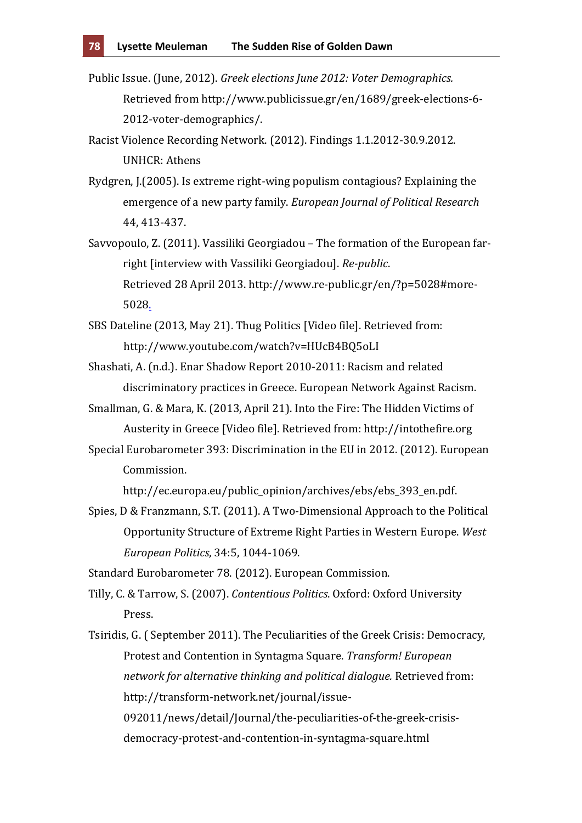Public Issue. (June, 2012). *Greek elections June 2012: Voter Demographics.* Retrieved from http://www.publicissue.gr/en/1689/greek-elections-6-2012-voter-demographics/.

Racist Violence Recording Network. (2012). Findings 1.1.2012-30.9.2012. UNHCR: Athens

Rydgren, J.(2005). Is extreme right-wing populism contagious? Explaining the emergence!of!a!new!party!family.!*European)Journal)of)Political)Research* 44, 413-437.

Savvopoulo, Z. (2011). Vassiliki Georgiadou – The formation of the European farright [interview with Vassiliki Georgiadou]. *Re-public*. Retrieved 28 April 2013. http://www.re-public.gr/en/?p=5028#more-5028.

SBS Dateline (2013, May 21). Thug Politics [Video file]. Retrieved from: http://www.youtube.com/watch?v=HUcB4BQ5oLI

Shashati, A. (n.d.). Enar Shadow Report 2010-2011: Racism and related discriminatory practices in Greece. European Network Against Racism.

Smallman, G. & Mara, K. (2013, April 21). Into the Fire: The Hidden Victims of Austerity in Greece [Video file]. Retrieved from: http://intothefire.org

Special Eurobarometer 393: Discrimination in the EU in 2012. (2012). European Commission.!

http://ec.europa.eu/public\_opinion/archives/ebs/ebs\_393\_en.pdf.

Spies, D & Franzmann, S.T. (2011). A Two-Dimensional Approach to the Political Opportunity Structure of Extreme Right Parties in Western Europe. West *European Politics*, 34:5, 1044-1069.

Standard Eurobarometer 78. (2012). European Commission.

- Tilly, C. & Tarrow, S. (2007). *Contentious Politics*. Oxford: Oxford University Press.
- Tsiridis, G. ( September 2011). The Peculiarities of the Greek Crisis: Democracy, Protest and Contention in Syntagma Square. *Transform! European network for alternative thinking and political dialogue.* Retrieved from: http://transform-network.net/journal/issue-092011/news/detail/Journal/the-peculiarities-of-the-greek-crisis-

democracy-protest-and-contention-in-syntagma-square.html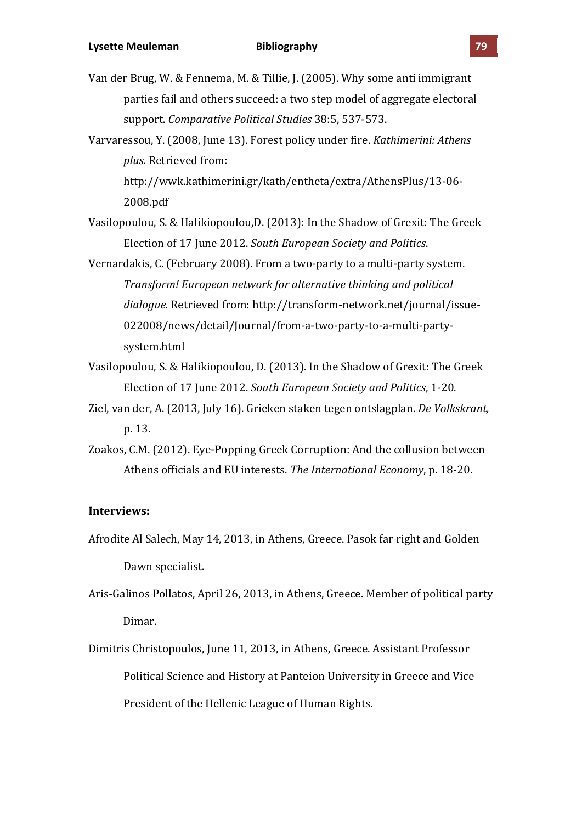Van der Brug, W. & Fennema, M. & Tillie, J. (2005). Why some anti immigrant parties fail and others succeed: a two step model of aggregate electoral support. *Comparative Political Studies* 38:5, 537-573.

Varvaressou, Y. (2008, June 13). Forest policy under fire. *Kathimerini: Athens* plus. Retrieved from:

http://wwk.kathimerini.gr/kath/entheta/extra/AthensPlus/13-06-2008.pdf

- Vasilopoulou, S. & Halikiopoulou,D. (2013): In the Shadow of Grexit: The Greek Election of 17 June 2012. South European Society and Politics.
- Vernardakis, C. (February 2008). From a two-party to a multi-party system. **Transform!** European network for alternative thinking and political dialogue. Retrieved from: http://transform-network.net/journal/issue-022008/news/detail/Journal/from-a-two-party-to-a-multi-partysystem.html
- Vasilopoulou, S. & Halikiopoulou, D. (2013). In the Shadow of Grexit: The Greek Election of 17 June 2012. South European Society and Politics, 1-20.
- Ziel, van der, A. (2013, July 16). Grieken staken tegen ontslagplan. *De Volkskrant*, p. 13.
- Zoakos, C.M. (2012). Eye-Popping Greek Corruption: And the collusion between Athens officials and EU interests. The International Economy, p. 18-20.

## **Interviews:**

- Afrodite Al Salech, May 14, 2013, in Athens, Greece. Pasok far right and Golden Dawn specialist.
- Aris-Galinos Pollatos, April 26, 2013, in Athens, Greece. Member of political party Dimar.
- Dimitris Christopoulos, June 11, 2013, in Athens, Greece. Assistant Professor Political Science and History at Panteion University in Greece and Vice President of the Hellenic League of Human Rights.